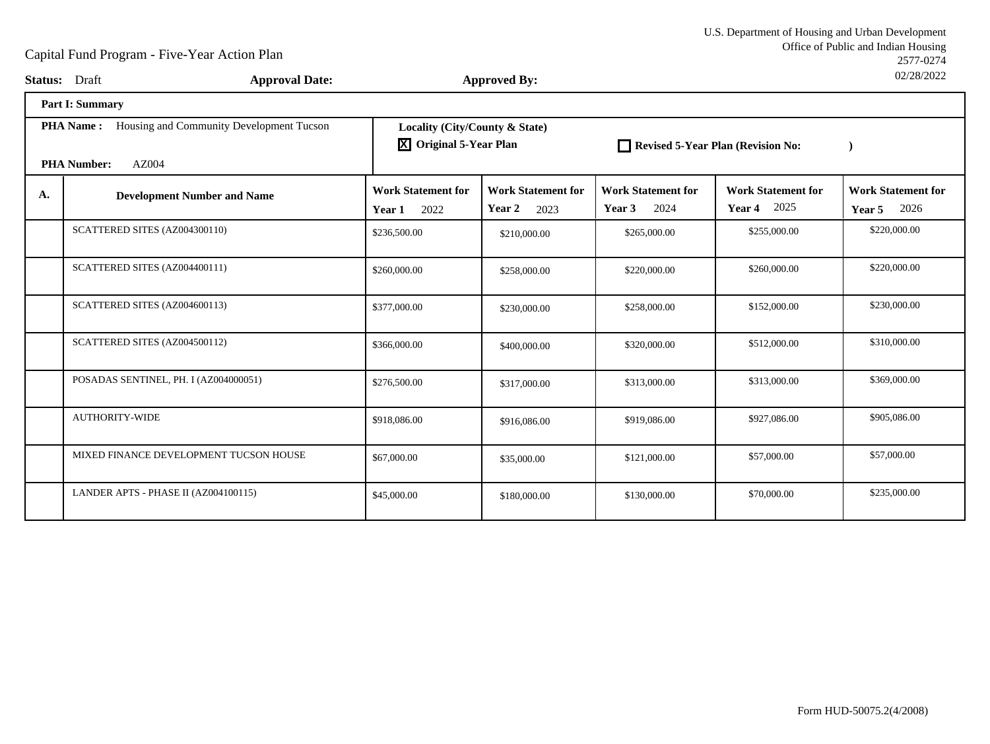|    | <b>Status:</b> Draft<br><b>Approval Date:</b>                |                                                                       | <b>Approved By:</b>                         |                                             |                                             | UZ/ZO/ZUZZ                                  |  |  |
|----|--------------------------------------------------------------|-----------------------------------------------------------------------|---------------------------------------------|---------------------------------------------|---------------------------------------------|---------------------------------------------|--|--|
|    | <b>Part I: Summary</b>                                       |                                                                       |                                             |                                             |                                             |                                             |  |  |
|    | <b>PHA Name:</b><br>Housing and Community Development Tucson | Locality (City/County & State)<br>$\overline{X}$ Original 5-Year Plan |                                             | Revised 5-Year Plan (Revision No:           |                                             |                                             |  |  |
|    | AZ004<br><b>PHA Number:</b>                                  |                                                                       |                                             |                                             |                                             |                                             |  |  |
| A. | <b>Development Number and Name</b>                           | <b>Work Statement for</b><br>2022<br>Year 1                           | <b>Work Statement for</b><br>Year 2<br>2023 | <b>Work Statement for</b><br>2024<br>Year 3 | <b>Work Statement for</b><br>2025<br>Year 4 | <b>Work Statement for</b><br>2026<br>Year 5 |  |  |
|    | SCATTERED SITES (AZ004300110)                                | \$236,500.00                                                          | \$210,000.00                                | \$265,000.00                                | \$255,000.00                                | \$220,000.00                                |  |  |
|    | SCATTERED SITES (AZ004400111)                                | \$260,000.00                                                          | \$258,000.00                                | \$220,000.00                                | \$260,000.00                                | \$220,000.00                                |  |  |
|    | SCATTERED SITES (AZ004600113)                                | \$377,000.00                                                          | \$230,000.00                                | \$258,000.00                                | \$152,000.00                                | \$230,000.00                                |  |  |
|    | SCATTERED SITES (AZ004500112)                                | \$366,000.00                                                          | \$400,000.00                                | \$320,000.00                                | \$512,000.00                                | \$310,000.00                                |  |  |
|    | POSADAS SENTINEL, PH. I (AZ004000051)                        | \$276,500.00                                                          | \$317,000.00                                | \$313,000.00                                | \$313,000.00                                | \$369,000.00                                |  |  |
|    | <b>AUTHORITY-WIDE</b>                                        | \$918,086.00                                                          | \$916,086.00                                | \$919,086.00                                | \$927,086.00                                | \$905,086.00                                |  |  |
|    | MIXED FINANCE DEVELOPMENT TUCSON HOUSE                       | \$67,000.00                                                           | \$35,000.00                                 | \$121,000.00                                | \$57,000.00                                 | \$57,000.00                                 |  |  |
|    | LANDER APTS - PHASE II (AZ004100115)                         | \$45,000.00                                                           | \$180,000.00                                | \$130,000.00                                | \$70,000.00                                 | \$235,000.00                                |  |  |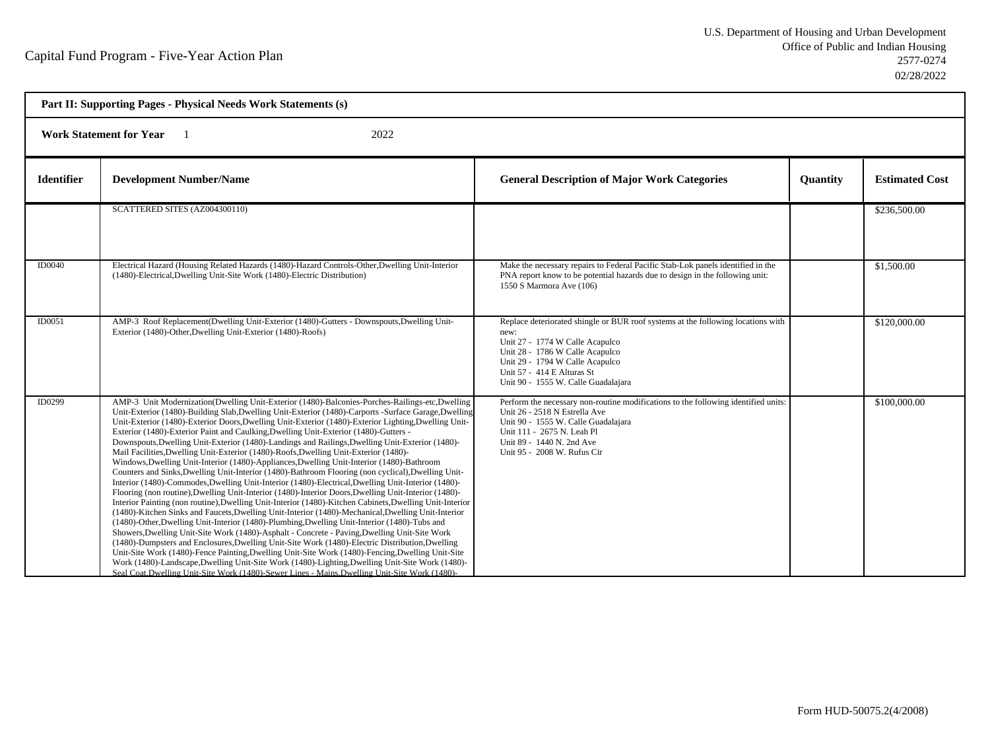| Part II: Supporting Pages - Physical Needs Work Statements (s) |                                                                                                                                                                                                                                                                                                                                                                                                                                                                                                                                                                                                                                                                                                                                                                                                                                                                                                                                                                                                                                                                                                                                                                                                                                                                                                                                                                                                                                                                                                                                                                                                                                                                                                                                                                                                                                               |                                                                                                                                                                                                                                                                        |          |                       |  |  |
|----------------------------------------------------------------|-----------------------------------------------------------------------------------------------------------------------------------------------------------------------------------------------------------------------------------------------------------------------------------------------------------------------------------------------------------------------------------------------------------------------------------------------------------------------------------------------------------------------------------------------------------------------------------------------------------------------------------------------------------------------------------------------------------------------------------------------------------------------------------------------------------------------------------------------------------------------------------------------------------------------------------------------------------------------------------------------------------------------------------------------------------------------------------------------------------------------------------------------------------------------------------------------------------------------------------------------------------------------------------------------------------------------------------------------------------------------------------------------------------------------------------------------------------------------------------------------------------------------------------------------------------------------------------------------------------------------------------------------------------------------------------------------------------------------------------------------------------------------------------------------------------------------------------------------|------------------------------------------------------------------------------------------------------------------------------------------------------------------------------------------------------------------------------------------------------------------------|----------|-----------------------|--|--|
|                                                                | <b>Work Statement for Year</b><br>2022                                                                                                                                                                                                                                                                                                                                                                                                                                                                                                                                                                                                                                                                                                                                                                                                                                                                                                                                                                                                                                                                                                                                                                                                                                                                                                                                                                                                                                                                                                                                                                                                                                                                                                                                                                                                        |                                                                                                                                                                                                                                                                        |          |                       |  |  |
| <b>Identifier</b>                                              | <b>Development Number/Name</b>                                                                                                                                                                                                                                                                                                                                                                                                                                                                                                                                                                                                                                                                                                                                                                                                                                                                                                                                                                                                                                                                                                                                                                                                                                                                                                                                                                                                                                                                                                                                                                                                                                                                                                                                                                                                                | <b>General Description of Major Work Categories</b>                                                                                                                                                                                                                    | Quantity | <b>Estimated Cost</b> |  |  |
|                                                                | SCATTERED SITES (AZ004300110)                                                                                                                                                                                                                                                                                                                                                                                                                                                                                                                                                                                                                                                                                                                                                                                                                                                                                                                                                                                                                                                                                                                                                                                                                                                                                                                                                                                                                                                                                                                                                                                                                                                                                                                                                                                                                 |                                                                                                                                                                                                                                                                        |          | \$236,500.00          |  |  |
| <b>ID0040</b>                                                  | Electrical Hazard (Housing Related Hazards (1480)-Hazard Controls-Other, Dwelling Unit-Interior<br>(1480)-Electrical, Dwelling Unit-Site Work (1480)-Electric Distribution)                                                                                                                                                                                                                                                                                                                                                                                                                                                                                                                                                                                                                                                                                                                                                                                                                                                                                                                                                                                                                                                                                                                                                                                                                                                                                                                                                                                                                                                                                                                                                                                                                                                                   | Make the necessary repairs to Federal Pacific Stab-Lok panels identified in the<br>PNA report know to be potential hazards due to design in the following unit:<br>1550 S Marmora Ave (106)                                                                            |          | \$1,500.00            |  |  |
| ID0051                                                         | AMP-3 Roof Replacement(Dwelling Unit-Exterior (1480)-Gutters - Downspouts, Dwelling Unit-<br>Exterior (1480)-Other, Dwelling Unit-Exterior (1480)-Roofs)                                                                                                                                                                                                                                                                                                                                                                                                                                                                                                                                                                                                                                                                                                                                                                                                                                                                                                                                                                                                                                                                                                                                                                                                                                                                                                                                                                                                                                                                                                                                                                                                                                                                                      | Replace deteriorated shingle or BUR roof systems at the following locations with<br>new:<br>Unit 27 - 1774 W Calle Acapulco<br>Unit 28 - 1786 W Calle Acapulco<br>Unit 29 - 1794 W Calle Acapulco<br>Unit 57 - 414 E Alturas St<br>Unit 90 - 1555 W. Calle Guadalajara |          | \$120,000.00          |  |  |
| ID0299                                                         | AMP-3 Unit Modernization(Dwelling Unit-Exterior (1480)-Balconies-Porches-Railings-etc,Dwelling<br>Unit-Exterior (1480)-Building Slab, Dwelling Unit-Exterior (1480)-Carports -Surface Garage, Dwelling<br>Unit-Exterior (1480)-Exterior Doors, Dwelling Unit-Exterior (1480)-Exterior Lighting, Dwelling Unit-<br>Exterior (1480)-Exterior Paint and Caulking, Dwelling Unit-Exterior (1480)-Gutters -<br>Downspouts, Dwelling Unit-Exterior (1480)-Landings and Railings, Dwelling Unit-Exterior (1480)-<br>Mail Facilities, Dwelling Unit-Exterior (1480)-Roofs, Dwelling Unit-Exterior (1480)-<br>Windows, Dwelling Unit-Interior (1480)-Appliances, Dwelling Unit-Interior (1480)-Bathroom<br>Counters and Sinks, Dwelling Unit-Interior (1480)-Bathroom Flooring (non cyclical), Dwelling Unit-<br>Interior (1480)-Commodes, Dwelling Unit-Interior (1480)-Electrical, Dwelling Unit-Interior (1480)-<br>Flooring (non routine), Dwelling Unit-Interior (1480)-Interior Doors, Dwelling Unit-Interior (1480)-<br>Interior Painting (non routine), Dwelling Unit-Interior (1480)-Kitchen Cabinets, Dwelling Unit-Interior<br>(1480)-Kitchen Sinks and Faucets, Dwelling Unit-Interior (1480)-Mechanical, Dwelling Unit-Interior<br>(1480)-Other, Dwelling Unit-Interior (1480)-Plumbing, Dwelling Unit-Interior (1480)-Tubs and<br>Showers, Dwelling Unit-Site Work (1480)-Asphalt - Concrete - Paving, Dwelling Unit-Site Work<br>(1480)-Dumpsters and Enclosures, Dwelling Unit-Site Work (1480)-Electric Distribution, Dwelling<br>Unit-Site Work (1480)-Fence Painting, Dwelling Unit-Site Work (1480)-Fencing, Dwelling Unit-Site<br>Work (1480)-Landscape, Dwelling Unit-Site Work (1480)-Lighting, Dwelling Unit-Site Work (1480)-<br>Seal Coat.Dwelling Unit-Site Work (1480)-Sewer Lines - Mains.Dwelling Unit-Site Work (1480)- | Perform the necessary non-routine modifications to the following identified units:<br>Unit 26 - 2518 N Estrella Ave<br>Unit 90 - 1555 W. Calle Guadalajara<br>Unit 111 - 2675 N. Leah Pl<br>Unit 89 - 1440 N. 2nd Ave<br>Unit 95 - 2008 W. Rufus Cir                   |          | \$100,000.00          |  |  |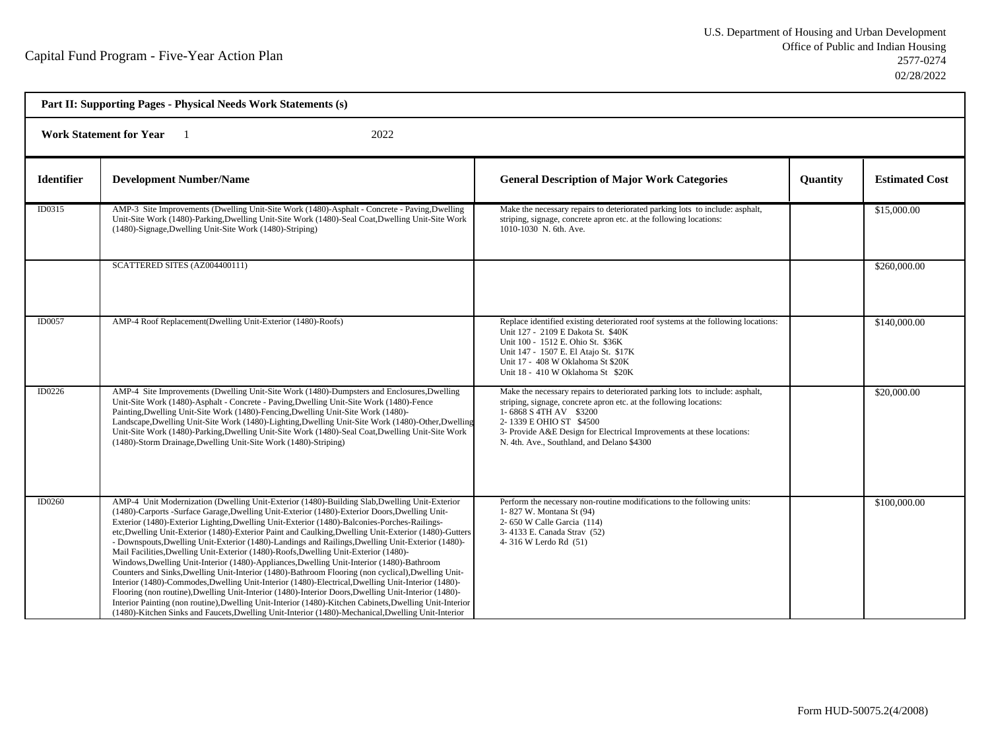| Part II: Supporting Pages - Physical Needs Work Statements (s) |                                                                                                                                                                                                                                                                                                                                                                                                                                                                                                                                                                                                                                                                                                                                                                                                                                                                                                                                                                                                                                                                                                                                                                                                                                        |                                                                                                                                                                                                                                                                                                                                |                 |                       |  |  |  |
|----------------------------------------------------------------|----------------------------------------------------------------------------------------------------------------------------------------------------------------------------------------------------------------------------------------------------------------------------------------------------------------------------------------------------------------------------------------------------------------------------------------------------------------------------------------------------------------------------------------------------------------------------------------------------------------------------------------------------------------------------------------------------------------------------------------------------------------------------------------------------------------------------------------------------------------------------------------------------------------------------------------------------------------------------------------------------------------------------------------------------------------------------------------------------------------------------------------------------------------------------------------------------------------------------------------|--------------------------------------------------------------------------------------------------------------------------------------------------------------------------------------------------------------------------------------------------------------------------------------------------------------------------------|-----------------|-----------------------|--|--|--|
|                                                                | <b>Work Statement for Year</b><br>2022                                                                                                                                                                                                                                                                                                                                                                                                                                                                                                                                                                                                                                                                                                                                                                                                                                                                                                                                                                                                                                                                                                                                                                                                 |                                                                                                                                                                                                                                                                                                                                |                 |                       |  |  |  |
| <b>Identifier</b>                                              | <b>Development Number/Name</b>                                                                                                                                                                                                                                                                                                                                                                                                                                                                                                                                                                                                                                                                                                                                                                                                                                                                                                                                                                                                                                                                                                                                                                                                         | <b>General Description of Major Work Categories</b>                                                                                                                                                                                                                                                                            | <b>Quantity</b> | <b>Estimated Cost</b> |  |  |  |
| ID0315                                                         | AMP-3 Site Improvements (Dwelling Unit-Site Work (1480)-Asphalt - Concrete - Paving, Dwelling<br>Unit-Site Work (1480)-Parking, Dwelling Unit-Site Work (1480)-Seal Coat, Dwelling Unit-Site Work<br>(1480)-Signage, Dwelling Unit-Site Work (1480)-Striping)                                                                                                                                                                                                                                                                                                                                                                                                                                                                                                                                                                                                                                                                                                                                                                                                                                                                                                                                                                          | Make the necessary repairs to deteriorated parking lots to include: asphalt,<br>striping, signage, concrete apron etc. at the following locations:<br>1010-1030 N. 6th. Ave.                                                                                                                                                   |                 | \$15,000.00           |  |  |  |
|                                                                | SCATTERED SITES (AZ004400111)                                                                                                                                                                                                                                                                                                                                                                                                                                                                                                                                                                                                                                                                                                                                                                                                                                                                                                                                                                                                                                                                                                                                                                                                          |                                                                                                                                                                                                                                                                                                                                |                 | \$260,000.00          |  |  |  |
| ID0057                                                         | AMP-4 Roof Replacement(Dwelling Unit-Exterior (1480)-Roofs)                                                                                                                                                                                                                                                                                                                                                                                                                                                                                                                                                                                                                                                                                                                                                                                                                                                                                                                                                                                                                                                                                                                                                                            | Replace identified existing deteriorated roof systems at the following locations:<br>Unit 127 - 2109 E Dakota St. \$40K<br>Unit 100 - 1512 E. Ohio St. \$36K<br>Unit 147 - 1507 E. El Atajo St. \$17K<br>Unit 17 - 408 W Oklahoma St \$20K<br>Unit 18 - 410 W Oklahoma St \$20K                                                |                 | \$140,000.00          |  |  |  |
| ID0226                                                         | AMP-4 Site Improvements (Dwelling Unit-Site Work (1480)-Dumpsters and Enclosures, Dwelling<br>Unit-Site Work (1480)-Asphalt - Concrete - Paving, Dwelling Unit-Site Work (1480)-Fence<br>Painting, Dwelling Unit-Site Work (1480)-Fencing, Dwelling Unit-Site Work (1480)-<br>Landscape, Dwelling Unit-Site Work (1480)-Lighting, Dwelling Unit-Site Work (1480)-Other, Dwelling<br>Unit-Site Work (1480)-Parking, Dwelling Unit-Site Work (1480)-Seal Coat, Dwelling Unit-Site Work<br>(1480)-Storm Drainage, Dwelling Unit-Site Work (1480)-Striping)                                                                                                                                                                                                                                                                                                                                                                                                                                                                                                                                                                                                                                                                                | Make the necessary repairs to deteriorated parking lots to include: asphalt,<br>striping, signage, concrete apron etc. at the following locations:<br>1-6868 S 4TH AV \$3200<br>2-1339 E OHIO ST \$4500<br>3- Provide A&E Design for Electrical Improvements at these locations:<br>N. 4th. Ave., Southland, and Delano \$4300 |                 | \$20,000.00           |  |  |  |
| ID0260                                                         | AMP-4 Unit Modernization (Dwelling Unit-Exterior (1480)-Building Slab, Dwelling Unit-Exterior<br>(1480)-Carports -Surface Garage, Dwelling Unit-Exterior (1480)-Exterior Doors, Dwelling Unit-<br>Exterior (1480)-Exterior Lighting, Dwelling Unit-Exterior (1480)-Balconies-Porches-Railings-<br>etc, Dwelling Unit-Exterior (1480)-Exterior Paint and Caulking, Dwelling Unit-Exterior (1480)-Gutters<br>- Downspouts, Dwelling Unit-Exterior (1480)-Landings and Railings, Dwelling Unit-Exterior (1480)-<br>Mail Facilities, Dwelling Unit-Exterior (1480)-Roofs, Dwelling Unit-Exterior (1480)-<br>Windows, Dwelling Unit-Interior (1480)-Appliances, Dwelling Unit-Interior (1480)-Bathroom<br>Counters and Sinks, Dwelling Unit-Interior (1480)-Bathroom Flooring (non cyclical), Dwelling Unit-<br>Interior (1480)-Commodes, Dwelling Unit-Interior (1480)-Electrical, Dwelling Unit-Interior (1480)-<br>Flooring (non routine), Dwelling Unit-Interior (1480)-Interior Doors, Dwelling Unit-Interior (1480)-<br>Interior Painting (non routine), Dwelling Unit-Interior (1480)-Kitchen Cabinets, Dwelling Unit-Interior<br>(1480)-Kitchen Sinks and Faucets, Dwelling Unit-Interior (1480)-Mechanical, Dwelling Unit-Interior | Perform the necessary non-routine modifications to the following units:<br>1-827 W. Montana St (94)<br>2- 650 W Calle Garcia (114)<br>3-4133 E. Canada Strav (52)<br>4-316 W Lerdo Rd (51)                                                                                                                                     |                 | \$100,000.00          |  |  |  |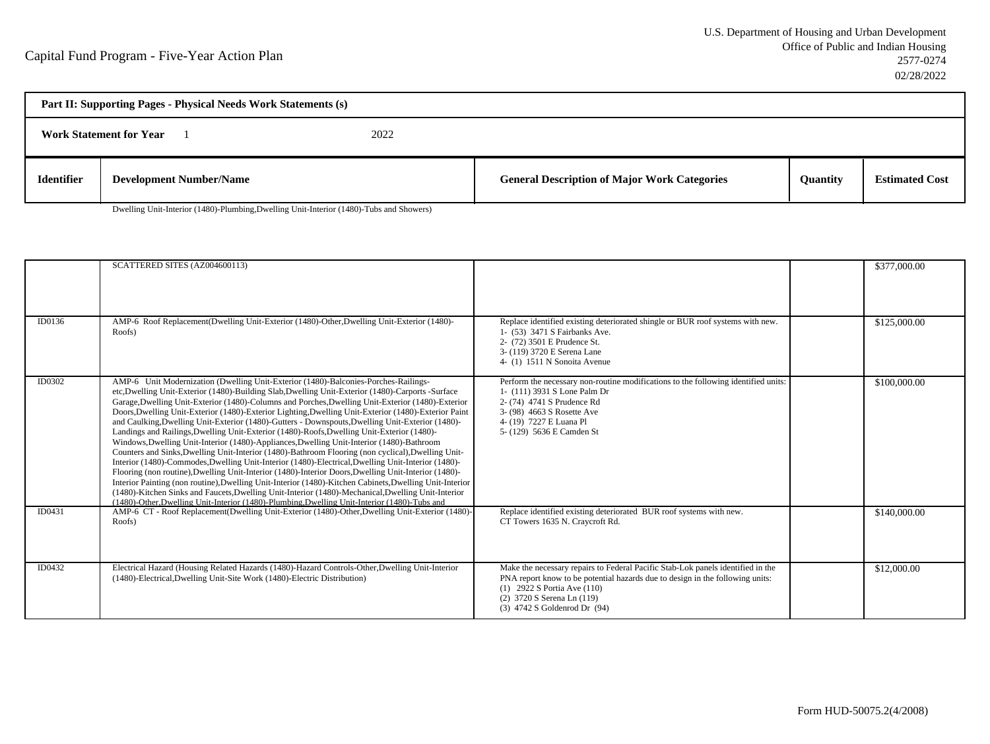| Part II: Supporting Pages - Physical Needs Work Statements (s) |                                |  |                                                     |                 |                       |  |
|----------------------------------------------------------------|--------------------------------|--|-----------------------------------------------------|-----------------|-----------------------|--|
| 2022<br><b>Work Statement for Year</b>                         |                                |  |                                                     |                 |                       |  |
| <b>Identifier</b>                                              | <b>Development Number/Name</b> |  | <b>General Description of Major Work Categories</b> | <b>Ouantity</b> | <b>Estimated Cost</b> |  |

Dwelling Unit-Interior (1480)-Plumbing,Dwelling Unit-Interior (1480)-Tubs and Showers)

|        | SCATTERED SITES (AZ004600113)                                                                                                                                                                                                                                                                                                                                                                                                                                                                                                                                                                                                                                                                                                                                                                                                                                                                                                                                                                                                                                                                                                                                                                                                                                                                                                             |                                                                                                                                                                                                                                                               | \$377,000.00 |
|--------|-------------------------------------------------------------------------------------------------------------------------------------------------------------------------------------------------------------------------------------------------------------------------------------------------------------------------------------------------------------------------------------------------------------------------------------------------------------------------------------------------------------------------------------------------------------------------------------------------------------------------------------------------------------------------------------------------------------------------------------------------------------------------------------------------------------------------------------------------------------------------------------------------------------------------------------------------------------------------------------------------------------------------------------------------------------------------------------------------------------------------------------------------------------------------------------------------------------------------------------------------------------------------------------------------------------------------------------------|---------------------------------------------------------------------------------------------------------------------------------------------------------------------------------------------------------------------------------------------------------------|--------------|
| ID0136 | AMP-6 Roof Replacement (Dwelling Unit-Exterior (1480)-Other, Dwelling Unit-Exterior (1480)-                                                                                                                                                                                                                                                                                                                                                                                                                                                                                                                                                                                                                                                                                                                                                                                                                                                                                                                                                                                                                                                                                                                                                                                                                                               | Replace identified existing deteriorated shingle or BUR roof systems with new.                                                                                                                                                                                | \$125,000.00 |
|        | Roofs)                                                                                                                                                                                                                                                                                                                                                                                                                                                                                                                                                                                                                                                                                                                                                                                                                                                                                                                                                                                                                                                                                                                                                                                                                                                                                                                                    | 1- (53) 3471 S Fairbanks Ave.<br>2- (72) 3501 E Prudence St.<br>3- (119) 3720 E Serena Lane<br>4- (1) 1511 N Sonoita Avenue                                                                                                                                   |              |
| ID0302 | AMP-6 Unit Modernization (Dwelling Unit-Exterior (1480)-Balconies-Porches-Railings-<br>etc, Dwelling Unit-Exterior (1480)-Building Slab, Dwelling Unit-Exterior (1480)-Carports -Surface<br>Garage, Dwelling Unit-Exterior (1480)-Columns and Porches, Dwelling Unit-Exterior (1480)-Exterior<br>Doors, Dwelling Unit-Exterior (1480)-Exterior Lighting, Dwelling Unit-Exterior (1480)-Exterior Paint<br>and Caulking, Dwelling Unit-Exterior (1480)-Gutters - Downspouts, Dwelling Unit-Exterior (1480)-<br>Landings and Railings, Dwelling Unit-Exterior (1480)-Roofs, Dwelling Unit-Exterior (1480)-<br>Windows, Dwelling Unit-Interior (1480)-Appliances, Dwelling Unit-Interior (1480)-Bathroom<br>Counters and Sinks, Dwelling Unit-Interior (1480)-Bathroom Flooring (non cyclical), Dwelling Unit-<br>Interior (1480)-Commodes, Dwelling Unit-Interior (1480)-Electrical, Dwelling Unit-Interior (1480)-<br>Flooring (non routine), Dwelling Unit-Interior (1480)-Interior Doors, Dwelling Unit-Interior (1480)-<br>Interior Painting (non routine), Dwelling Unit-Interior (1480)-Kitchen Cabinets, Dwelling Unit-Interior<br>(1480)-Kitchen Sinks and Faucets, Dwelling Unit-Interior (1480)-Mechanical, Dwelling Unit-Interior<br>(1480)-Other, Dwelling Unit-Interior (1480)-Plumbing, Dwelling Unit-Interior (1480)-Tubs and | Perform the necessary non-routine modifications to the following identified units:<br>1- (111) 3931 S Lone Palm Dr<br>2- (74) 4741 S Prudence Rd<br>3- (98) 4663 S Rosette Ave<br>4- (19) 7227 E Luana Pl<br>5- (129) 5636 E Camden St                        | \$100,000.00 |
| ID0431 | AMP-6 CT - Roof Replacement(Dwelling Unit-Exterior (1480)-Other, Dwelling Unit-Exterior (1480)-<br>Roofs)                                                                                                                                                                                                                                                                                                                                                                                                                                                                                                                                                                                                                                                                                                                                                                                                                                                                                                                                                                                                                                                                                                                                                                                                                                 | Replace identified existing deteriorated BUR roof systems with new.<br>CT Towers 1635 N. Craycroft Rd.                                                                                                                                                        | \$140,000.00 |
| ID0432 | Electrical Hazard (Housing Related Hazards (1480)-Hazard Controls-Other, Dwelling Unit-Interior<br>(1480)-Electrical, Dwelling Unit-Site Work (1480)-Electric Distribution)                                                                                                                                                                                                                                                                                                                                                                                                                                                                                                                                                                                                                                                                                                                                                                                                                                                                                                                                                                                                                                                                                                                                                               | Make the necessary repairs to Federal Pacific Stab-Lok panels identified in the<br>PNA report know to be potential hazards due to design in the following units:<br>(1) 2922 S Portia Ave (110)<br>(2) 3720 S Serena Ln (119)<br>(3) 4742 S Goldenrod Dr (94) | \$12,000.00  |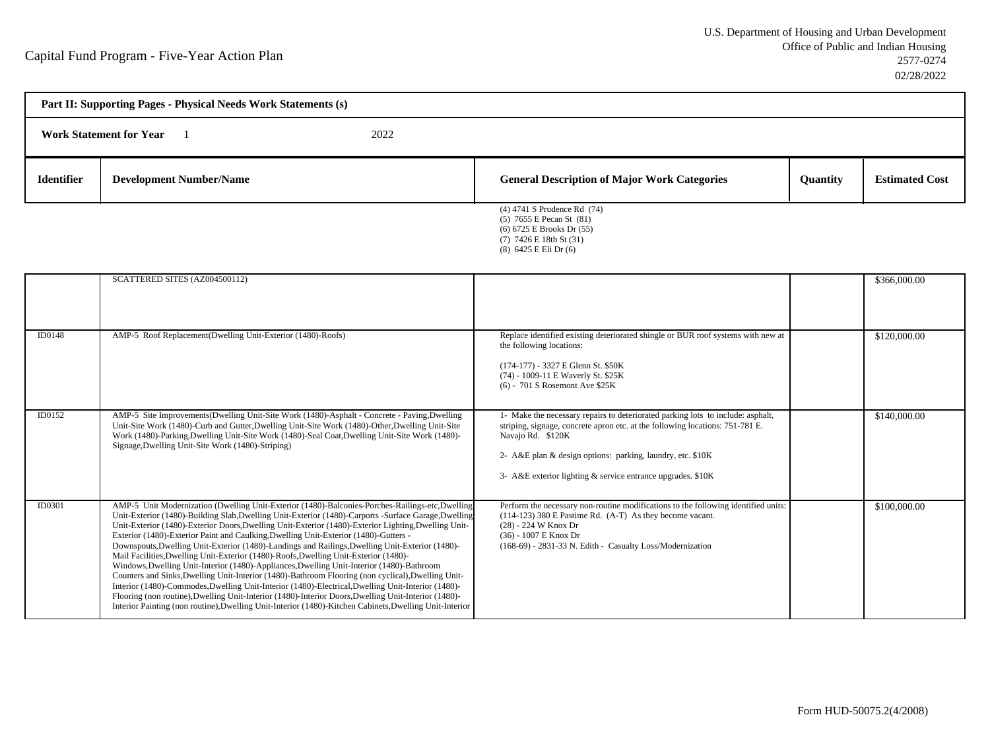| Part II: Supporting Pages - Physical Needs Work Statements (s) |                                |  |                                                                                                                         |          |                       |  |
|----------------------------------------------------------------|--------------------------------|--|-------------------------------------------------------------------------------------------------------------------------|----------|-----------------------|--|
| 2022<br><b>Work Statement for Year</b>                         |                                |  |                                                                                                                         |          |                       |  |
| <b>Identifier</b>                                              | <b>Development Number/Name</b> |  | <b>General Description of Major Work Categories</b>                                                                     | Quantity | <b>Estimated Cost</b> |  |
|                                                                |                                |  | (4) 4741 S Prudence Rd (74)<br>$(5)$ 7655 E Pecan St $(81)$<br>(6) 6725 E Brooks Dr (55)<br>$(7)$ 7426 E 18th St $(31)$ |          |                       |  |

(8) 6425 E Eli Dr (6)

|        | SCATTERED SITES (AZ004500112)                                                                                                                                                                                                                                                                                                                                                                                                                                                                                                                                                                                                                                                                                                                                                                                                                                                                                                                                                                                                                                                                                                   |                                                                                                                                                                                                                                                                                                                    | \$366,000.00 |
|--------|---------------------------------------------------------------------------------------------------------------------------------------------------------------------------------------------------------------------------------------------------------------------------------------------------------------------------------------------------------------------------------------------------------------------------------------------------------------------------------------------------------------------------------------------------------------------------------------------------------------------------------------------------------------------------------------------------------------------------------------------------------------------------------------------------------------------------------------------------------------------------------------------------------------------------------------------------------------------------------------------------------------------------------------------------------------------------------------------------------------------------------|--------------------------------------------------------------------------------------------------------------------------------------------------------------------------------------------------------------------------------------------------------------------------------------------------------------------|--------------|
| ID0148 | AMP-5 Roof Replacement(Dwelling Unit-Exterior (1480)-Roofs)                                                                                                                                                                                                                                                                                                                                                                                                                                                                                                                                                                                                                                                                                                                                                                                                                                                                                                                                                                                                                                                                     | Replace identified existing deteriorated shingle or BUR roof systems with new at<br>the following locations:<br>(174-177) - 3327 E Glenn St. \$50K<br>(74) - 1009-11 E Waverly St. \$25K<br>(6) - 701 S Rosemont Ave \$25K                                                                                         | \$120,000.00 |
| ID0152 | AMP-5 Site Improvements(Dwelling Unit-Site Work (1480)-Asphalt - Concrete - Paving, Dwelling<br>Unit-Site Work (1480)-Curb and Gutter, Dwelling Unit-Site Work (1480)-Other, Dwelling Unit-Site<br>Work (1480)-Parking, Dwelling Unit-Site Work (1480)-Seal Coat, Dwelling Unit-Site Work (1480)-<br>Signage, Dwelling Unit-Site Work (1480)-Striping)                                                                                                                                                                                                                                                                                                                                                                                                                                                                                                                                                                                                                                                                                                                                                                          | 1- Make the necessary repairs to deteriorated parking lots to include: asphalt,<br>striping, signage, concrete apron etc. at the following locations: 751-781 E.<br>Navajo Rd. \$120K<br>2- A&E plan & design options: parking, laundry, etc. \$10K<br>3- A&E exterior lighting & service entrance upgrades. \$10K | \$140,000.00 |
| ID0301 | AMP-5 Unit Modernization (Dwelling Unit-Exterior (1480)-Balconies-Porches-Railings-etc, Dwelling<br>Unit-Exterior (1480)-Building Slab, Dwelling Unit-Exterior (1480)-Carports -Surface Garage, Dwelling<br>Unit-Exterior (1480)-Exterior Doors, Dwelling Unit-Exterior (1480)-Exterior Lighting, Dwelling Unit-<br>Exterior (1480)-Exterior Paint and Caulking, Dwelling Unit-Exterior (1480)-Gutters -<br>Downspouts, Dwelling Unit-Exterior (1480)-Landings and Railings, Dwelling Unit-Exterior (1480)-<br>Mail Facilities, Dwelling Unit-Exterior (1480)-Roofs, Dwelling Unit-Exterior (1480)-<br>Windows, Dwelling Unit-Interior (1480)-Appliances, Dwelling Unit-Interior (1480)-Bathroom<br>Counters and Sinks, Dwelling Unit-Interior (1480)-Bathroom Flooring (non cyclical), Dwelling Unit-<br>Interior (1480)-Commodes, Dwelling Unit-Interior (1480)-Electrical, Dwelling Unit-Interior (1480)-<br>Flooring (non routine), Dwelling Unit-Interior (1480)-Interior Doors, Dwelling Unit-Interior (1480)-<br>Interior Painting (non routine), Dwelling Unit-Interior (1480)-Kitchen Cabinets, Dwelling Unit-Interior | Perform the necessary non-routine modifications to the following identified units:<br>$(114-123)$ 380 E Pastime Rd. $(A-T)$ As they become vacant.<br>$(28) - 224$ W Knox Dr<br>$(36) - 1007$ E Knox Dr<br>(168-69) - 2831-33 N. Edith - Casualty Loss/Modernization                                               | \$100,000.00 |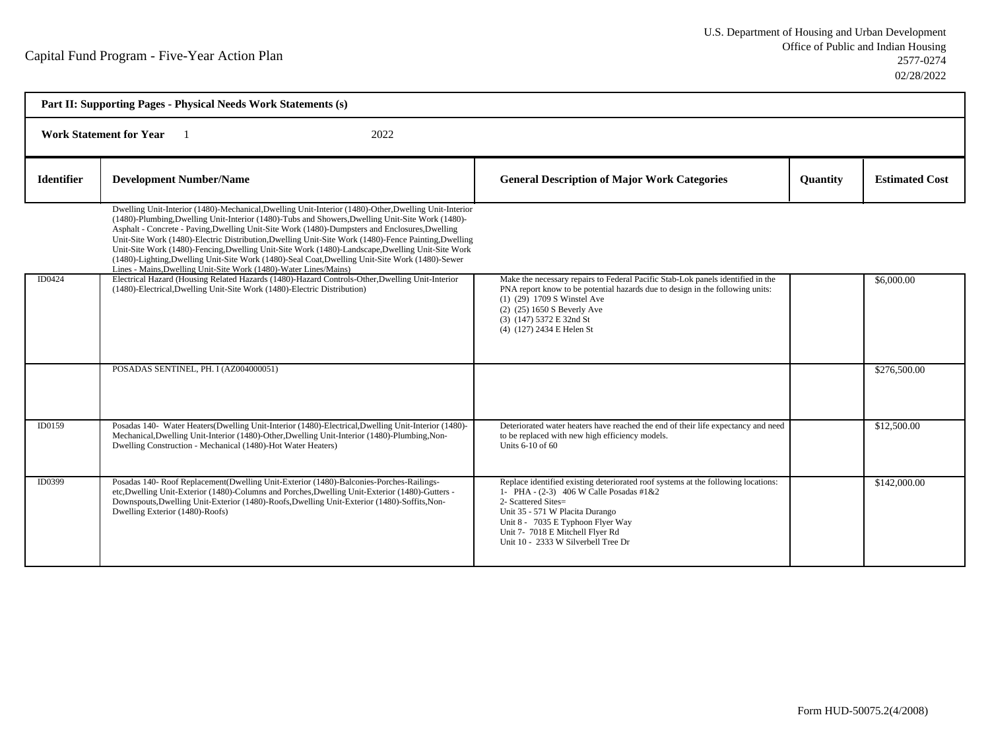| Part II: Supporting Pages - Physical Needs Work Statements (s) |                                                                                                                                                                                                                                                                                                                                                                                                                                                                                                                                                                                                                                                                                                |                                                                                                                                                                                                                                                                                                        |                 |                       |  |  |  |
|----------------------------------------------------------------|------------------------------------------------------------------------------------------------------------------------------------------------------------------------------------------------------------------------------------------------------------------------------------------------------------------------------------------------------------------------------------------------------------------------------------------------------------------------------------------------------------------------------------------------------------------------------------------------------------------------------------------------------------------------------------------------|--------------------------------------------------------------------------------------------------------------------------------------------------------------------------------------------------------------------------------------------------------------------------------------------------------|-----------------|-----------------------|--|--|--|
|                                                                | <b>Work Statement for Year</b><br>2022                                                                                                                                                                                                                                                                                                                                                                                                                                                                                                                                                                                                                                                         |                                                                                                                                                                                                                                                                                                        |                 |                       |  |  |  |
| <b>Identifier</b>                                              | <b>Development Number/Name</b>                                                                                                                                                                                                                                                                                                                                                                                                                                                                                                                                                                                                                                                                 | <b>General Description of Major Work Categories</b>                                                                                                                                                                                                                                                    | <b>Quantity</b> | <b>Estimated Cost</b> |  |  |  |
|                                                                | Dwelling Unit-Interior (1480)-Mechanical, Dwelling Unit-Interior (1480)-Other, Dwelling Unit-Interior<br>(1480)-Plumbing, Dwelling Unit-Interior (1480)-Tubs and Showers, Dwelling Unit-Site Work (1480)-<br>Asphalt - Concrete - Paving, Dwelling Unit-Site Work (1480)-Dumpsters and Enclosures, Dwelling<br>Unit-Site Work (1480)-Electric Distribution, Dwelling Unit-Site Work (1480)-Fence Painting, Dwelling<br>Unit-Site Work (1480)-Fencing, Dwelling Unit-Site Work (1480)-Landscape, Dwelling Unit-Site Work<br>(1480)-Lighting, Dwelling Unit-Site Work (1480)-Seal Coat, Dwelling Unit-Site Work (1480)-Sewer<br>Lines - Mains, Dwelling Unit-Site Work (1480)-Water Lines/Mains) |                                                                                                                                                                                                                                                                                                        |                 |                       |  |  |  |
| ID0424                                                         | Electrical Hazard (Housing Related Hazards (1480)-Hazard Controls-Other, Dwelling Unit-Interior<br>(1480)-Electrical, Dwelling Unit-Site Work (1480)-Electric Distribution)                                                                                                                                                                                                                                                                                                                                                                                                                                                                                                                    | Make the necessary repairs to Federal Pacific Stab-Lok panels identified in the<br>PNA report know to be potential hazards due to design in the following units:<br>(1) (29) 1709 S Winstel Ave<br>(2) (25) 1650 S Beverly Ave<br>(3) (147) 5372 E 32nd St<br>(4) (127) 2434 E Helen St                |                 | \$6,000.00            |  |  |  |
|                                                                | POSADAS SENTINEL, PH. I (AZ004000051)                                                                                                                                                                                                                                                                                                                                                                                                                                                                                                                                                                                                                                                          |                                                                                                                                                                                                                                                                                                        |                 | \$276,500.00          |  |  |  |
| ID0159                                                         | Posadas 140- Water Heaters(Dwelling Unit-Interior (1480)-Electrical, Dwelling Unit-Interior (1480)-<br>Mechanical, Dwelling Unit-Interior (1480)-Other, Dwelling Unit-Interior (1480)-Plumbing, Non-<br>Dwelling Construction - Mechanical (1480)-Hot Water Heaters)                                                                                                                                                                                                                                                                                                                                                                                                                           | Deteriorated water heaters have reached the end of their life expectancy and need<br>to be replaced with new high efficiency models.<br>Units $6-10$ of $60$                                                                                                                                           |                 | \$12,500.00           |  |  |  |
| ID0399                                                         | Posadas 140- Roof Replacement(Dwelling Unit-Exterior (1480)-Balconies-Porches-Railings-<br>etc, Dwelling Unit-Exterior (1480)-Columns and Porches, Dwelling Unit-Exterior (1480)-Gutters -<br>Downspouts, Dwelling Unit-Exterior (1480)-Roofs, Dwelling Unit-Exterior (1480)-Soffits, Non-<br>Dwelling Exterior (1480)-Roofs)                                                                                                                                                                                                                                                                                                                                                                  | Replace identified existing deteriorated roof systems at the following locations:<br>1- PHA - (2-3) 406 W Calle Posadas #1&2<br>2- Scattered Sites=<br>Unit 35 - 571 W Placita Durango<br>Unit 8 - 7035 E Typhoon Flyer Way<br>Unit 7- 7018 E Mitchell Flyer Rd<br>Unit 10 - 2333 W Silverbell Tree Dr |                 | \$142,000.00          |  |  |  |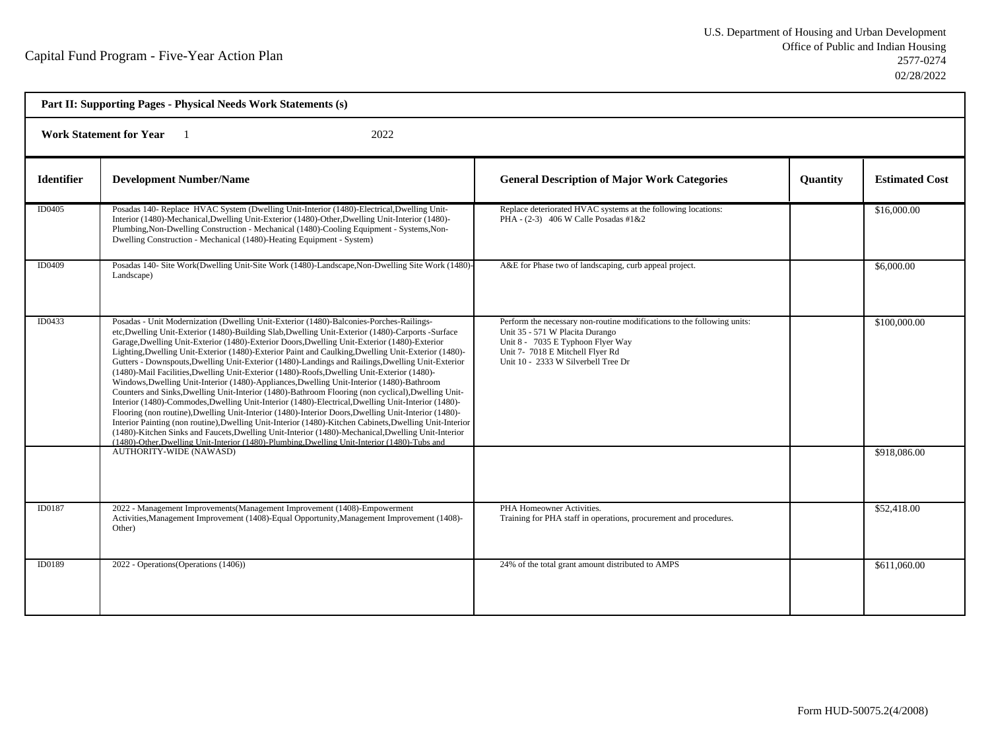| Part II: Supporting Pages - Physical Needs Work Statements (s) |                                                                                                                                                                                                                                                                                                                                                                                                                                                                                                                                                                                                                                                                                                                                                                                                                                                                                                                                                                                                                                                                                                                                                                                                                                                                                                                                           |                                                                                                                                                                                                                            |                 |                       |  |  |  |
|----------------------------------------------------------------|-------------------------------------------------------------------------------------------------------------------------------------------------------------------------------------------------------------------------------------------------------------------------------------------------------------------------------------------------------------------------------------------------------------------------------------------------------------------------------------------------------------------------------------------------------------------------------------------------------------------------------------------------------------------------------------------------------------------------------------------------------------------------------------------------------------------------------------------------------------------------------------------------------------------------------------------------------------------------------------------------------------------------------------------------------------------------------------------------------------------------------------------------------------------------------------------------------------------------------------------------------------------------------------------------------------------------------------------|----------------------------------------------------------------------------------------------------------------------------------------------------------------------------------------------------------------------------|-----------------|-----------------------|--|--|--|
|                                                                | 2022<br><b>Work Statement for Year</b>                                                                                                                                                                                                                                                                                                                                                                                                                                                                                                                                                                                                                                                                                                                                                                                                                                                                                                                                                                                                                                                                                                                                                                                                                                                                                                    |                                                                                                                                                                                                                            |                 |                       |  |  |  |
| <b>Identifier</b>                                              | <b>Development Number/Name</b>                                                                                                                                                                                                                                                                                                                                                                                                                                                                                                                                                                                                                                                                                                                                                                                                                                                                                                                                                                                                                                                                                                                                                                                                                                                                                                            | <b>General Description of Major Work Categories</b>                                                                                                                                                                        | <b>Quantity</b> | <b>Estimated Cost</b> |  |  |  |
| ID0405                                                         | Posadas 140- Replace HVAC System (Dwelling Unit-Interior (1480)-Electrical, Dwelling Unit-<br>Interior (1480)-Mechanical, Dwelling Unit-Exterior (1480)-Other, Dwelling Unit-Interior (1480)-<br>Plumbing, Non-Dwelling Construction - Mechanical (1480)-Cooling Equipment - Systems, Non-<br>Dwelling Construction - Mechanical (1480)-Heating Equipment - System)                                                                                                                                                                                                                                                                                                                                                                                                                                                                                                                                                                                                                                                                                                                                                                                                                                                                                                                                                                       | Replace deteriorated HVAC systems at the following locations:<br>PHA - $(2-3)$ 406 W Calle Posadas #1&2                                                                                                                    |                 | \$16,000.00           |  |  |  |
| ID0409                                                         | Posadas 140- Site Work(Dwelling Unit-Site Work (1480)-Landscape, Non-Dwelling Site Work (1480)-<br>Landscape)                                                                                                                                                                                                                                                                                                                                                                                                                                                                                                                                                                                                                                                                                                                                                                                                                                                                                                                                                                                                                                                                                                                                                                                                                             | A&E for Phase two of landscaping, curb appeal project.                                                                                                                                                                     |                 | \$6,000.00            |  |  |  |
| ID0433                                                         | Posadas - Unit Modernization (Dwelling Unit-Exterior (1480)-Balconies-Porches-Railings-<br>etc, Dwelling Unit-Exterior (1480)-Building Slab, Dwelling Unit-Exterior (1480)-Carports -Surface<br>Garage, Dwelling Unit-Exterior (1480)-Exterior Doors, Dwelling Unit-Exterior (1480)-Exterior<br>Lighting, Dwelling Unit-Exterior (1480)-Exterior Paint and Caulking, Dwelling Unit-Exterior (1480)-<br>Gutters - Downspouts, Dwelling Unit-Exterior (1480)-Landings and Railings, Dwelling Unit-Exterior<br>(1480)-Mail Facilities, Dwelling Unit-Exterior (1480)-Roofs, Dwelling Unit-Exterior (1480)-<br>Windows, Dwelling Unit-Interior (1480)-Appliances, Dwelling Unit-Interior (1480)-Bathroom<br>Counters and Sinks, Dwelling Unit-Interior (1480)-Bathroom Flooring (non cyclical), Dwelling Unit-<br>Interior (1480)-Commodes, Dwelling Unit-Interior (1480)-Electrical, Dwelling Unit-Interior (1480)-<br>Flooring (non routine), Dwelling Unit-Interior (1480)-Interior Doors, Dwelling Unit-Interior (1480)-<br>Interior Painting (non routine), Dwelling Unit-Interior (1480)-Kitchen Cabinets, Dwelling Unit-Interior<br>(1480)-Kitchen Sinks and Faucets, Dwelling Unit-Interior (1480)-Mechanical, Dwelling Unit-Interior<br>(1480)-Other, Dwelling Unit-Interior (1480)-Plumbing, Dwelling Unit-Interior (1480)-Tubs and | Perform the necessary non-routine modifications to the following units:<br>Unit 35 - 571 W Placita Durango<br>Unit 8 - 7035 E Typhoon Flyer Way<br>Unit 7- 7018 E Mitchell Flyer Rd<br>Unit 10 - 2333 W Silverbell Tree Dr |                 | \$100,000.00          |  |  |  |
|                                                                | <b>AUTHORITY-WIDE (NAWASD)</b>                                                                                                                                                                                                                                                                                                                                                                                                                                                                                                                                                                                                                                                                                                                                                                                                                                                                                                                                                                                                                                                                                                                                                                                                                                                                                                            |                                                                                                                                                                                                                            |                 | \$918,086.00          |  |  |  |
| ID0187                                                         | 2022 - Management Improvements(Management Improvement (1408)-Empowerment<br>Activities, Management Improvement (1408)-Equal Opportunity, Management Improvement (1408)-<br>Other)                                                                                                                                                                                                                                                                                                                                                                                                                                                                                                                                                                                                                                                                                                                                                                                                                                                                                                                                                                                                                                                                                                                                                         | PHA Homeowner Activities.<br>Training for PHA staff in operations, procurement and procedures.                                                                                                                             |                 | \$52,418.00           |  |  |  |
| ID0189                                                         | 2022 - Operations (Operations (1406))                                                                                                                                                                                                                                                                                                                                                                                                                                                                                                                                                                                                                                                                                                                                                                                                                                                                                                                                                                                                                                                                                                                                                                                                                                                                                                     | 24% of the total grant amount distributed to AMPS                                                                                                                                                                          |                 | \$611,060.00          |  |  |  |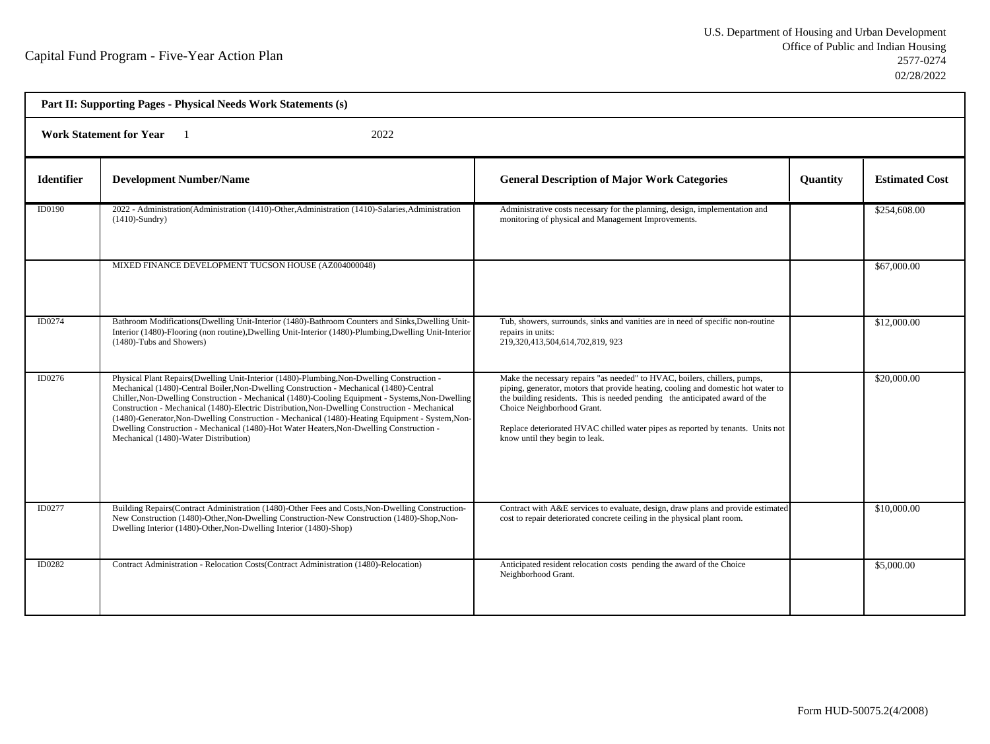| Part II: Supporting Pages - Physical Needs Work Statements (s) |                                                                                                                                                                                                                                                                                                                                                                                                                                                                                                                                                                                                                                       |                                                                                                                                                                                                                                                                                                                                                                                                  |                 |                       |  |  |  |
|----------------------------------------------------------------|---------------------------------------------------------------------------------------------------------------------------------------------------------------------------------------------------------------------------------------------------------------------------------------------------------------------------------------------------------------------------------------------------------------------------------------------------------------------------------------------------------------------------------------------------------------------------------------------------------------------------------------|--------------------------------------------------------------------------------------------------------------------------------------------------------------------------------------------------------------------------------------------------------------------------------------------------------------------------------------------------------------------------------------------------|-----------------|-----------------------|--|--|--|
|                                                                | <b>Work Statement for Year</b><br>2022                                                                                                                                                                                                                                                                                                                                                                                                                                                                                                                                                                                                |                                                                                                                                                                                                                                                                                                                                                                                                  |                 |                       |  |  |  |
| <b>Identifier</b>                                              | <b>Development Number/Name</b>                                                                                                                                                                                                                                                                                                                                                                                                                                                                                                                                                                                                        | <b>General Description of Major Work Categories</b>                                                                                                                                                                                                                                                                                                                                              | <b>Quantity</b> | <b>Estimated Cost</b> |  |  |  |
| ID0190                                                         | 2022 - Administration (Administration (1410)-Other Administration (1410)-Salaries Administration<br>$(1410)$ -Sundry)                                                                                                                                                                                                                                                                                                                                                                                                                                                                                                                 | Administrative costs necessary for the planning, design, implementation and<br>monitoring of physical and Management Improvements.                                                                                                                                                                                                                                                               |                 | \$254,608.00          |  |  |  |
|                                                                | MIXED FINANCE DEVELOPMENT TUCSON HOUSE (AZ004000048)                                                                                                                                                                                                                                                                                                                                                                                                                                                                                                                                                                                  |                                                                                                                                                                                                                                                                                                                                                                                                  |                 | \$67,000.00           |  |  |  |
| ID0274                                                         | Bathroom Modifications (Dwelling Unit-Interior (1480)-Bathroom Counters and Sinks, Dwelling Unit-<br>Interior (1480)-Flooring (non routine), Dwelling Unit-Interior (1480)-Plumbing, Dwelling Unit-Interior<br>(1480)-Tubs and Showers)                                                                                                                                                                                                                                                                                                                                                                                               | Tub, showers, surrounds, sinks and vanities are in need of specific non-routine<br>repairs in units:<br>219,320,413,504,614,702,819, 923                                                                                                                                                                                                                                                         |                 | \$12,000.00           |  |  |  |
| ID0276                                                         | Physical Plant Repairs (Dwelling Unit-Interior (1480)-Plumbing, Non-Dwelling Construction -<br>Mechanical (1480)-Central Boiler, Non-Dwelling Construction - Mechanical (1480)-Central<br>Chiller, Non-Dwelling Construction - Mechanical (1480)-Cooling Equipment - Systems, Non-Dwelling<br>Construction - Mechanical (1480)-Electric Distribution, Non-Dwelling Construction - Mechanical<br>(1480)-Generator, Non-Dwelling Construction - Mechanical (1480)-Heating Equipment - System, Non-<br>Dwelling Construction - Mechanical (1480)-Hot Water Heaters, Non-Dwelling Construction -<br>Mechanical (1480)-Water Distribution) | Make the necessary repairs "as needed" to HVAC, boilers, chillers, pumps,<br>piping, generator, motors that provide heating, cooling and domestic hot water to<br>the building residents. This is needed pending the anticipated award of the<br>Choice Neighborhood Grant.<br>Replace deteriorated HVAC chilled water pipes as reported by tenants. Units not<br>know until they begin to leak. |                 | \$20,000.00           |  |  |  |
| ID0277                                                         | Building Repairs (Contract Administration (1480)-Other Fees and Costs, Non-Dwelling Construction-<br>New Construction (1480)-Other, Non-Dwelling Construction-New Construction (1480)-Shop, Non-<br>Dwelling Interior (1480)-Other, Non-Dwelling Interior (1480)-Shop)                                                                                                                                                                                                                                                                                                                                                                | Contract with A&E services to evaluate, design, draw plans and provide estimated<br>cost to repair deteriorated concrete ceiling in the physical plant room.                                                                                                                                                                                                                                     |                 | \$10,000.00           |  |  |  |
| ID0282                                                         | Contract Administration - Relocation Costs (Contract Administration (1480)-Relocation)                                                                                                                                                                                                                                                                                                                                                                                                                                                                                                                                                | Anticipated resident relocation costs pending the award of the Choice<br>Neighborhood Grant.                                                                                                                                                                                                                                                                                                     |                 | \$5,000.00            |  |  |  |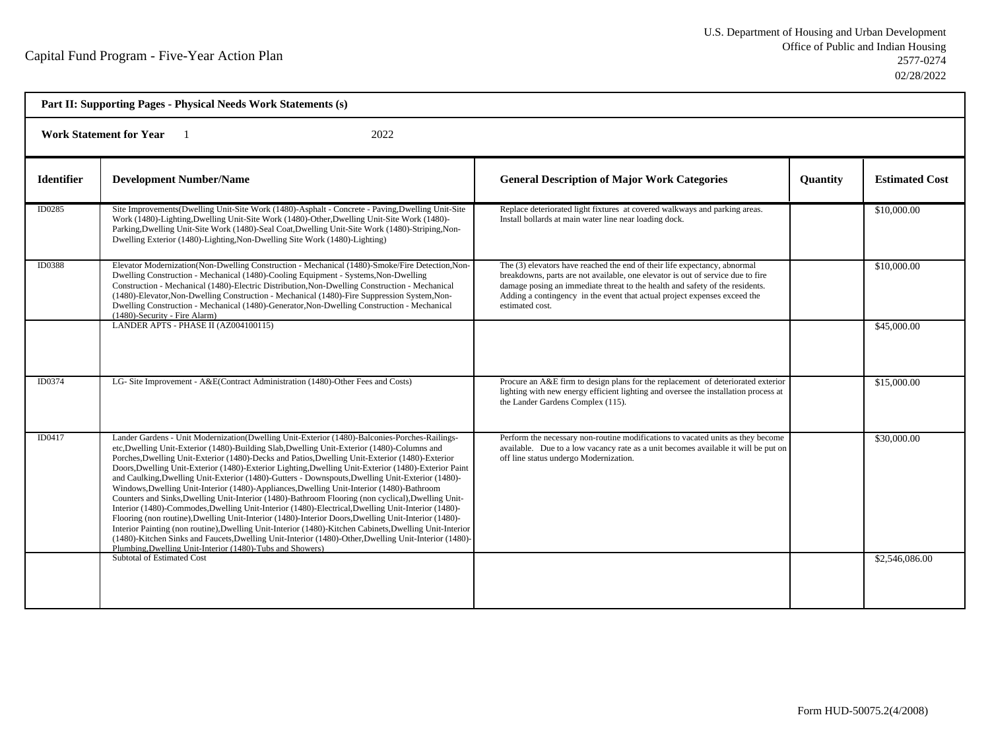| Part II: Supporting Pages - Physical Needs Work Statements (s) |                                                                                                                                                                                                                                                                                                                                                                                                                                                                                                                                                                                                                                                                                                                                                                                                                                                                                                                                                                                                                                                                                                                                                                                                                |                                                                                                                                                                                                                                                                                                                                              |                 |                       |  |  |
|----------------------------------------------------------------|----------------------------------------------------------------------------------------------------------------------------------------------------------------------------------------------------------------------------------------------------------------------------------------------------------------------------------------------------------------------------------------------------------------------------------------------------------------------------------------------------------------------------------------------------------------------------------------------------------------------------------------------------------------------------------------------------------------------------------------------------------------------------------------------------------------------------------------------------------------------------------------------------------------------------------------------------------------------------------------------------------------------------------------------------------------------------------------------------------------------------------------------------------------------------------------------------------------|----------------------------------------------------------------------------------------------------------------------------------------------------------------------------------------------------------------------------------------------------------------------------------------------------------------------------------------------|-----------------|-----------------------|--|--|
| <b>Work Statement for Year</b><br>2022                         |                                                                                                                                                                                                                                                                                                                                                                                                                                                                                                                                                                                                                                                                                                                                                                                                                                                                                                                                                                                                                                                                                                                                                                                                                |                                                                                                                                                                                                                                                                                                                                              |                 |                       |  |  |
| <b>Identifier</b>                                              | <b>Development Number/Name</b>                                                                                                                                                                                                                                                                                                                                                                                                                                                                                                                                                                                                                                                                                                                                                                                                                                                                                                                                                                                                                                                                                                                                                                                 | <b>General Description of Major Work Categories</b>                                                                                                                                                                                                                                                                                          | <b>Quantity</b> | <b>Estimated Cost</b> |  |  |
| ID0285                                                         | Site Improvements (Dwelling Unit-Site Work (1480)-Asphalt - Concrete - Paving, Dwelling Unit-Site<br>Work (1480)-Lighting, Dwelling Unit-Site Work (1480)-Other, Dwelling Unit-Site Work (1480)-<br>Parking, Dwelling Unit-Site Work (1480)-Seal Coat, Dwelling Unit-Site Work (1480)-Striping, Non-<br>Dwelling Exterior (1480)-Lighting, Non-Dwelling Site Work (1480)-Lighting)                                                                                                                                                                                                                                                                                                                                                                                                                                                                                                                                                                                                                                                                                                                                                                                                                             | Replace deteriorated light fixtures at covered walkways and parking areas.<br>Install bollards at main water line near loading dock.                                                                                                                                                                                                         |                 | \$10,000.00           |  |  |
| ID0388                                                         | Elevator Modernization(Non-Dwelling Construction - Mechanical (1480)-Smoke/Fire Detection, Non-<br>Dwelling Construction - Mechanical (1480)-Cooling Equipment - Systems, Non-Dwelling<br>Construction - Mechanical (1480)-Electric Distribution, Non-Dwelling Construction - Mechanical<br>(1480)-Elevator, Non-Dwelling Construction - Mechanical (1480)-Fire Suppression System, Non-<br>Dwelling Construction - Mechanical (1480)-Generator, Non-Dwelling Construction - Mechanical<br>(1480)-Security - Fire Alarm)                                                                                                                                                                                                                                                                                                                                                                                                                                                                                                                                                                                                                                                                                       | The (3) elevators have reached the end of their life expectancy, abnormal<br>breakdowns, parts are not available, one elevator is out of service due to fire<br>damage posing an immediate threat to the health and safety of the residents.<br>Adding a contingency in the event that actual project expenses exceed the<br>estimated cost. |                 | \$10,000.00           |  |  |
|                                                                | LANDER APTS - PHASE II (AZ004100115)                                                                                                                                                                                                                                                                                                                                                                                                                                                                                                                                                                                                                                                                                                                                                                                                                                                                                                                                                                                                                                                                                                                                                                           |                                                                                                                                                                                                                                                                                                                                              |                 | \$45,000.00           |  |  |
| ID0374                                                         | LG- Site Improvement - A&E(Contract Administration (1480)-Other Fees and Costs)                                                                                                                                                                                                                                                                                                                                                                                                                                                                                                                                                                                                                                                                                                                                                                                                                                                                                                                                                                                                                                                                                                                                | Procure an A&E firm to design plans for the replacement of deteriorated exterior<br>lighting with new energy efficient lighting and oversee the installation process at<br>the Lander Gardens Complex (115).                                                                                                                                 |                 | \$15,000.00           |  |  |
| ID0417                                                         | Lander Gardens - Unit Modernization (Dwelling Unit-Exterior (1480)-Balconies-Porches-Railings-<br>etc, Dwelling Unit-Exterior (1480)-Building Slab, Dwelling Unit-Exterior (1480)-Columns and<br>Porches, Dwelling Unit-Exterior (1480)-Decks and Patios, Dwelling Unit-Exterior (1480)-Exterior<br>Doors, Dwelling Unit-Exterior (1480)-Exterior Lighting, Dwelling Unit-Exterior (1480)-Exterior Paint<br>and Caulking, Dwelling Unit-Exterior (1480)-Gutters - Downspouts, Dwelling Unit-Exterior (1480)-<br>Windows, Dwelling Unit-Interior (1480)-Appliances, Dwelling Unit-Interior (1480)-Bathroom<br>Counters and Sinks, Dwelling Unit-Interior (1480)-Bathroom Flooring (non cyclical), Dwelling Unit-<br>Interior (1480)-Commodes, Dwelling Unit-Interior (1480)-Electrical, Dwelling Unit-Interior (1480)-<br>Flooring (non routine), Dwelling Unit-Interior (1480)-Interior Doors, Dwelling Unit-Interior (1480)-<br>Interior Painting (non routine), Dwelling Unit-Interior (1480)-Kitchen Cabinets, Dwelling Unit-Interior<br>(1480)-Kitchen Sinks and Faucets, Dwelling Unit-Interior (1480)-Other, Dwelling Unit-Interior (1480)-<br>Plumbing, Dwelling Unit-Interior (1480)-Tubs and Showers) | Perform the necessary non-routine modifications to vacated units as they become<br>available. Due to a low vacancy rate as a unit becomes available it will be put on<br>off line status undergo Modernization.                                                                                                                              |                 | \$30,000.00           |  |  |
|                                                                | Subtotal of Estimated Cost                                                                                                                                                                                                                                                                                                                                                                                                                                                                                                                                                                                                                                                                                                                                                                                                                                                                                                                                                                                                                                                                                                                                                                                     |                                                                                                                                                                                                                                                                                                                                              |                 | \$2,546,086.00        |  |  |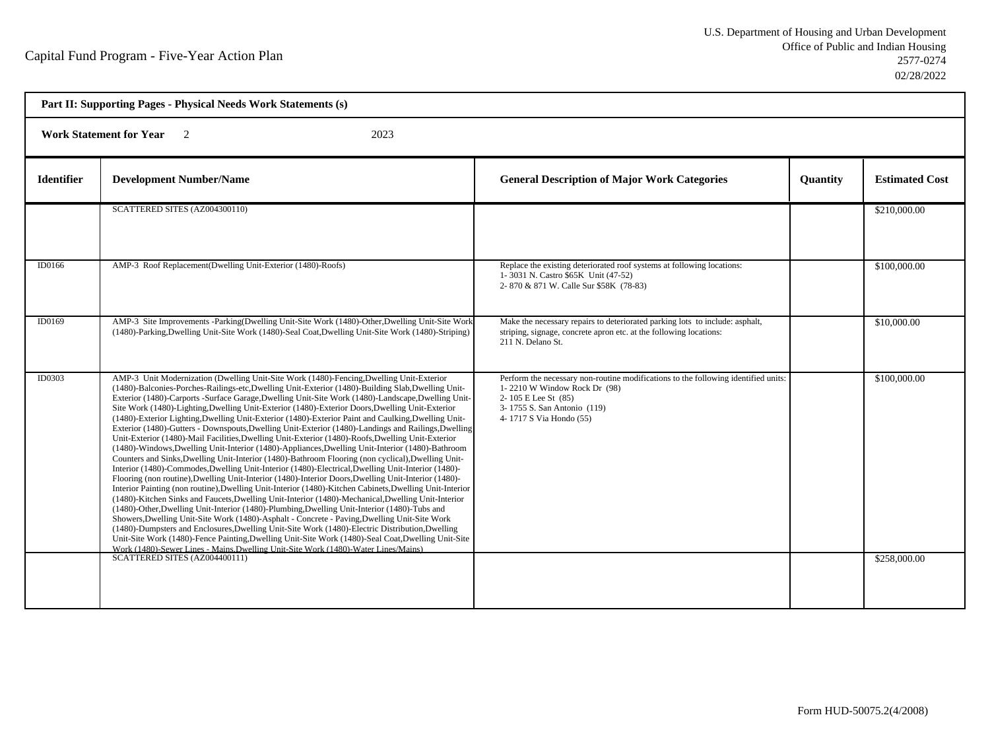h

| Part II: Supporting Pages - Physical Needs Work Statements (s) |                                                                                                                                                                                                                                                                                                                                                                                                                                                                                                                                                                                                                                                                                                                                                                                                                                                                                                                                                                                                                                                                                                                                                                                                                                                                                                                                                                                                                                                                                                                                                                                                                                                                                                                                                                                                                                                                                                  |                                                                                                                                                                                                     |                 |                              |  |  |  |
|----------------------------------------------------------------|--------------------------------------------------------------------------------------------------------------------------------------------------------------------------------------------------------------------------------------------------------------------------------------------------------------------------------------------------------------------------------------------------------------------------------------------------------------------------------------------------------------------------------------------------------------------------------------------------------------------------------------------------------------------------------------------------------------------------------------------------------------------------------------------------------------------------------------------------------------------------------------------------------------------------------------------------------------------------------------------------------------------------------------------------------------------------------------------------------------------------------------------------------------------------------------------------------------------------------------------------------------------------------------------------------------------------------------------------------------------------------------------------------------------------------------------------------------------------------------------------------------------------------------------------------------------------------------------------------------------------------------------------------------------------------------------------------------------------------------------------------------------------------------------------------------------------------------------------------------------------------------------------|-----------------------------------------------------------------------------------------------------------------------------------------------------------------------------------------------------|-----------------|------------------------------|--|--|--|
|                                                                | 2023<br><b>Work Statement for Year</b><br>$\overline{2}$                                                                                                                                                                                                                                                                                                                                                                                                                                                                                                                                                                                                                                                                                                                                                                                                                                                                                                                                                                                                                                                                                                                                                                                                                                                                                                                                                                                                                                                                                                                                                                                                                                                                                                                                                                                                                                         |                                                                                                                                                                                                     |                 |                              |  |  |  |
| <b>Identifier</b>                                              | <b>Development Number/Name</b>                                                                                                                                                                                                                                                                                                                                                                                                                                                                                                                                                                                                                                                                                                                                                                                                                                                                                                                                                                                                                                                                                                                                                                                                                                                                                                                                                                                                                                                                                                                                                                                                                                                                                                                                                                                                                                                                   | <b>General Description of Major Work Categories</b>                                                                                                                                                 | <b>Quantity</b> | <b>Estimated Cost</b>        |  |  |  |
|                                                                | SCATTERED SITES (AZ004300110)                                                                                                                                                                                                                                                                                                                                                                                                                                                                                                                                                                                                                                                                                                                                                                                                                                                                                                                                                                                                                                                                                                                                                                                                                                                                                                                                                                                                                                                                                                                                                                                                                                                                                                                                                                                                                                                                    |                                                                                                                                                                                                     |                 | \$210,000.00                 |  |  |  |
| ID0166                                                         | AMP-3 Roof Replacement(Dwelling Unit-Exterior (1480)-Roofs)                                                                                                                                                                                                                                                                                                                                                                                                                                                                                                                                                                                                                                                                                                                                                                                                                                                                                                                                                                                                                                                                                                                                                                                                                                                                                                                                                                                                                                                                                                                                                                                                                                                                                                                                                                                                                                      | Replace the existing deteriorated roof systems at following locations:<br>1-3031 N. Castro \$65K Unit (47-52)<br>2-870 & 871 W. Calle Sur \$58K (78-83)                                             |                 | \$100,000.00                 |  |  |  |
| ID0169                                                         | AMP-3 Site Improvements -Parking(Dwelling Unit-Site Work (1480)-Other, Dwelling Unit-Site Work<br>(1480)-Parking, Dwelling Unit-Site Work (1480)-Seal Coat, Dwelling Unit-Site Work (1480)-Striping)                                                                                                                                                                                                                                                                                                                                                                                                                                                                                                                                                                                                                                                                                                                                                                                                                                                                                                                                                                                                                                                                                                                                                                                                                                                                                                                                                                                                                                                                                                                                                                                                                                                                                             | Make the necessary repairs to deteriorated parking lots to include: asphalt,<br>striping, signage, concrete apron etc. at the following locations:<br>211 N. Delano St.                             |                 | \$10,000.00                  |  |  |  |
| ID0303                                                         | AMP-3 Unit Modernization (Dwelling Unit-Site Work (1480)-Fencing, Dwelling Unit-Exterior<br>(1480)-Balconies-Porches-Railings-etc,Dwelling Unit-Exterior (1480)-Building Slab,Dwelling Unit-<br>Exterior (1480)-Carports -Surface Garage, Dwelling Unit-Site Work (1480)-Landscape, Dwelling Unit-<br>Site Work (1480)-Lighting, Dwelling Unit-Exterior (1480)-Exterior Doors, Dwelling Unit-Exterior<br>(1480)-Exterior Lighting, Dwelling Unit-Exterior (1480)-Exterior Paint and Caulking, Dwelling Unit-<br>Exterior (1480)-Gutters - Downspouts, Dwelling Unit-Exterior (1480)-Landings and Railings, Dwelling<br>Unit-Exterior (1480)-Mail Facilities, Dwelling Unit-Exterior (1480)-Roofs, Dwelling Unit-Exterior<br>(1480)-Windows, Dwelling Unit-Interior (1480)-Appliances, Dwelling Unit-Interior (1480)-Bathroom<br>Counters and Sinks, Dwelling Unit-Interior (1480)-Bathroom Flooring (non cyclical), Dwelling Unit-<br>Interior (1480)-Commodes, Dwelling Unit-Interior (1480)-Electrical, Dwelling Unit-Interior (1480)-<br>Flooring (non routine), Dwelling Unit-Interior (1480)-Interior Doors, Dwelling Unit-Interior (1480)-<br>Interior Painting (non routine), Dwelling Unit-Interior (1480)-Kitchen Cabinets, Dwelling Unit-Interior<br>(1480)-Kitchen Sinks and Faucets, Dwelling Unit-Interior (1480)-Mechanical, Dwelling Unit-Interior<br>(1480)-Other, Dwelling Unit-Interior (1480)-Plumbing, Dwelling Unit-Interior (1480)-Tubs and<br>Showers, Dwelling Unit-Site Work (1480)-Asphalt - Concrete - Paving, Dwelling Unit-Site Work<br>(1480)-Dumpsters and Enclosures, Dwelling Unit-Site Work (1480)-Electric Distribution, Dwelling<br>Unit-Site Work (1480)-Fence Painting, Dwelling Unit-Site Work (1480)-Seal Coat, Dwelling Unit-Site<br>Work (1480)-Sewer Lines - Mains Dwelling Unit-Site Work (1480)-Water Lines/Mains)<br>SCATTERED SITES (AZ004400111) | Perform the necessary non-routine modifications to the following identified units:<br>1-2210 W Window Rock Dr (98)<br>2-105 E Lee St (85)<br>3-1755 S. San Antonio (119)<br>4-1717 S Via Hondo (55) |                 | \$100,000.00<br>\$258,000.00 |  |  |  |
|                                                                |                                                                                                                                                                                                                                                                                                                                                                                                                                                                                                                                                                                                                                                                                                                                                                                                                                                                                                                                                                                                                                                                                                                                                                                                                                                                                                                                                                                                                                                                                                                                                                                                                                                                                                                                                                                                                                                                                                  |                                                                                                                                                                                                     |                 |                              |  |  |  |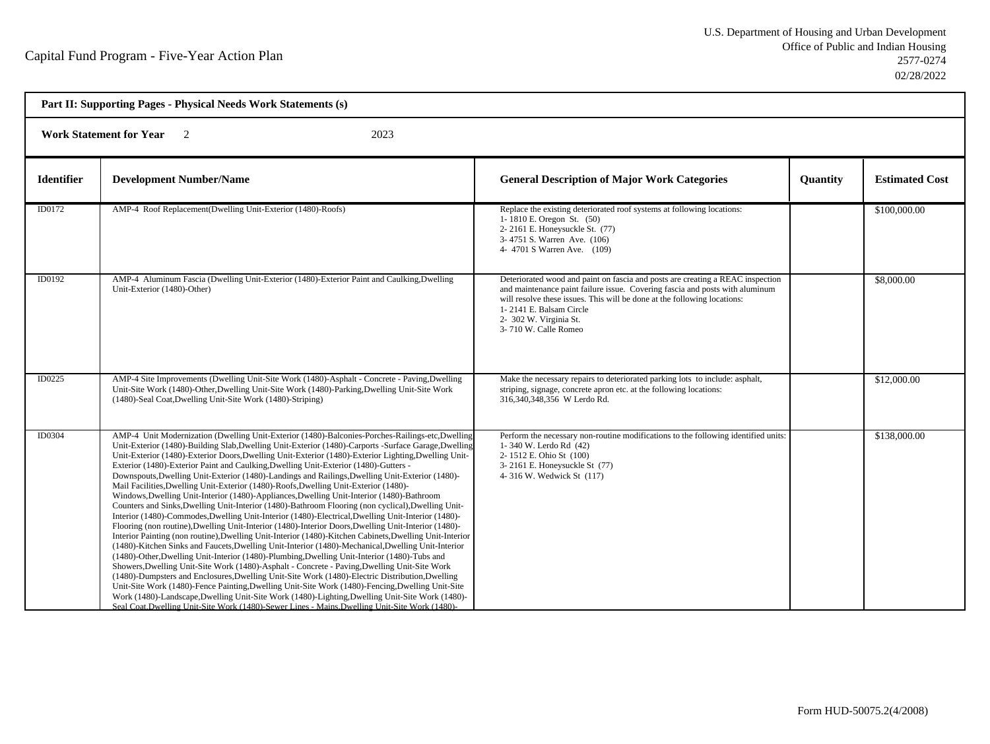| Part II: Supporting Pages - Physical Needs Work Statements (s) |                                                                                                                                                                                                                                                                                                                                                                                                                                                                                                                                                                                                                                                                                                                                                                                                                                                                                                                                                                                                                                                                                                                                                                                                                                                                                                                                                                                                                                                                                                                                                                                                                                                                                                                                                                                                                                                  |                                                                                                                                                                                                                                                                                                                         |                 |                       |  |
|----------------------------------------------------------------|--------------------------------------------------------------------------------------------------------------------------------------------------------------------------------------------------------------------------------------------------------------------------------------------------------------------------------------------------------------------------------------------------------------------------------------------------------------------------------------------------------------------------------------------------------------------------------------------------------------------------------------------------------------------------------------------------------------------------------------------------------------------------------------------------------------------------------------------------------------------------------------------------------------------------------------------------------------------------------------------------------------------------------------------------------------------------------------------------------------------------------------------------------------------------------------------------------------------------------------------------------------------------------------------------------------------------------------------------------------------------------------------------------------------------------------------------------------------------------------------------------------------------------------------------------------------------------------------------------------------------------------------------------------------------------------------------------------------------------------------------------------------------------------------------------------------------------------------------|-------------------------------------------------------------------------------------------------------------------------------------------------------------------------------------------------------------------------------------------------------------------------------------------------------------------------|-----------------|-----------------------|--|
| 2023<br><b>Work Statement for Year</b>                         |                                                                                                                                                                                                                                                                                                                                                                                                                                                                                                                                                                                                                                                                                                                                                                                                                                                                                                                                                                                                                                                                                                                                                                                                                                                                                                                                                                                                                                                                                                                                                                                                                                                                                                                                                                                                                                                  |                                                                                                                                                                                                                                                                                                                         |                 |                       |  |
| <b>Identifier</b>                                              | <b>Development Number/Name</b>                                                                                                                                                                                                                                                                                                                                                                                                                                                                                                                                                                                                                                                                                                                                                                                                                                                                                                                                                                                                                                                                                                                                                                                                                                                                                                                                                                                                                                                                                                                                                                                                                                                                                                                                                                                                                   | <b>General Description of Major Work Categories</b>                                                                                                                                                                                                                                                                     | <b>Quantity</b> | <b>Estimated Cost</b> |  |
| ID0172                                                         | AMP-4 Roof Replacement(Dwelling Unit-Exterior (1480)-Roofs)                                                                                                                                                                                                                                                                                                                                                                                                                                                                                                                                                                                                                                                                                                                                                                                                                                                                                                                                                                                                                                                                                                                                                                                                                                                                                                                                                                                                                                                                                                                                                                                                                                                                                                                                                                                      | Replace the existing deteriorated roof systems at following locations:<br>1-1810 E. Oregon St. (50)<br>2-2161 E. Honeysuckle St. (77)<br>3-4751 S. Warren Ave. (106)<br>4-4701 S Warren Ave. (109)                                                                                                                      |                 | \$100,000.00          |  |
| ID0192                                                         | AMP-4 Aluminum Fascia (Dwelling Unit-Exterior (1480)-Exterior Paint and Caulking, Dwelling<br>Unit-Exterior (1480)-Other)                                                                                                                                                                                                                                                                                                                                                                                                                                                                                                                                                                                                                                                                                                                                                                                                                                                                                                                                                                                                                                                                                                                                                                                                                                                                                                                                                                                                                                                                                                                                                                                                                                                                                                                        | Deteriorated wood and paint on fascia and posts are creating a REAC inspection<br>and maintenance paint failure issue. Covering fascia and posts with aluminum<br>will resolve these issues. This will be done at the following locations:<br>1-2141 E. Balsam Circle<br>2- 302 W. Virginia St.<br>3-710 W. Calle Romeo |                 | \$8,000.00            |  |
| ID0225                                                         | AMP-4 Site Improvements (Dwelling Unit-Site Work (1480)-Asphalt - Concrete - Paving, Dwelling<br>Unit-Site Work (1480)-Other, Dwelling Unit-Site Work (1480)-Parking, Dwelling Unit-Site Work<br>(1480)-Seal Coat, Dwelling Unit-Site Work (1480)-Striping)                                                                                                                                                                                                                                                                                                                                                                                                                                                                                                                                                                                                                                                                                                                                                                                                                                                                                                                                                                                                                                                                                                                                                                                                                                                                                                                                                                                                                                                                                                                                                                                      | Make the necessary repairs to deteriorated parking lots to include: asphalt,<br>striping, signage, concrete apron etc. at the following locations:<br>316,340,348,356 W Lerdo Rd.                                                                                                                                       |                 | \$12,000.00           |  |
| ID0304                                                         | AMP-4 Unit Modernization (Dwelling Unit-Exterior (1480)-Balconies-Porches-Railings-etc,Dwelling<br>Unit-Exterior (1480)-Building Slab, Dwelling Unit-Exterior (1480)-Carports -Surface Garage, Dwelling<br>Unit-Exterior (1480)-Exterior Doors, Dwelling Unit-Exterior (1480)-Exterior Lighting, Dwelling Unit-<br>Exterior (1480)-Exterior Paint and Caulking, Dwelling Unit-Exterior (1480)-Gutters -<br>Downspouts, Dwelling Unit-Exterior (1480)-Landings and Railings, Dwelling Unit-Exterior (1480)-<br>Mail Facilities, Dwelling Unit-Exterior (1480)-Roofs, Dwelling Unit-Exterior (1480)-<br>Windows, Dwelling Unit-Interior (1480)-Appliances, Dwelling Unit-Interior (1480)-Bathroom<br>Counters and Sinks, Dwelling Unit-Interior (1480)-Bathroom Flooring (non cyclical), Dwelling Unit-<br>Interior (1480)-Commodes, Dwelling Unit-Interior (1480)-Electrical, Dwelling Unit-Interior (1480)-<br>Flooring (non routine), Dwelling Unit-Interior (1480)-Interior Doors, Dwelling Unit-Interior (1480)-<br>Interior Painting (non routine), Dwelling Unit-Interior (1480)-Kitchen Cabinets, Dwelling Unit-Interior<br>(1480)-Kitchen Sinks and Faucets, Dwelling Unit-Interior (1480)-Mechanical, Dwelling Unit-Interior<br>(1480)-Other, Dwelling Unit-Interior (1480)-Plumbing, Dwelling Unit-Interior (1480)-Tubs and<br>Showers, Dwelling Unit-Site Work (1480)-Asphalt - Concrete - Paving, Dwelling Unit-Site Work<br>(1480)-Dumpsters and Enclosures, Dwelling Unit-Site Work (1480)-Electric Distribution, Dwelling<br>Unit-Site Work (1480)-Fence Painting, Dwelling Unit-Site Work (1480)-Fencing, Dwelling Unit-Site<br>Work (1480)-Landscape, Dwelling Unit-Site Work (1480)-Lighting, Dwelling Unit-Site Work (1480)-<br>Seal Coat, Dwelling Unit-Site Work (1480)-Sewer Lines - Mains, Dwelling Unit-Site Work (1480)- | Perform the necessary non-routine modifications to the following identified units:<br>1-340 W. Lerdo Rd (42)<br>2-1512 E. Ohio St (100)<br>3-2161 E. Honeysuckle St (77)<br>4-316 W. Wedwick St (117)                                                                                                                   |                 | \$138,000.00          |  |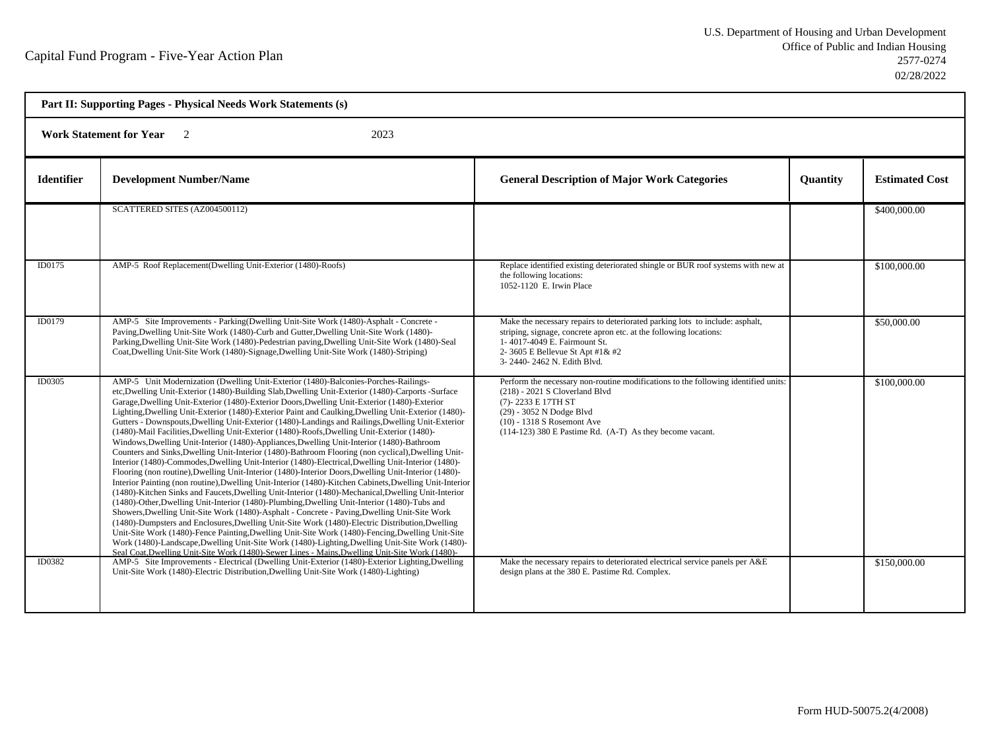| Part II: Supporting Pages - Physical Needs Work Statements (s) |                                                                                                                                                                                                                                                                                                                                                                                                                                                                                                                                                                                                                                                                                                                                                                                                                                                                                                                                                                                                                                                                                                                                                                                                                                                                                                                                                                                                                                                                                                                                                                                                                                                                                                                                                                                                                                                   |                                                                                                                                                                                                                                                                          |          |                       |  |
|----------------------------------------------------------------|---------------------------------------------------------------------------------------------------------------------------------------------------------------------------------------------------------------------------------------------------------------------------------------------------------------------------------------------------------------------------------------------------------------------------------------------------------------------------------------------------------------------------------------------------------------------------------------------------------------------------------------------------------------------------------------------------------------------------------------------------------------------------------------------------------------------------------------------------------------------------------------------------------------------------------------------------------------------------------------------------------------------------------------------------------------------------------------------------------------------------------------------------------------------------------------------------------------------------------------------------------------------------------------------------------------------------------------------------------------------------------------------------------------------------------------------------------------------------------------------------------------------------------------------------------------------------------------------------------------------------------------------------------------------------------------------------------------------------------------------------------------------------------------------------------------------------------------------------|--------------------------------------------------------------------------------------------------------------------------------------------------------------------------------------------------------------------------------------------------------------------------|----------|-----------------------|--|
| <b>Work Statement for Year</b><br>$\overline{2}$<br>2023       |                                                                                                                                                                                                                                                                                                                                                                                                                                                                                                                                                                                                                                                                                                                                                                                                                                                                                                                                                                                                                                                                                                                                                                                                                                                                                                                                                                                                                                                                                                                                                                                                                                                                                                                                                                                                                                                   |                                                                                                                                                                                                                                                                          |          |                       |  |
| <b>Identifier</b>                                              | <b>Development Number/Name</b>                                                                                                                                                                                                                                                                                                                                                                                                                                                                                                                                                                                                                                                                                                                                                                                                                                                                                                                                                                                                                                                                                                                                                                                                                                                                                                                                                                                                                                                                                                                                                                                                                                                                                                                                                                                                                    | <b>General Description of Major Work Categories</b>                                                                                                                                                                                                                      | Quantity | <b>Estimated Cost</b> |  |
|                                                                | SCATTERED SITES (AZ004500112)                                                                                                                                                                                                                                                                                                                                                                                                                                                                                                                                                                                                                                                                                                                                                                                                                                                                                                                                                                                                                                                                                                                                                                                                                                                                                                                                                                                                                                                                                                                                                                                                                                                                                                                                                                                                                     |                                                                                                                                                                                                                                                                          |          | \$400,000.00          |  |
| ID0175                                                         | AMP-5 Roof Replacement(Dwelling Unit-Exterior (1480)-Roofs)                                                                                                                                                                                                                                                                                                                                                                                                                                                                                                                                                                                                                                                                                                                                                                                                                                                                                                                                                                                                                                                                                                                                                                                                                                                                                                                                                                                                                                                                                                                                                                                                                                                                                                                                                                                       | Replace identified existing deteriorated shingle or BUR roof systems with new at<br>the following locations:<br>1052-1120 E. Irwin Place                                                                                                                                 |          | \$100,000.00          |  |
| ID0179                                                         | AMP-5 Site Improvements - Parking(Dwelling Unit-Site Work (1480)-Asphalt - Concrete -<br>Paving, Dwelling Unit-Site Work (1480)-Curb and Gutter, Dwelling Unit-Site Work (1480)-<br>Parking, Dwelling Unit-Site Work (1480)-Pedestrian paving, Dwelling Unit-Site Work (1480)-Seal<br>Coat, Dwelling Unit-Site Work (1480)-Signage, Dwelling Unit-Site Work (1480)-Striping)                                                                                                                                                                                                                                                                                                                                                                                                                                                                                                                                                                                                                                                                                                                                                                                                                                                                                                                                                                                                                                                                                                                                                                                                                                                                                                                                                                                                                                                                      | Make the necessary repairs to deteriorated parking lots to include: asphalt,<br>striping, signage, concrete apron etc. at the following locations:<br>1-4017-4049 E. Fairmount St.<br>2-3605 E Bellevue St Apt #1& #2<br>3-2440-2462 N. Edith Blvd.                      |          | \$50,000.00           |  |
| ID0305                                                         | AMP-5 Unit Modernization (Dwelling Unit-Exterior (1480)-Balconies-Porches-Railings-<br>etc, Dwelling Unit-Exterior (1480)-Building Slab, Dwelling Unit-Exterior (1480)-Carports -Surface<br>Garage, Dwelling Unit-Exterior (1480)-Exterior Doors, Dwelling Unit-Exterior (1480)-Exterior<br>Lighting, Dwelling Unit-Exterior (1480)-Exterior Paint and Caulking, Dwelling Unit-Exterior (1480)-<br>Gutters - Downspouts, Dwelling Unit-Exterior (1480)-Landings and Railings, Dwelling Unit-Exterior<br>(1480)-Mail Facilities, Dwelling Unit-Exterior (1480)-Roofs, Dwelling Unit-Exterior (1480)-<br>Windows, Dwelling Unit-Interior (1480)-Appliances, Dwelling Unit-Interior (1480)-Bathroom<br>Counters and Sinks, Dwelling Unit-Interior (1480)-Bathroom Flooring (non cyclical), Dwelling Unit-<br>Interior (1480)-Commodes, Dwelling Unit-Interior (1480)-Electrical, Dwelling Unit-Interior (1480)-<br>Flooring (non routine), Dwelling Unit-Interior (1480)-Interior Doors, Dwelling Unit-Interior (1480)-<br>Interior Painting (non routine), Dwelling Unit-Interior (1480)-Kitchen Cabinets, Dwelling Unit-Interior<br>(1480)-Kitchen Sinks and Faucets, Dwelling Unit-Interior (1480)-Mechanical, Dwelling Unit-Interior<br>(1480)-Other, Dwelling Unit-Interior (1480)-Plumbing, Dwelling Unit-Interior (1480)-Tubs and<br>Showers, Dwelling Unit-Site Work (1480)-Asphalt - Concrete - Paving, Dwelling Unit-Site Work<br>(1480)-Dumpsters and Enclosures, Dwelling Unit-Site Work (1480)-Electric Distribution, Dwelling<br>Unit-Site Work (1480)-Fence Painting, Dwelling Unit-Site Work (1480)-Fencing, Dwelling Unit-Site<br>Work (1480)-Landscape, Dwelling Unit-Site Work (1480)-Lighting, Dwelling Unit-Site Work (1480)-<br>Seal Coat, Dwelling Unit-Site Work (1480)-Sewer Lines - Mains, Dwelling Unit-Site Work (1480)- | Perform the necessary non-routine modifications to the following identified units:<br>$(218)$ - 2021 S Cloverland Blvd<br>(7)-2233 E 17TH ST<br>(29) - 3052 N Dodge Blvd<br>$(10) - 1318$ S Rosemont Ave<br>$(114-123)$ 380 E Pastime Rd. $(A-T)$ As they become vacant. |          | \$100,000.00          |  |
| ID0382                                                         | AMP-5 Site Improvements - Electrical (Dwelling Unit-Exterior (1480)-Exterior Lighting, Dwelling<br>Unit-Site Work (1480)-Electric Distribution, Dwelling Unit-Site Work (1480)-Lighting)                                                                                                                                                                                                                                                                                                                                                                                                                                                                                                                                                                                                                                                                                                                                                                                                                                                                                                                                                                                                                                                                                                                                                                                                                                                                                                                                                                                                                                                                                                                                                                                                                                                          | Make the necessary repairs to deteriorated electrical service panels per A&E<br>design plans at the 380 E. Pastime Rd. Complex.                                                                                                                                          |          | \$150,000.00          |  |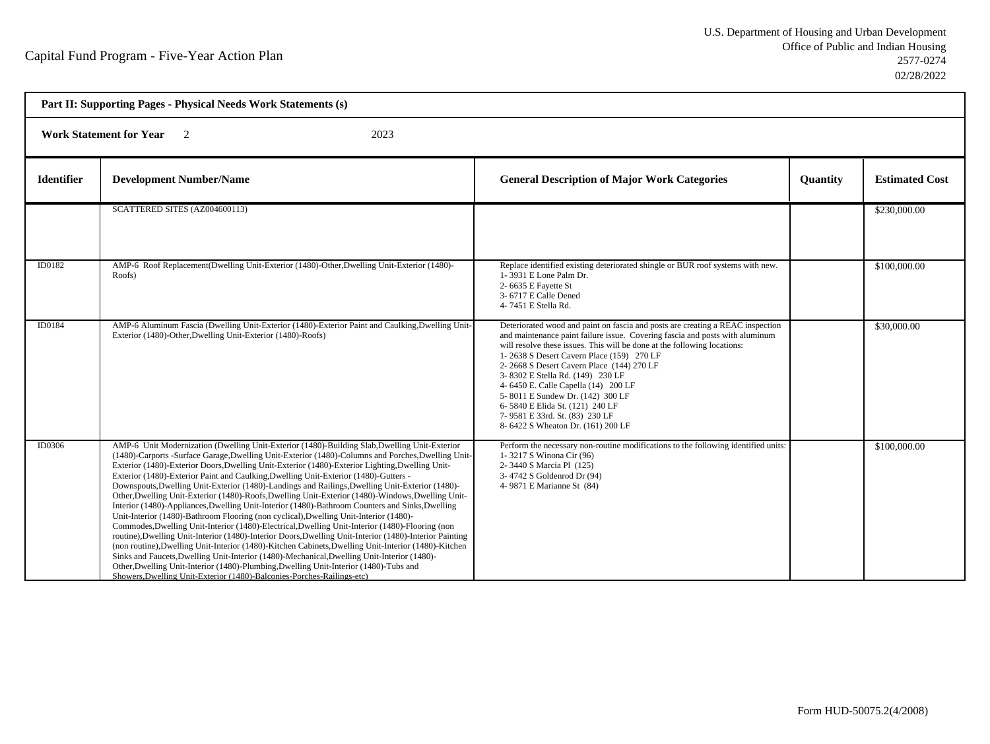| Part II: Supporting Pages - Physical Needs Work Statements (s) |                                                                                                                                                                                                                                                                                                                                                                                                                                                                                                                                                                                                                                                                                                                                                                                                                                                                                                                                                                                                                                                                                                                                                                                                                                                                                                                                                                                            |                                                                                                                                                                                                                                                                                                                                                                                                                                                                                                                                                                |          |                       |  |
|----------------------------------------------------------------|--------------------------------------------------------------------------------------------------------------------------------------------------------------------------------------------------------------------------------------------------------------------------------------------------------------------------------------------------------------------------------------------------------------------------------------------------------------------------------------------------------------------------------------------------------------------------------------------------------------------------------------------------------------------------------------------------------------------------------------------------------------------------------------------------------------------------------------------------------------------------------------------------------------------------------------------------------------------------------------------------------------------------------------------------------------------------------------------------------------------------------------------------------------------------------------------------------------------------------------------------------------------------------------------------------------------------------------------------------------------------------------------|----------------------------------------------------------------------------------------------------------------------------------------------------------------------------------------------------------------------------------------------------------------------------------------------------------------------------------------------------------------------------------------------------------------------------------------------------------------------------------------------------------------------------------------------------------------|----------|-----------------------|--|
|                                                                | <b>Work Statement for Year</b><br>2023<br>$\overline{2}$                                                                                                                                                                                                                                                                                                                                                                                                                                                                                                                                                                                                                                                                                                                                                                                                                                                                                                                                                                                                                                                                                                                                                                                                                                                                                                                                   |                                                                                                                                                                                                                                                                                                                                                                                                                                                                                                                                                                |          |                       |  |
| <b>Identifier</b>                                              | <b>Development Number/Name</b>                                                                                                                                                                                                                                                                                                                                                                                                                                                                                                                                                                                                                                                                                                                                                                                                                                                                                                                                                                                                                                                                                                                                                                                                                                                                                                                                                             | <b>General Description of Major Work Categories</b>                                                                                                                                                                                                                                                                                                                                                                                                                                                                                                            | Quantity | <b>Estimated Cost</b> |  |
|                                                                | SCATTERED SITES (AZ004600113)                                                                                                                                                                                                                                                                                                                                                                                                                                                                                                                                                                                                                                                                                                                                                                                                                                                                                                                                                                                                                                                                                                                                                                                                                                                                                                                                                              |                                                                                                                                                                                                                                                                                                                                                                                                                                                                                                                                                                |          | \$230,000.00          |  |
| ID0182                                                         | AMP-6 Roof Replacement(Dwelling Unit-Exterior (1480)-Other, Dwelling Unit-Exterior (1480)-<br>Roofs)                                                                                                                                                                                                                                                                                                                                                                                                                                                                                                                                                                                                                                                                                                                                                                                                                                                                                                                                                                                                                                                                                                                                                                                                                                                                                       | Replace identified existing deteriorated shingle or BUR roof systems with new.<br>1-3931 E Lone Palm Dr.<br>2-6635 E Fayette St<br>3-6717 E Calle Dened<br>4-7451 E Stella Rd.                                                                                                                                                                                                                                                                                                                                                                                 |          | \$100,000.00          |  |
| ID0184                                                         | AMP-6 Aluminum Fascia (Dwelling Unit-Exterior (1480)-Exterior Paint and Caulking, Dwelling Unit-<br>Exterior (1480)-Other, Dwelling Unit-Exterior (1480)-Roofs)                                                                                                                                                                                                                                                                                                                                                                                                                                                                                                                                                                                                                                                                                                                                                                                                                                                                                                                                                                                                                                                                                                                                                                                                                            | Deteriorated wood and paint on fascia and posts are creating a REAC inspection<br>and maintenance paint failure issue. Covering fascia and posts with aluminum<br>will resolve these issues. This will be done at the following locations:<br>1-2638 S Desert Cavern Place (159) 270 LF<br>2-2668 S Desert Cavern Place (144) 270 LF<br>3-8302 E Stella Rd. (149) 230 LF<br>4- 6450 E. Calle Capella (14) 200 LF<br>5-8011 E Sundew Dr. (142) 300 LF<br>6-5840 E Elida St. (121) 240 LF<br>7-9581 E 33rd. St. (83) 230 LF<br>8-6422 S Wheaton Dr. (161) 200 LF |          | \$30,000.00           |  |
| ID0306                                                         | AMP-6 Unit Modernization (Dwelling Unit-Exterior (1480)-Building Slab, Dwelling Unit-Exterior<br>(1480)-Carports -Surface Garage, Dwelling Unit-Exterior (1480)-Columns and Porches, Dwelling Unit-<br>Exterior (1480)-Exterior Doors, Dwelling Unit-Exterior (1480)-Exterior Lighting, Dwelling Unit-<br>Exterior (1480)-Exterior Paint and Caulking, Dwelling Unit-Exterior (1480)-Gutters -<br>Downspouts, Dwelling Unit-Exterior (1480)-Landings and Railings, Dwelling Unit-Exterior (1480)-<br>Other, Dwelling Unit-Exterior (1480)-Roofs, Dwelling Unit-Exterior (1480)-Windows, Dwelling Unit-<br>Interior (1480)-Appliances, Dwelling Unit-Interior (1480)-Bathroom Counters and Sinks, Dwelling<br>Unit-Interior (1480)-Bathroom Flooring (non cyclical), Dwelling Unit-Interior (1480)-<br>Commodes, Dwelling Unit-Interior (1480)-Electrical, Dwelling Unit-Interior (1480)-Flooring (non<br>routine), Dwelling Unit-Interior (1480)-Interior Doors, Dwelling Unit-Interior (1480)-Interior Painting<br>(non routine), Dwelling Unit-Interior (1480)-Kitchen Cabinets, Dwelling Unit-Interior (1480)-Kitchen<br>Sinks and Faucets, Dwelling Unit-Interior (1480)-Mechanical, Dwelling Unit-Interior (1480)-<br>Other, Dwelling Unit-Interior (1480)-Plumbing, Dwelling Unit-Interior (1480)-Tubs and<br>Showers, Dwelling Unit-Exterior (1480)-Balconies-Porches-Railings-etc) | Perform the necessary non-routine modifications to the following identified units:<br>1-3217 S Winona Cir (96)<br>2-3440 S Marcia Pl (125)<br>3-4742 S Goldenrod Dr (94)<br>4-9871 E Marianne St (84)                                                                                                                                                                                                                                                                                                                                                          |          | \$100,000.00          |  |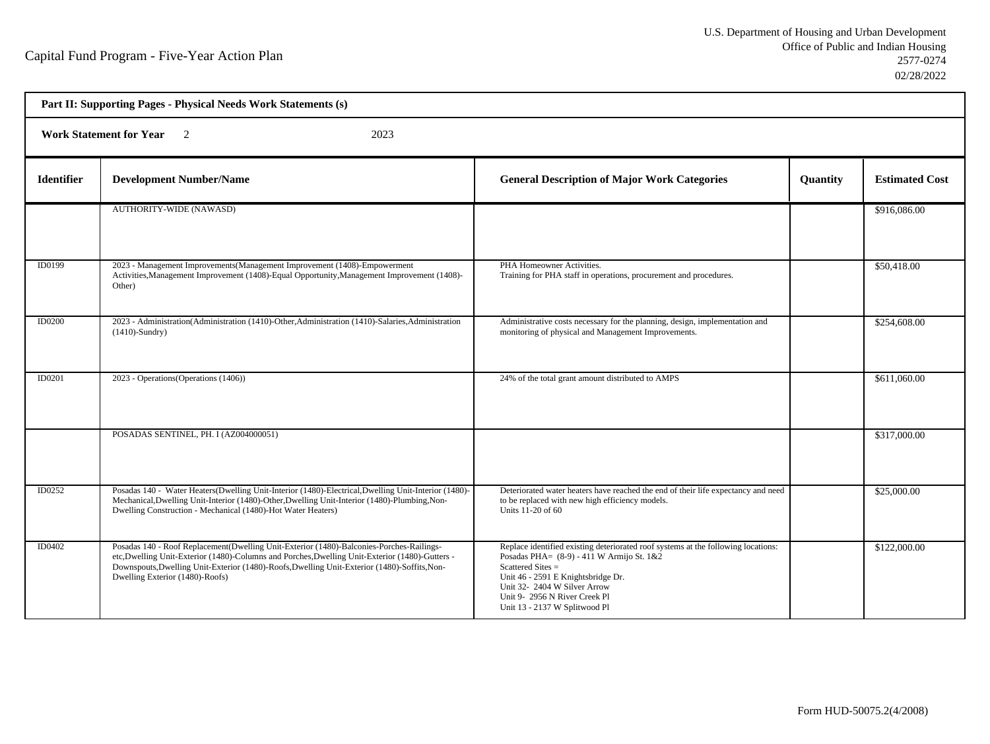| Part II: Supporting Pages - Physical Needs Work Statements (s) |                                                                                                                                                                                                                                                                                                                                |                                                                                                                                                                                                                                                                                            |          |                       |  |
|----------------------------------------------------------------|--------------------------------------------------------------------------------------------------------------------------------------------------------------------------------------------------------------------------------------------------------------------------------------------------------------------------------|--------------------------------------------------------------------------------------------------------------------------------------------------------------------------------------------------------------------------------------------------------------------------------------------|----------|-----------------------|--|
|                                                                | Work Statement for Year 2<br>2023                                                                                                                                                                                                                                                                                              |                                                                                                                                                                                                                                                                                            |          |                       |  |
| <b>Identifier</b>                                              | <b>Development Number/Name</b>                                                                                                                                                                                                                                                                                                 | <b>General Description of Major Work Categories</b>                                                                                                                                                                                                                                        | Quantity | <b>Estimated Cost</b> |  |
|                                                                | <b>AUTHORITY-WIDE (NAWASD)</b>                                                                                                                                                                                                                                                                                                 |                                                                                                                                                                                                                                                                                            |          | \$916,086.00          |  |
| ID0199                                                         | 2023 - Management Improvements (Management Improvement (1408)-Empowerment<br>Activities, Management Improvement (1408)-Equal Opportunity, Management Improvement (1408)-<br>Other)                                                                                                                                             | PHA Homeowner Activities.<br>Training for PHA staff in operations, procurement and procedures.                                                                                                                                                                                             |          | \$50,418.00           |  |
| <b>ID0200</b>                                                  | 2023 - Administration (Administration (1410)-Other, Administration (1410)-Salaries, Administration<br>$(1410)$ -Sundry)                                                                                                                                                                                                        | Administrative costs necessary for the planning, design, implementation and<br>monitoring of physical and Management Improvements.                                                                                                                                                         |          | \$254,608.00          |  |
| <b>ID0201</b>                                                  | 2023 - Operations (Operations (1406))                                                                                                                                                                                                                                                                                          | 24% of the total grant amount distributed to AMPS                                                                                                                                                                                                                                          |          | \$611,060.00          |  |
|                                                                | POSADAS SENTINEL, PH. I (AZ004000051)                                                                                                                                                                                                                                                                                          |                                                                                                                                                                                                                                                                                            |          | \$317,000.00          |  |
| ID0252                                                         | Posadas 140 - Water Heaters(Dwelling Unit-Interior (1480)-Electrical, Dwelling Unit-Interior (1480)-<br>Mechanical, Dwelling Unit-Interior (1480)-Other, Dwelling Unit-Interior (1480)-Plumbing, Non-<br>Dwelling Construction - Mechanical (1480)-Hot Water Heaters)                                                          | Deteriorated water heaters have reached the end of their life expectancy and need<br>to be replaced with new high efficiency models.<br>Units 11-20 of 60                                                                                                                                  |          | \$25,000.00           |  |
| ID0402                                                         | Posadas 140 - Roof Replacement(Dwelling Unit-Exterior (1480)-Balconies-Porches-Railings-<br>etc, Dwelling Unit-Exterior (1480)-Columns and Porches, Dwelling Unit-Exterior (1480)-Gutters -<br>Downspouts, Dwelling Unit-Exterior (1480)-Roofs, Dwelling Unit-Exterior (1480)-Soffits, Non-<br>Dwelling Exterior (1480)-Roofs) | Replace identified existing deteriorated roof systems at the following locations:<br>Posadas PHA= (8-9) - 411 W Armijo St. 1&2<br>Scattered Sites =<br>Unit 46 - 2591 E Knightsbridge Dr.<br>Unit 32- 2404 W Silver Arrow<br>Unit 9-2956 N River Creek Pl<br>Unit 13 - 2137 W Splitwood Pl |          | \$122,000.00          |  |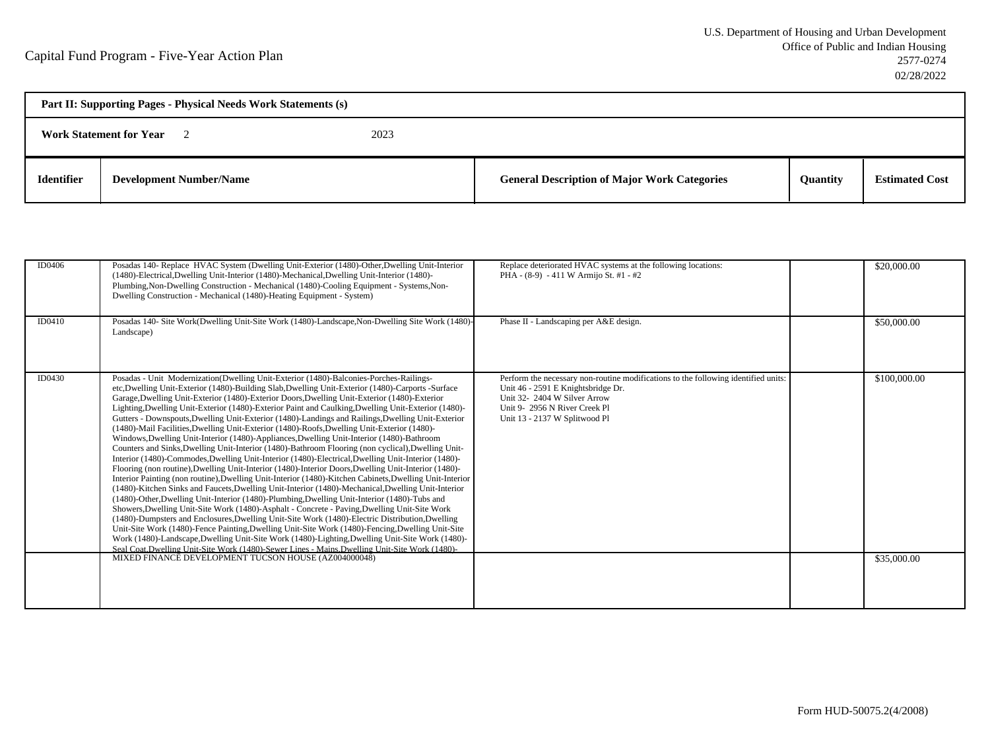| Part II: Supporting Pages - Physical Needs Work Statements (s) |                                |  |                                                     |                 |                       |
|----------------------------------------------------------------|--------------------------------|--|-----------------------------------------------------|-----------------|-----------------------|
| 2023<br><b>Work Statement for Year</b>                         |                                |  |                                                     |                 |                       |
| <b>Identifier</b>                                              | <b>Development Number/Name</b> |  | <b>General Description of Major Work Categories</b> | <b>Ouantity</b> | <b>Estimated Cost</b> |

| ID0406 | Posadas 140- Replace HVAC System (Dwelling Unit-Exterior (1480)-Other, Dwelling Unit-Interior<br>(1480)-Electrical, Dwelling Unit-Interior (1480)-Mechanical, Dwelling Unit-Interior (1480)-<br>Plumbing, Non-Dwelling Construction - Mechanical (1480)-Cooling Equipment - Systems, Non-<br>Dwelling Construction - Mechanical (1480)-Heating Equipment - System)                                                                                                                                                                                                                                                                                                                                                                                                                                                                                                                                                                                                                                                                                                                                                                                                                                                                                                                                                                                                                                                                                                                                                                                                                                                                                                                                                                                                                                                                                 | Replace deteriorated HVAC systems at the following locations:<br>PHA - (8-9) - 411 W Armijo St. #1 - #2                                                                                                                    | \$20,000.00  |
|--------|----------------------------------------------------------------------------------------------------------------------------------------------------------------------------------------------------------------------------------------------------------------------------------------------------------------------------------------------------------------------------------------------------------------------------------------------------------------------------------------------------------------------------------------------------------------------------------------------------------------------------------------------------------------------------------------------------------------------------------------------------------------------------------------------------------------------------------------------------------------------------------------------------------------------------------------------------------------------------------------------------------------------------------------------------------------------------------------------------------------------------------------------------------------------------------------------------------------------------------------------------------------------------------------------------------------------------------------------------------------------------------------------------------------------------------------------------------------------------------------------------------------------------------------------------------------------------------------------------------------------------------------------------------------------------------------------------------------------------------------------------------------------------------------------------------------------------------------------------|----------------------------------------------------------------------------------------------------------------------------------------------------------------------------------------------------------------------------|--------------|
| ID0410 | Posadas 140- Site Work(Dwelling Unit-Site Work (1480)-Landscape, Non-Dwelling Site Work (1480)-<br>Landscape)                                                                                                                                                                                                                                                                                                                                                                                                                                                                                                                                                                                                                                                                                                                                                                                                                                                                                                                                                                                                                                                                                                                                                                                                                                                                                                                                                                                                                                                                                                                                                                                                                                                                                                                                      | Phase II - Landscaping per A&E design.                                                                                                                                                                                     | \$50,000.00  |
| ID0430 | Posadas - Unit Modernization(Dwelling Unit-Exterior (1480)-Balconies-Porches-Railings-<br>etc, Dwelling Unit-Exterior (1480)-Building Slab, Dwelling Unit-Exterior (1480)-Carports -Surface<br>Garage, Dwelling Unit-Exterior (1480)-Exterior Doors, Dwelling Unit-Exterior (1480)-Exterior<br>Lighting, Dwelling Unit-Exterior (1480)-Exterior Paint and Caulking, Dwelling Unit-Exterior (1480)-<br>Gutters - Downspouts, Dwelling Unit-Exterior (1480)-Landings and Railings, Dwelling Unit-Exterior<br>(1480)-Mail Facilities, Dwelling Unit-Exterior (1480)-Roofs, Dwelling Unit-Exterior (1480)-<br>Windows, Dwelling Unit-Interior (1480)-Appliances, Dwelling Unit-Interior (1480)-Bathroom<br>Counters and Sinks, Dwelling Unit-Interior (1480)-Bathroom Flooring (non cyclical), Dwelling Unit-<br>Interior (1480)-Commodes, Dwelling Unit-Interior (1480)-Electrical, Dwelling Unit-Interior (1480)-<br>Flooring (non routine), Dwelling Unit-Interior (1480)-Interior Doors, Dwelling Unit-Interior (1480)-<br>Interior Painting (non routine), Dwelling Unit-Interior (1480)-Kitchen Cabinets, Dwelling Unit-Interior<br>(1480)-Kitchen Sinks and Faucets, Dwelling Unit-Interior (1480)-Mechanical, Dwelling Unit-Interior<br>(1480)-Other, Dwelling Unit-Interior (1480)-Plumbing, Dwelling Unit-Interior (1480)-Tubs and<br>Showers, Dwelling Unit-Site Work (1480)-Asphalt - Concrete - Paving, Dwelling Unit-Site Work<br>(1480)-Dumpsters and Enclosures, Dwelling Unit-Site Work (1480)-Electric Distribution, Dwelling<br>Unit-Site Work (1480)-Fence Painting, Dwelling Unit-Site Work (1480)-Fencing, Dwelling Unit-Site<br>Work (1480)-Landscape, Dwelling Unit-Site Work (1480)-Lighting, Dwelling Unit-Site Work (1480)-<br>Seal Coat Dwelling Unit-Site Work (1480)-Sewer Lines - Mains Dwelling Unit-Site Work (1480)- | Perform the necessary non-routine modifications to the following identified units:<br>Unit 46 - 2591 E Knightsbridge Dr.<br>Unit 32- 2404 W Silver Arrow<br>Unit 9- 2956 N River Creek Pl<br>Unit 13 - 2137 W Splitwood Pl | \$100,000.00 |
|        | MIXED FINANCE DEVELOPMENT TUCSON HOUSE (AZ004000048)                                                                                                                                                                                                                                                                                                                                                                                                                                                                                                                                                                                                                                                                                                                                                                                                                                                                                                                                                                                                                                                                                                                                                                                                                                                                                                                                                                                                                                                                                                                                                                                                                                                                                                                                                                                               |                                                                                                                                                                                                                            | \$35,000.00  |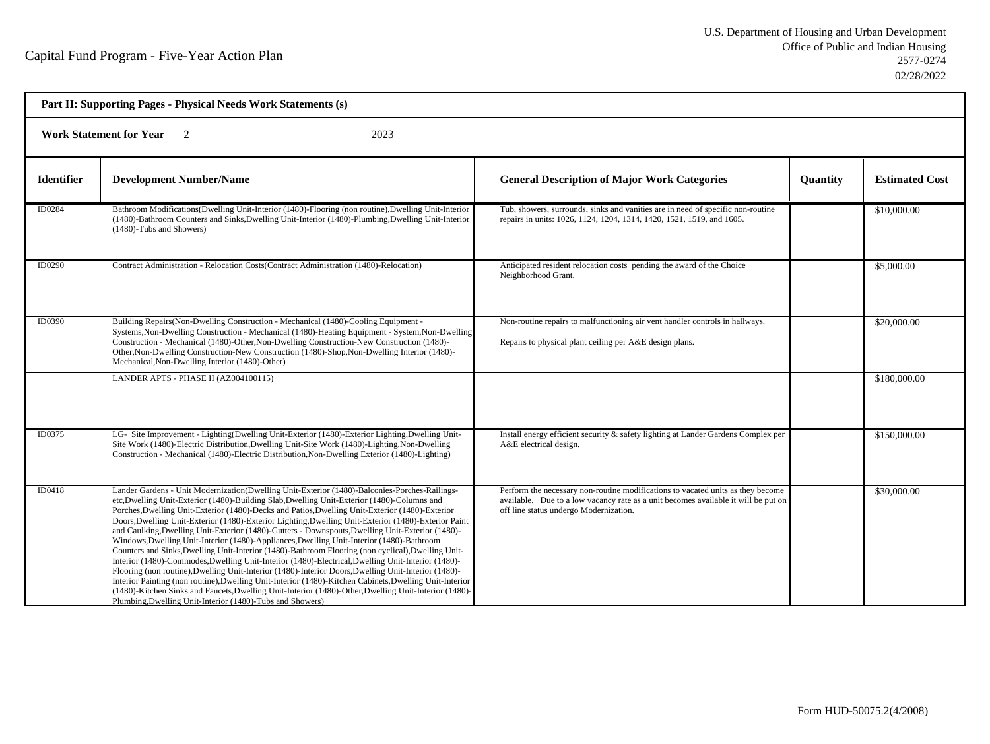| Part II: Supporting Pages - Physical Needs Work Statements (s) |                                                                                                                                                                                                                                                                                                                                                                                                                                                                                                                                                                                                                                                                                                                                                                                                                                                                                                                                                                                                                                                                                                                                                                                                               |                                                                                                                                                                                                                 |                 |                       |  |
|----------------------------------------------------------------|---------------------------------------------------------------------------------------------------------------------------------------------------------------------------------------------------------------------------------------------------------------------------------------------------------------------------------------------------------------------------------------------------------------------------------------------------------------------------------------------------------------------------------------------------------------------------------------------------------------------------------------------------------------------------------------------------------------------------------------------------------------------------------------------------------------------------------------------------------------------------------------------------------------------------------------------------------------------------------------------------------------------------------------------------------------------------------------------------------------------------------------------------------------------------------------------------------------|-----------------------------------------------------------------------------------------------------------------------------------------------------------------------------------------------------------------|-----------------|-----------------------|--|
|                                                                | <b>Work Statement for Year</b><br>2023<br>$\overline{2}$                                                                                                                                                                                                                                                                                                                                                                                                                                                                                                                                                                                                                                                                                                                                                                                                                                                                                                                                                                                                                                                                                                                                                      |                                                                                                                                                                                                                 |                 |                       |  |
| <b>Identifier</b>                                              | <b>Development Number/Name</b>                                                                                                                                                                                                                                                                                                                                                                                                                                                                                                                                                                                                                                                                                                                                                                                                                                                                                                                                                                                                                                                                                                                                                                                | <b>General Description of Major Work Categories</b>                                                                                                                                                             | <b>Quantity</b> | <b>Estimated Cost</b> |  |
| ID0284                                                         | Bathroom Modifications (Dwelling Unit-Interior (1480)-Flooring (non routine), Dwelling Unit-Interior<br>(1480)-Bathroom Counters and Sinks, Dwelling Unit-Interior (1480)-Plumbing, Dwelling Unit-Interior<br>(1480)-Tubs and Showers)                                                                                                                                                                                                                                                                                                                                                                                                                                                                                                                                                                                                                                                                                                                                                                                                                                                                                                                                                                        | Tub, showers, surrounds, sinks and vanities are in need of specific non-routine<br>repairs in units: 1026, 1124, 1204, 1314, 1420, 1521, 1519, and 1605.                                                        |                 | \$10,000.00           |  |
| ID0290                                                         | Contract Administration - Relocation Costs (Contract Administration (1480)-Relocation)                                                                                                                                                                                                                                                                                                                                                                                                                                                                                                                                                                                                                                                                                                                                                                                                                                                                                                                                                                                                                                                                                                                        | Anticipated resident relocation costs pending the award of the Choice<br>Neighborhood Grant.                                                                                                                    |                 | \$5,000.00            |  |
| ID0390                                                         | Building Repairs (Non-Dwelling Construction - Mechanical (1480)-Cooling Equipment -<br>Systems, Non-Dwelling Construction - Mechanical (1480)-Heating Equipment - System, Non-Dwelling<br>Construction - Mechanical (1480)-Other, Non-Dwelling Construction-New Construction (1480)-<br>Other, Non-Dwelling Construction-New Construction (1480)-Shop, Non-Dwelling Interior (1480)-<br>Mechanical, Non-Dwelling Interior (1480)-Other)                                                                                                                                                                                                                                                                                                                                                                                                                                                                                                                                                                                                                                                                                                                                                                       | Non-routine repairs to malfunctioning air vent handler controls in hallways.<br>Repairs to physical plant ceiling per A&E design plans.                                                                         |                 | \$20,000.00           |  |
|                                                                | LANDER APTS - PHASE II (AZ004100115)                                                                                                                                                                                                                                                                                                                                                                                                                                                                                                                                                                                                                                                                                                                                                                                                                                                                                                                                                                                                                                                                                                                                                                          |                                                                                                                                                                                                                 |                 | \$180,000.00          |  |
| ID0375                                                         | LG- Site Improvement - Lighting(Dwelling Unit-Exterior (1480)-Exterior Lighting, Dwelling Unit-<br>Site Work (1480)-Electric Distribution, Dwelling Unit-Site Work (1480)-Lighting, Non-Dwelling<br>Construction - Mechanical (1480)-Electric Distribution, Non-Dwelling Exterior (1480)-Lighting)                                                                                                                                                                                                                                                                                                                                                                                                                                                                                                                                                                                                                                                                                                                                                                                                                                                                                                            | Install energy efficient security & safety lighting at Lander Gardens Complex per<br>A&E electrical design.                                                                                                     |                 | \$150,000.00          |  |
| ID0418                                                         | Lander Gardens - Unit Modernization(Dwelling Unit-Exterior (1480)-Balconies-Porches-Railings-<br>etc, Dwelling Unit-Exterior (1480)-Building Slab, Dwelling Unit-Exterior (1480)-Columns and<br>Porches, Dwelling Unit-Exterior (1480)-Decks and Patios, Dwelling Unit-Exterior (1480)-Exterior<br>Doors, Dwelling Unit-Exterior (1480)-Exterior Lighting, Dwelling Unit-Exterior (1480)-Exterior Paint<br>and Caulking, Dwelling Unit-Exterior (1480)-Gutters - Downspouts, Dwelling Unit-Exterior (1480)-<br>Windows, Dwelling Unit-Interior (1480)-Appliances, Dwelling Unit-Interior (1480)-Bathroom<br>Counters and Sinks, Dwelling Unit-Interior (1480)-Bathroom Flooring (non cyclical), Dwelling Unit-<br>Interior (1480)-Commodes, Dwelling Unit-Interior (1480)-Electrical, Dwelling Unit-Interior (1480)-<br>Flooring (non routine), Dwelling Unit-Interior (1480)-Interior Doors, Dwelling Unit-Interior (1480)-<br>Interior Painting (non routine), Dwelling Unit-Interior (1480)-Kitchen Cabinets, Dwelling Unit-Interior<br>(1480)-Kitchen Sinks and Faucets, Dwelling Unit-Interior (1480)-Other, Dwelling Unit-Interior (1480)-<br>Plumbing, Dwelling Unit-Interior (1480)-Tubs and Showers) | Perform the necessary non-routine modifications to vacated units as they become<br>available. Due to a low vacancy rate as a unit becomes available it will be put on<br>off line status undergo Modernization. |                 | \$30,000.00           |  |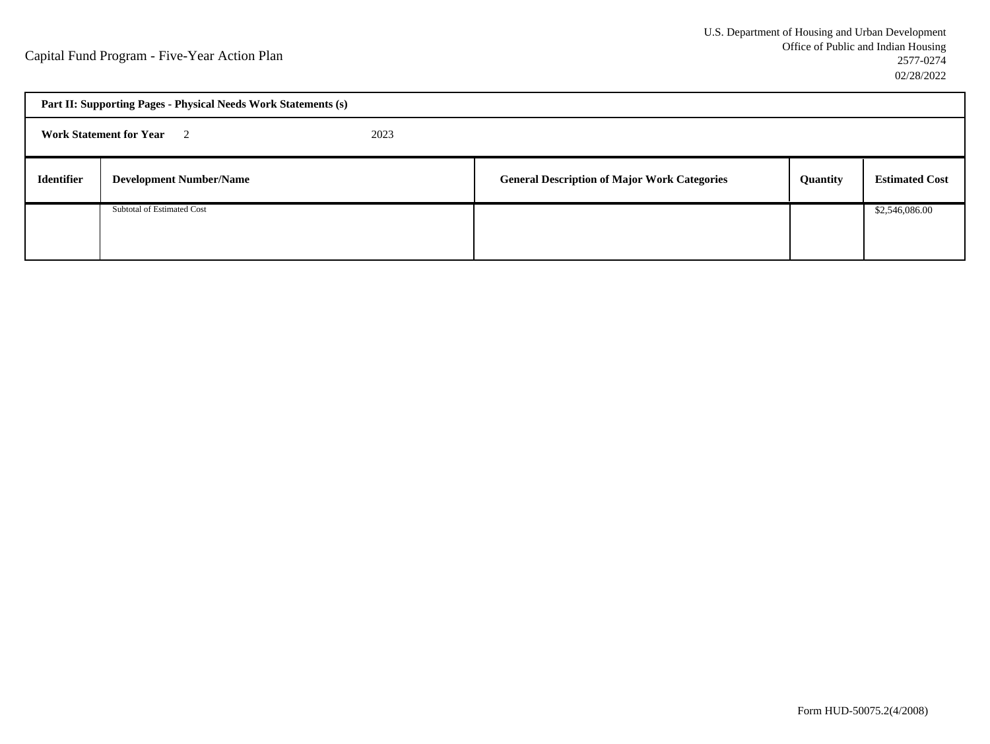|                   | Part II: Supporting Pages - Physical Needs Work Statements (s) |  |                                                     |          |                       |  |
|-------------------|----------------------------------------------------------------|--|-----------------------------------------------------|----------|-----------------------|--|
|                   | <b>Work Statement for Year</b> 2<br>2023                       |  |                                                     |          |                       |  |
| <b>Identifier</b> | <b>Development Number/Name</b>                                 |  | <b>General Description of Major Work Categories</b> | Quantity | <b>Estimated Cost</b> |  |
|                   | Subtotal of Estimated Cost                                     |  |                                                     |          | \$2,546,086.00        |  |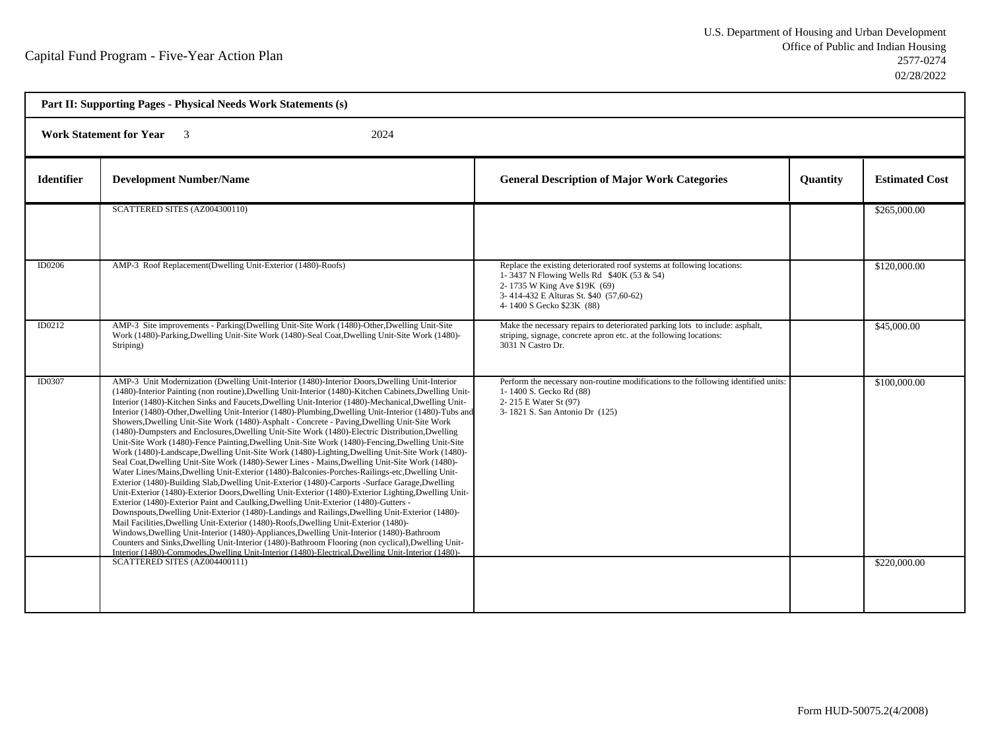| Part II: Supporting Pages - Physical Needs Work Statements (s)    |                                                                                                                                                                                                                                                                                                                                                                                                                                                                                                                                                                                                                                                                                                                                                                                                                                                                                                                                                                                                                                                                                                                                                                                                                                                                                                                                                                                                                                                                                                                                                                                                                                                                                                                                                                                                                                                                               |                                                                                                                                                                                                                             |                 |                              |  |
|-------------------------------------------------------------------|-------------------------------------------------------------------------------------------------------------------------------------------------------------------------------------------------------------------------------------------------------------------------------------------------------------------------------------------------------------------------------------------------------------------------------------------------------------------------------------------------------------------------------------------------------------------------------------------------------------------------------------------------------------------------------------------------------------------------------------------------------------------------------------------------------------------------------------------------------------------------------------------------------------------------------------------------------------------------------------------------------------------------------------------------------------------------------------------------------------------------------------------------------------------------------------------------------------------------------------------------------------------------------------------------------------------------------------------------------------------------------------------------------------------------------------------------------------------------------------------------------------------------------------------------------------------------------------------------------------------------------------------------------------------------------------------------------------------------------------------------------------------------------------------------------------------------------------------------------------------------------|-----------------------------------------------------------------------------------------------------------------------------------------------------------------------------------------------------------------------------|-----------------|------------------------------|--|
| 2024<br><b>Work Statement for Year</b><br>$\overline{\mathbf{3}}$ |                                                                                                                                                                                                                                                                                                                                                                                                                                                                                                                                                                                                                                                                                                                                                                                                                                                                                                                                                                                                                                                                                                                                                                                                                                                                                                                                                                                                                                                                                                                                                                                                                                                                                                                                                                                                                                                                               |                                                                                                                                                                                                                             |                 |                              |  |
| <b>Identifier</b>                                                 | <b>Development Number/Name</b>                                                                                                                                                                                                                                                                                                                                                                                                                                                                                                                                                                                                                                                                                                                                                                                                                                                                                                                                                                                                                                                                                                                                                                                                                                                                                                                                                                                                                                                                                                                                                                                                                                                                                                                                                                                                                                                | <b>General Description of Major Work Categories</b>                                                                                                                                                                         | <b>Quantity</b> | <b>Estimated Cost</b>        |  |
|                                                                   | SCATTERED SITES (AZ004300110)                                                                                                                                                                                                                                                                                                                                                                                                                                                                                                                                                                                                                                                                                                                                                                                                                                                                                                                                                                                                                                                                                                                                                                                                                                                                                                                                                                                                                                                                                                                                                                                                                                                                                                                                                                                                                                                 |                                                                                                                                                                                                                             |                 | \$265,000.00                 |  |
| ID0206                                                            | AMP-3 Roof Replacement(Dwelling Unit-Exterior (1480)-Roofs)                                                                                                                                                                                                                                                                                                                                                                                                                                                                                                                                                                                                                                                                                                                                                                                                                                                                                                                                                                                                                                                                                                                                                                                                                                                                                                                                                                                                                                                                                                                                                                                                                                                                                                                                                                                                                   | Replace the existing deteriorated roof systems at following locations:<br>1-3437 N Flowing Wells Rd \$40K (53 & 54)<br>2-1735 W King Ave \$19K (69)<br>3-414-432 E Alturas St. \$40 (57,60-62)<br>4-1400 S Gecko \$23K (88) |                 | \$120,000.00                 |  |
| ID0212                                                            | AMP-3 Site improvements - Parking(Dwelling Unit-Site Work (1480)-Other, Dwelling Unit-Site<br>Work (1480)-Parking, Dwelling Unit-Site Work (1480)-Seal Coat, Dwelling Unit-Site Work (1480)-<br>Striping)                                                                                                                                                                                                                                                                                                                                                                                                                                                                                                                                                                                                                                                                                                                                                                                                                                                                                                                                                                                                                                                                                                                                                                                                                                                                                                                                                                                                                                                                                                                                                                                                                                                                     | Make the necessary repairs to deteriorated parking lots to include: asphalt,<br>striping, signage, concrete apron etc. at the following locations:<br>3031 N Castro Dr.                                                     |                 | \$45,000.00                  |  |
| <b>ID0307</b>                                                     | AMP-3 Unit Modernization (Dwelling Unit-Interior (1480)-Interior Doors, Dwelling Unit-Interior<br>(1480)-Interior Painting (non routine), Dwelling Unit-Interior (1480)-Kitchen Cabinets, Dwelling Unit-<br>Interior (1480)-Kitchen Sinks and Faucets, Dwelling Unit-Interior (1480)-Mechanical, Dwelling Unit-<br>Interior (1480)-Other, Dwelling Unit-Interior (1480)-Plumbing, Dwelling Unit-Interior (1480)-Tubs and<br>Showers, Dwelling Unit-Site Work (1480)-Asphalt - Concrete - Paving, Dwelling Unit-Site Work<br>(1480)-Dumpsters and Enclosures, Dwelling Unit-Site Work (1480)-Electric Distribution, Dwelling<br>Unit-Site Work (1480)-Fence Painting, Dwelling Unit-Site Work (1480)-Fencing, Dwelling Unit-Site<br>Work (1480)-Landscape, Dwelling Unit-Site Work (1480)-Lighting, Dwelling Unit-Site Work (1480)-<br>Seal Coat, Dwelling Unit-Site Work (1480)-Sewer Lines - Mains, Dwelling Unit-Site Work (1480)-<br>Water Lines/Mains, Dwelling Unit-Exterior (1480)-Balconies-Porches-Railings-etc, Dwelling Unit-<br>Exterior (1480)-Building Slab, Dwelling Unit-Exterior (1480)-Carports -Surface Garage, Dwelling<br>Unit-Exterior (1480)-Exterior Doors, Dwelling Unit-Exterior (1480)-Exterior Lighting, Dwelling Unit-<br>Exterior (1480)-Exterior Paint and Caulking, Dwelling Unit-Exterior (1480)-Gutters -<br>Downspouts, Dwelling Unit-Exterior (1480)-Landings and Railings, Dwelling Unit-Exterior (1480)-<br>Mail Facilities, Dwelling Unit-Exterior (1480)-Roofs, Dwelling Unit-Exterior (1480)-<br>Windows, Dwelling Unit-Interior (1480)-Appliances, Dwelling Unit-Interior (1480)-Bathroom<br>Counters and Sinks, Dwelling Unit-Interior (1480)-Bathroom Flooring (non cyclical), Dwelling Unit-<br>Interior (1480)-Commodes.Dwelling Unit-Interior (1480)-Electrical.Dwelling Unit-Interior (1480)-<br>SCATTERED SITES (AZ004400111) | Perform the necessary non-routine modifications to the following identified units:<br>1-1400 S. Gecko Rd (88)<br>2-215 E Water St (97)<br>3-1821 S. San Antonio Dr (125)                                                    |                 | \$100,000.00<br>\$220,000.00 |  |
|                                                                   |                                                                                                                                                                                                                                                                                                                                                                                                                                                                                                                                                                                                                                                                                                                                                                                                                                                                                                                                                                                                                                                                                                                                                                                                                                                                                                                                                                                                                                                                                                                                                                                                                                                                                                                                                                                                                                                                               |                                                                                                                                                                                                                             |                 |                              |  |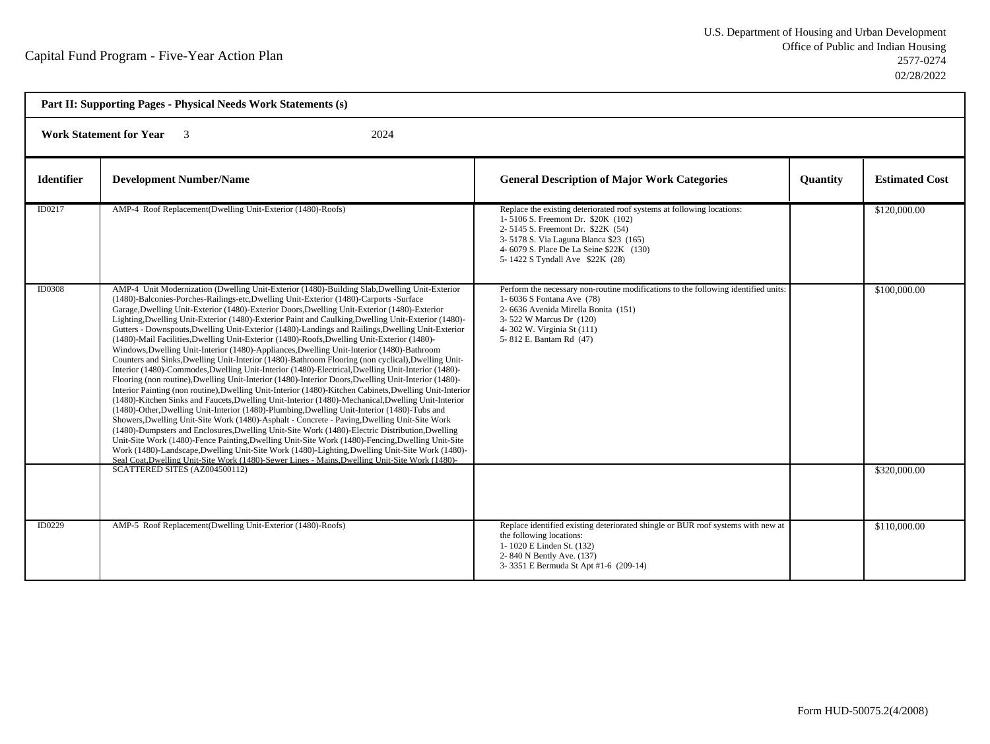| Part II: Supporting Pages - Physical Needs Work Statements (s) |                                                                                                                                                                                                                                                                                                                                                                                                                                                                                                                                                                                                                                                                                                                                                                                                                                                                                                                                                                                                                                                                                                                                                                                                                                                                                                                                                                                                                                                                                                                                                                                                                                                                                                                                                                                                                                                                                 |                                                                                                                                                                                                                                                                           |                 |                              |  |
|----------------------------------------------------------------|---------------------------------------------------------------------------------------------------------------------------------------------------------------------------------------------------------------------------------------------------------------------------------------------------------------------------------------------------------------------------------------------------------------------------------------------------------------------------------------------------------------------------------------------------------------------------------------------------------------------------------------------------------------------------------------------------------------------------------------------------------------------------------------------------------------------------------------------------------------------------------------------------------------------------------------------------------------------------------------------------------------------------------------------------------------------------------------------------------------------------------------------------------------------------------------------------------------------------------------------------------------------------------------------------------------------------------------------------------------------------------------------------------------------------------------------------------------------------------------------------------------------------------------------------------------------------------------------------------------------------------------------------------------------------------------------------------------------------------------------------------------------------------------------------------------------------------------------------------------------------------|---------------------------------------------------------------------------------------------------------------------------------------------------------------------------------------------------------------------------------------------------------------------------|-----------------|------------------------------|--|
|                                                                | <b>Work Statement for Year</b><br>2024<br>$\overline{\mathbf{3}}$                                                                                                                                                                                                                                                                                                                                                                                                                                                                                                                                                                                                                                                                                                                                                                                                                                                                                                                                                                                                                                                                                                                                                                                                                                                                                                                                                                                                                                                                                                                                                                                                                                                                                                                                                                                                               |                                                                                                                                                                                                                                                                           |                 |                              |  |
| <b>Identifier</b>                                              | <b>Development Number/Name</b>                                                                                                                                                                                                                                                                                                                                                                                                                                                                                                                                                                                                                                                                                                                                                                                                                                                                                                                                                                                                                                                                                                                                                                                                                                                                                                                                                                                                                                                                                                                                                                                                                                                                                                                                                                                                                                                  | <b>General Description of Major Work Categories</b>                                                                                                                                                                                                                       | <b>Quantity</b> | <b>Estimated Cost</b>        |  |
| ID0217                                                         | AMP-4 Roof Replacement(Dwelling Unit-Exterior (1480)-Roofs)                                                                                                                                                                                                                                                                                                                                                                                                                                                                                                                                                                                                                                                                                                                                                                                                                                                                                                                                                                                                                                                                                                                                                                                                                                                                                                                                                                                                                                                                                                                                                                                                                                                                                                                                                                                                                     | Replace the existing deteriorated roof systems at following locations:<br>1-5106 S. Freemont Dr. \$20K (102)<br>2-5145 S. Freemont Dr. \$22K (54)<br>3-5178 S. Via Laguna Blanca \$23 (165)<br>4-6079 S. Place De La Seine \$22K (130)<br>5-1422 S Tyndall Ave \$22K (28) |                 | \$120,000.00                 |  |
| <b>ID0308</b>                                                  | AMP-4 Unit Modernization (Dwelling Unit-Exterior (1480)-Building Slab, Dwelling Unit-Exterior<br>(1480)-Balconies-Porches-Railings-etc, Dwelling Unit-Exterior (1480)-Carports -Surface<br>Garage, Dwelling Unit-Exterior (1480)-Exterior Doors, Dwelling Unit-Exterior (1480)-Exterior<br>Lighting, Dwelling Unit-Exterior (1480)-Exterior Paint and Caulking, Dwelling Unit-Exterior (1480)-<br>Gutters - Downspouts, Dwelling Unit-Exterior (1480)-Landings and Railings, Dwelling Unit-Exterior<br>(1480)-Mail Facilities, Dwelling Unit-Exterior (1480)-Roofs, Dwelling Unit-Exterior (1480)-<br>Windows, Dwelling Unit-Interior (1480)-Appliances, Dwelling Unit-Interior (1480)-Bathroom<br>Counters and Sinks, Dwelling Unit-Interior (1480)-Bathroom Flooring (non cyclical), Dwelling Unit-<br>Interior (1480)-Commodes, Dwelling Unit-Interior (1480)-Electrical, Dwelling Unit-Interior (1480)-<br>Flooring (non routine), Dwelling Unit-Interior (1480)-Interior Doors, Dwelling Unit-Interior (1480)-<br>Interior Painting (non routine), Dwelling Unit-Interior (1480)-Kitchen Cabinets, Dwelling Unit-Interior<br>(1480)-Kitchen Sinks and Faucets, Dwelling Unit-Interior (1480)-Mechanical, Dwelling Unit-Interior<br>(1480)-Other, Dwelling Unit-Interior (1480)-Plumbing, Dwelling Unit-Interior (1480)-Tubs and<br>Showers, Dwelling Unit-Site Work (1480)-Asphalt - Concrete - Paving, Dwelling Unit-Site Work<br>(1480)-Dumpsters and Enclosures, Dwelling Unit-Site Work (1480)-Electric Distribution, Dwelling<br>Unit-Site Work (1480)-Fence Painting, Dwelling Unit-Site Work (1480)-Fencing, Dwelling Unit-Site<br>Work (1480)-Landscape, Dwelling Unit-Site Work (1480)-Lighting, Dwelling Unit-Site Work (1480)-<br>Seal Coat.Dwelling Unit-Site Work (1480)-Sewer Lines - Mains.Dwelling Unit-Site Work (1480)-<br>SCATTERED SITES (AZ004500112) | Perform the necessary non-routine modifications to the following identified units:<br>1-6036 S Fontana Ave (78)<br>2- 6636 Avenida Mirella Bonita (151)<br>3-522 W Marcus Dr (120)<br>4-302 W. Virginia St (111)<br>5-812 E. Bantam Rd (47)                               |                 | \$100,000.00<br>\$320,000.00 |  |
| ID0229                                                         | AMP-5 Roof Replacement(Dwelling Unit-Exterior (1480)-Roofs)                                                                                                                                                                                                                                                                                                                                                                                                                                                                                                                                                                                                                                                                                                                                                                                                                                                                                                                                                                                                                                                                                                                                                                                                                                                                                                                                                                                                                                                                                                                                                                                                                                                                                                                                                                                                                     | Replace identified existing deteriorated shingle or BUR roof systems with new at<br>the following locations:<br>1-1020 E Linden St. (132)<br>2-840 N Bently Ave. (137)<br>3-3351 E Bermuda St Apt #1-6 (209-14)                                                           |                 | \$110,000.00                 |  |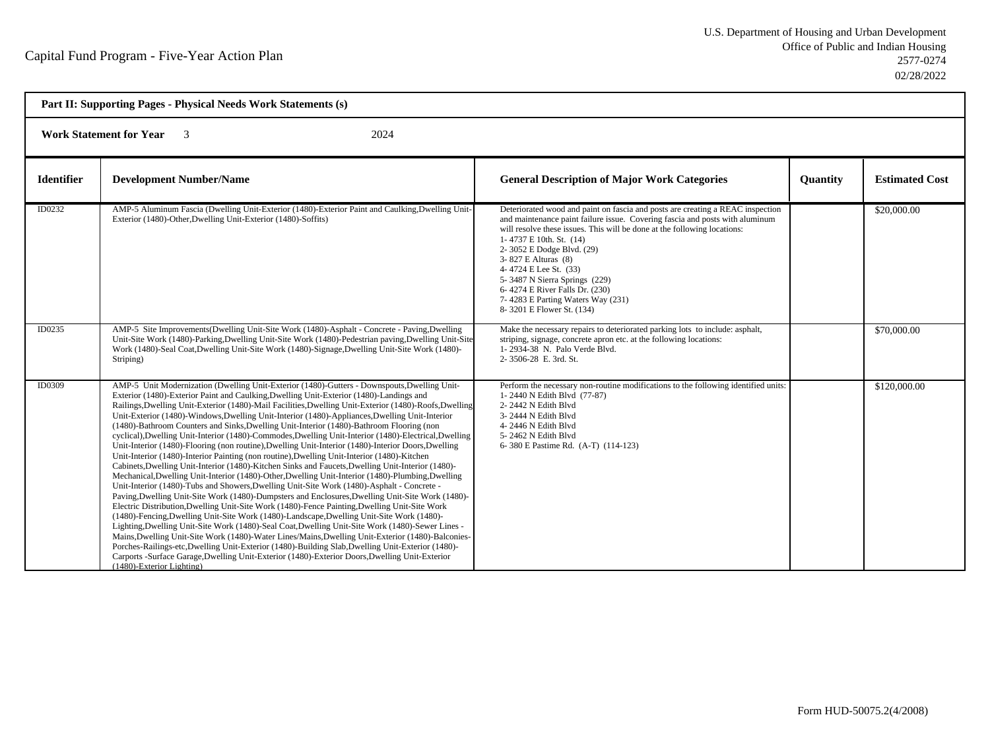| Part II: Supporting Pages - Physical Needs Work Statements (s)    |                                                                                                                                                                                                                                                                                                                                                                                                                                                                                                                                                                                                                                                                                                                                                                                                                                                                                                                                                                                                                                                                                                                                                                                                                                                                                                                                                                                                                                                                                                                                                                                                                                                                                                                                                                                                                                                                     |                                                                                                                                                                                                                                                                                                                                                                                                                                                                                         |                 |                       |
|-------------------------------------------------------------------|---------------------------------------------------------------------------------------------------------------------------------------------------------------------------------------------------------------------------------------------------------------------------------------------------------------------------------------------------------------------------------------------------------------------------------------------------------------------------------------------------------------------------------------------------------------------------------------------------------------------------------------------------------------------------------------------------------------------------------------------------------------------------------------------------------------------------------------------------------------------------------------------------------------------------------------------------------------------------------------------------------------------------------------------------------------------------------------------------------------------------------------------------------------------------------------------------------------------------------------------------------------------------------------------------------------------------------------------------------------------------------------------------------------------------------------------------------------------------------------------------------------------------------------------------------------------------------------------------------------------------------------------------------------------------------------------------------------------------------------------------------------------------------------------------------------------------------------------------------------------|-----------------------------------------------------------------------------------------------------------------------------------------------------------------------------------------------------------------------------------------------------------------------------------------------------------------------------------------------------------------------------------------------------------------------------------------------------------------------------------------|-----------------|-----------------------|
| <b>Work Statement for Year</b><br>2024<br>$\overline{\mathbf{3}}$ |                                                                                                                                                                                                                                                                                                                                                                                                                                                                                                                                                                                                                                                                                                                                                                                                                                                                                                                                                                                                                                                                                                                                                                                                                                                                                                                                                                                                                                                                                                                                                                                                                                                                                                                                                                                                                                                                     |                                                                                                                                                                                                                                                                                                                                                                                                                                                                                         |                 |                       |
| <b>Identifier</b>                                                 | <b>Development Number/Name</b>                                                                                                                                                                                                                                                                                                                                                                                                                                                                                                                                                                                                                                                                                                                                                                                                                                                                                                                                                                                                                                                                                                                                                                                                                                                                                                                                                                                                                                                                                                                                                                                                                                                                                                                                                                                                                                      | <b>General Description of Major Work Categories</b>                                                                                                                                                                                                                                                                                                                                                                                                                                     | <b>Quantity</b> | <b>Estimated Cost</b> |
| ID0232                                                            | AMP-5 Aluminum Fascia (Dwelling Unit-Exterior (1480)-Exterior Paint and Caulking, Dwelling Unit-<br>Exterior (1480)-Other, Dwelling Unit-Exterior (1480)-Soffits)                                                                                                                                                                                                                                                                                                                                                                                                                                                                                                                                                                                                                                                                                                                                                                                                                                                                                                                                                                                                                                                                                                                                                                                                                                                                                                                                                                                                                                                                                                                                                                                                                                                                                                   | Deteriorated wood and paint on fascia and posts are creating a REAC inspection<br>and maintenance paint failure issue. Covering fascia and posts with aluminum<br>will resolve these issues. This will be done at the following locations:<br>1-4737 E 10th, St. (14)<br>2-3052 E Dodge Blvd. (29)<br>3-827 E Alturas (8)<br>4-4724 E Lee St. (33)<br>5-3487 N Sierra Springs (229)<br>6-4274 E River Falls Dr. (230)<br>7-4283 E Parting Waters Way (231)<br>8-3201 E Flower St. (134) |                 | \$20,000.00           |
| ID0235                                                            | AMP-5 Site Improvements(Dwelling Unit-Site Work (1480)-Asphalt - Concrete - Paving,Dwelling<br>Unit-Site Work (1480)-Parking, Dwelling Unit-Site Work (1480)-Pedestrian paving, Dwelling Unit-Site<br>Work (1480)-Seal Coat, Dwelling Unit-Site Work (1480)-Signage, Dwelling Unit-Site Work (1480)-<br>Striping)                                                                                                                                                                                                                                                                                                                                                                                                                                                                                                                                                                                                                                                                                                                                                                                                                                                                                                                                                                                                                                                                                                                                                                                                                                                                                                                                                                                                                                                                                                                                                   | Make the necessary repairs to deteriorated parking lots to include: asphalt,<br>striping, signage, concrete apron etc. at the following locations:<br>1-2934-38 N. Palo Verde Blvd.<br>2-3506-28 E. 3rd. St.                                                                                                                                                                                                                                                                            |                 | \$70,000.00           |
| <b>ID0309</b>                                                     | AMP-5 Unit Modernization (Dwelling Unit-Exterior (1480)-Gutters - Downspouts, Dwelling Unit-<br>Exterior (1480)-Exterior Paint and Caulking, Dwelling Unit-Exterior (1480)-Landings and<br>Railings, Dwelling Unit-Exterior (1480)-Mail Facilities, Dwelling Unit-Exterior (1480)-Roofs, Dwelling<br>Unit-Exterior (1480)-Windows, Dwelling Unit-Interior (1480)-Appliances, Dwelling Unit-Interior<br>(1480)-Bathroom Counters and Sinks, Dwelling Unit-Interior (1480)-Bathroom Flooring (non<br>cyclical), Dwelling Unit-Interior (1480)-Commodes, Dwelling Unit-Interior (1480)-Electrical, Dwelling<br>Unit-Interior (1480)-Flooring (non routine), Dwelling Unit-Interior (1480)-Interior Doors, Dwelling<br>Unit-Interior (1480)-Interior Painting (non routine), Dwelling Unit-Interior (1480)-Kitchen<br>Cabinets, Dwelling Unit-Interior (1480)-Kitchen Sinks and Faucets, Dwelling Unit-Interior (1480)-<br>Mechanical, Dwelling Unit-Interior (1480)-Other, Dwelling Unit-Interior (1480)-Plumbing, Dwelling<br>Unit-Interior (1480)-Tubs and Showers, Dwelling Unit-Site Work (1480)-Asphalt - Concrete -<br>Paving, Dwelling Unit-Site Work (1480)-Dumpsters and Enclosures, Dwelling Unit-Site Work (1480)-<br>Electric Distribution, Dwelling Unit-Site Work (1480)-Fence Painting, Dwelling Unit-Site Work<br>(1480)-Fencing, Dwelling Unit-Site Work (1480)-Landscape, Dwelling Unit-Site Work (1480)-<br>Lighting, Dwelling Unit-Site Work (1480)-Seal Coat, Dwelling Unit-Site Work (1480)-Sewer Lines -<br>Mains, Dwelling Unit-Site Work (1480)-Water Lines/Mains, Dwelling Unit-Exterior (1480)-Balconies-<br>Porches-Railings-etc,Dwelling Unit-Exterior (1480)-Building Slab,Dwelling Unit-Exterior (1480)-<br>Carports -Surface Garage, Dwelling Unit-Exterior (1480)-Exterior Doors, Dwelling Unit-Exterior<br>(1480)-Exterior Lighting) | Perform the necessary non-routine modifications to the following identified units:<br>1-2440 N Edith Blvd (77-87)<br>2-2442 N Edith Blvd<br>3-2444 N Edith Blvd<br>4-2446 N Edith Blvd<br>5-2462 N Edith Blvd<br>6-380 E Pastime Rd. (A-T) (114-123)                                                                                                                                                                                                                                    |                 | \$120,000.00          |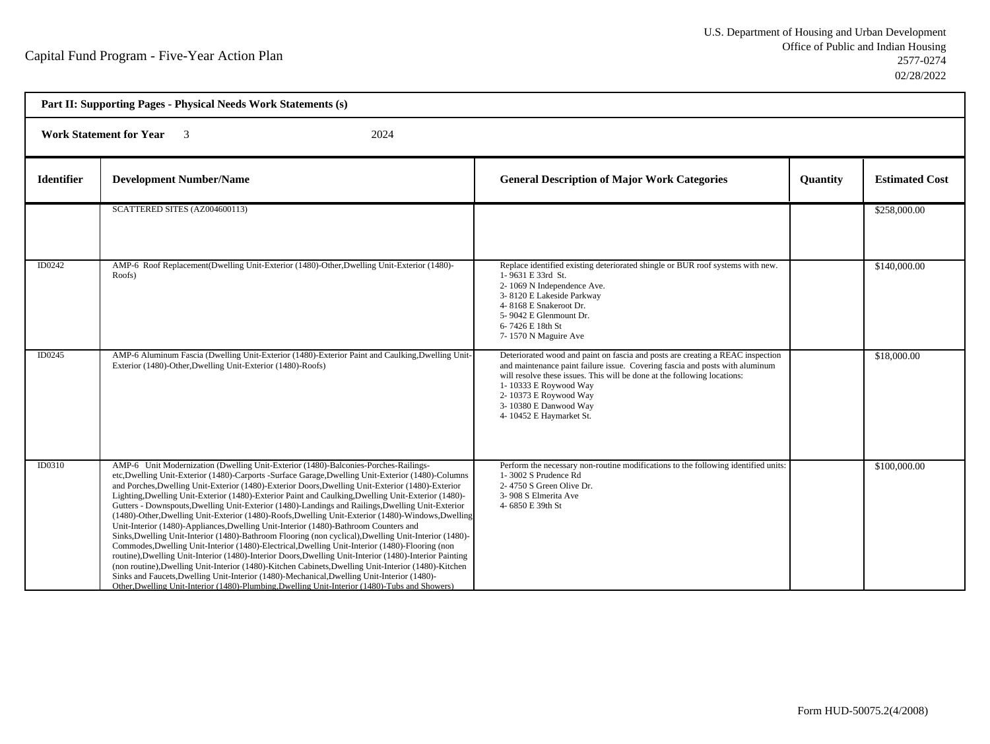| Part II: Supporting Pages - Physical Needs Work Statements (s)    |                                                                                                                                                                                                                                                                                                                                                                                                                                                                                                                                                                                                                                                                                                                                                                                                                                                                                                                                                                                                                                                                                                                                                                                                                                                                                                                                          |                                                                                                                                                                                                                                                                                                                                                  |          |                       |
|-------------------------------------------------------------------|------------------------------------------------------------------------------------------------------------------------------------------------------------------------------------------------------------------------------------------------------------------------------------------------------------------------------------------------------------------------------------------------------------------------------------------------------------------------------------------------------------------------------------------------------------------------------------------------------------------------------------------------------------------------------------------------------------------------------------------------------------------------------------------------------------------------------------------------------------------------------------------------------------------------------------------------------------------------------------------------------------------------------------------------------------------------------------------------------------------------------------------------------------------------------------------------------------------------------------------------------------------------------------------------------------------------------------------|--------------------------------------------------------------------------------------------------------------------------------------------------------------------------------------------------------------------------------------------------------------------------------------------------------------------------------------------------|----------|-----------------------|
| <b>Work Statement for Year</b><br>2024<br>$\overline{\mathbf{3}}$ |                                                                                                                                                                                                                                                                                                                                                                                                                                                                                                                                                                                                                                                                                                                                                                                                                                                                                                                                                                                                                                                                                                                                                                                                                                                                                                                                          |                                                                                                                                                                                                                                                                                                                                                  |          |                       |
| <b>Identifier</b>                                                 | <b>Development Number/Name</b>                                                                                                                                                                                                                                                                                                                                                                                                                                                                                                                                                                                                                                                                                                                                                                                                                                                                                                                                                                                                                                                                                                                                                                                                                                                                                                           | <b>General Description of Major Work Categories</b>                                                                                                                                                                                                                                                                                              | Quantity | <b>Estimated Cost</b> |
|                                                                   | SCATTERED SITES (AZ004600113)                                                                                                                                                                                                                                                                                                                                                                                                                                                                                                                                                                                                                                                                                                                                                                                                                                                                                                                                                                                                                                                                                                                                                                                                                                                                                                            |                                                                                                                                                                                                                                                                                                                                                  |          | \$258,000.00          |
| ID0242                                                            | AMP-6 Roof Replacement(Dwelling Unit-Exterior (1480)-Other, Dwelling Unit-Exterior (1480)-<br>Roofs)                                                                                                                                                                                                                                                                                                                                                                                                                                                                                                                                                                                                                                                                                                                                                                                                                                                                                                                                                                                                                                                                                                                                                                                                                                     | Replace identified existing deteriorated shingle or BUR roof systems with new.<br>1-9631 E 33rd St.<br>2-1069 N Independence Ave.<br>3-8120 E Lakeside Parkway<br>4-8168 E Snakeroot Dr.<br>5-9042 E Glenmount Dr.<br>6-7426 E 18th St<br>7-1570 N Maguire Ave                                                                                   |          | \$140,000.00          |
| ID0245                                                            | AMP-6 Aluminum Fascia (Dwelling Unit-Exterior (1480)-Exterior Paint and Caulking, Dwelling Unit-<br>Exterior (1480)-Other, Dwelling Unit-Exterior (1480)-Roofs)                                                                                                                                                                                                                                                                                                                                                                                                                                                                                                                                                                                                                                                                                                                                                                                                                                                                                                                                                                                                                                                                                                                                                                          | Deteriorated wood and paint on fascia and posts are creating a REAC inspection<br>and maintenance paint failure issue. Covering fascia and posts with aluminum<br>will resolve these issues. This will be done at the following locations:<br>1-10333 E Roywood Way<br>2-10373 E Roywood Way<br>3-10380 E Danwood Way<br>4-10452 E Haymarket St. |          | \$18,000.00           |
| ID0310                                                            | AMP-6 Unit Modernization (Dwelling Unit-Exterior (1480)-Balconies-Porches-Railings-<br>etc, Dwelling Unit-Exterior (1480)-Carports -Surface Garage, Dwelling Unit-Exterior (1480)-Columns<br>and Porches, Dwelling Unit-Exterior (1480)-Exterior Doors, Dwelling Unit-Exterior (1480)-Exterior<br>Lighting, Dwelling Unit-Exterior (1480)-Exterior Paint and Caulking, Dwelling Unit-Exterior (1480)-<br>Gutters - Downspouts, Dwelling Unit-Exterior (1480)-Landings and Railings, Dwelling Unit-Exterior<br>(1480)-Other, Dwelling Unit-Exterior (1480)-Roofs, Dwelling Unit-Exterior (1480)-Windows, Dwelling<br>Unit-Interior (1480)-Appliances, Dwelling Unit-Interior (1480)-Bathroom Counters and<br>Sinks, Dwelling Unit-Interior (1480)-Bathroom Flooring (non cyclical), Dwelling Unit-Interior (1480)-<br>Commodes, Dwelling Unit-Interior (1480)-Electrical, Dwelling Unit-Interior (1480)-Flooring (non<br>routine), Dwelling Unit-Interior (1480)-Interior Doors, Dwelling Unit-Interior (1480)-Interior Painting<br>(non routine), Dwelling Unit-Interior (1480)-Kitchen Cabinets, Dwelling Unit-Interior (1480)-Kitchen<br>Sinks and Faucets, Dwelling Unit-Interior (1480)-Mechanical, Dwelling Unit-Interior (1480)-<br>Other, Dwelling Unit-Interior (1480)-Plumbing, Dwelling Unit-Interior (1480)-Tubs and Showers) | Perform the necessary non-routine modifications to the following identified units:<br>1-3002 S Prudence Rd<br>2-4750 S Green Olive Dr.<br>3-908 S Elmerita Ave<br>4-6850 E 39th St                                                                                                                                                               |          | \$100,000.00          |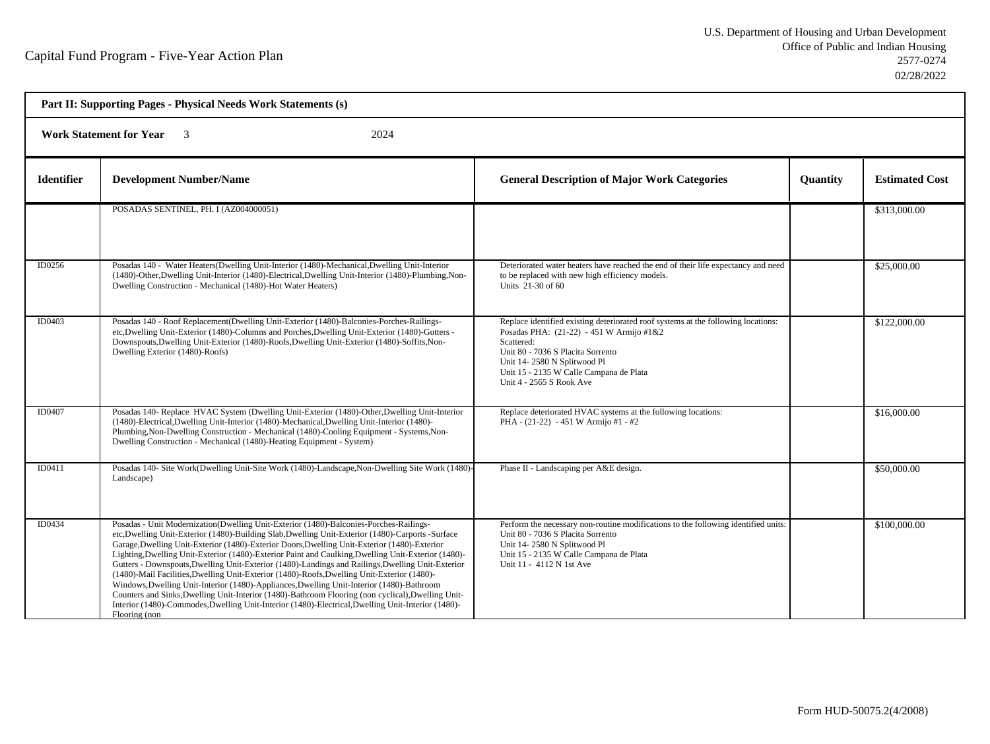| Part II: Supporting Pages - Physical Needs Work Statements (s) |                                                                                                                                                                                                                                                                                                                                                                                                                                                                                                                                                                                                                                                                                                                                                                                                                                                                                                                                   |                                                                                                                                                                                                                                                                                        |          |                       |  |  |
|----------------------------------------------------------------|-----------------------------------------------------------------------------------------------------------------------------------------------------------------------------------------------------------------------------------------------------------------------------------------------------------------------------------------------------------------------------------------------------------------------------------------------------------------------------------------------------------------------------------------------------------------------------------------------------------------------------------------------------------------------------------------------------------------------------------------------------------------------------------------------------------------------------------------------------------------------------------------------------------------------------------|----------------------------------------------------------------------------------------------------------------------------------------------------------------------------------------------------------------------------------------------------------------------------------------|----------|-----------------------|--|--|
|                                                                | <b>Work Statement for Year</b><br>2024<br>$\overline{\mathbf{3}}$                                                                                                                                                                                                                                                                                                                                                                                                                                                                                                                                                                                                                                                                                                                                                                                                                                                                 |                                                                                                                                                                                                                                                                                        |          |                       |  |  |
| <b>Identifier</b>                                              | <b>Development Number/Name</b>                                                                                                                                                                                                                                                                                                                                                                                                                                                                                                                                                                                                                                                                                                                                                                                                                                                                                                    | <b>General Description of Major Work Categories</b>                                                                                                                                                                                                                                    | Quantity | <b>Estimated Cost</b> |  |  |
|                                                                | POSADAS SENTINEL, PH. I (AZ004000051)                                                                                                                                                                                                                                                                                                                                                                                                                                                                                                                                                                                                                                                                                                                                                                                                                                                                                             |                                                                                                                                                                                                                                                                                        |          | \$313,000.00          |  |  |
| ID0256                                                         | Posadas 140 - Water Heaters (Dwelling Unit-Interior (1480)-Mechanical, Dwelling Unit-Interior<br>(1480)-Other, Dwelling Unit-Interior (1480)-Electrical, Dwelling Unit-Interior (1480)-Plumbing, Non-<br>Dwelling Construction - Mechanical (1480)-Hot Water Heaters)                                                                                                                                                                                                                                                                                                                                                                                                                                                                                                                                                                                                                                                             | Deteriorated water heaters have reached the end of their life expectancy and need<br>to be replaced with new high efficiency models.<br>Units 21-30 of 60                                                                                                                              |          | \$25,000.00           |  |  |
| ID0403                                                         | Posadas 140 - Roof Replacement(Dwelling Unit-Exterior (1480)-Balconies-Porches-Railings-<br>etc, Dwelling Unit-Exterior (1480)-Columns and Porches, Dwelling Unit-Exterior (1480)-Gutters -<br>Downspouts, Dwelling Unit-Exterior (1480)-Roofs, Dwelling Unit-Exterior (1480)-Soffits, Non-<br>Dwelling Exterior (1480)-Roofs)                                                                                                                                                                                                                                                                                                                                                                                                                                                                                                                                                                                                    | Replace identified existing deteriorated roof systems at the following locations:<br>Posadas PHA: (21-22) - 451 W Armijo #1&2<br>Scattered:<br>Unit 80 - 7036 S Placita Sorrento<br>Unit 14-2580 N Splitwood Pl<br>Unit 15 - 2135 W Calle Campana de Plata<br>Unit 4 - 2565 S Rook Ave |          | \$122,000.00          |  |  |
| ID0407                                                         | Posadas 140- Replace HVAC System (Dwelling Unit-Exterior (1480)-Other, Dwelling Unit-Interior<br>(1480)-Electrical, Dwelling Unit-Interior (1480)-Mechanical, Dwelling Unit-Interior (1480)-<br>Plumbing, Non-Dwelling Construction - Mechanical (1480)-Cooling Equipment - Systems, Non-<br>Dwelling Construction - Mechanical (1480)-Heating Equipment - System)                                                                                                                                                                                                                                                                                                                                                                                                                                                                                                                                                                | Replace deteriorated HVAC systems at the following locations:<br>PHA - (21-22) - 451 W Armijo #1 - #2                                                                                                                                                                                  |          | \$16,000.00           |  |  |
| ID0411                                                         | Posadas 140- Site Work(Dwelling Unit-Site Work (1480)-Landscape, Non-Dwelling Site Work (1480)-<br>Landscape)                                                                                                                                                                                                                                                                                                                                                                                                                                                                                                                                                                                                                                                                                                                                                                                                                     | Phase II - Landscaping per A&E design.                                                                                                                                                                                                                                                 |          | \$50,000.00           |  |  |
| ID0434                                                         | Posadas - Unit Modernization (Dwelling Unit-Exterior (1480)-Balconies-Porches-Railings-<br>etc, Dwelling Unit-Exterior (1480)-Building Slab, Dwelling Unit-Exterior (1480)-Carports -Surface<br>Garage, Dwelling Unit-Exterior (1480)-Exterior Doors, Dwelling Unit-Exterior (1480)-Exterior<br>Lighting, Dwelling Unit-Exterior (1480)-Exterior Paint and Caulking, Dwelling Unit-Exterior (1480)-<br>Gutters - Downspouts, Dwelling Unit-Exterior (1480)-Landings and Railings, Dwelling Unit-Exterior<br>(1480)-Mail Facilities, Dwelling Unit-Exterior (1480)-Roofs, Dwelling Unit-Exterior (1480)-<br>Windows, Dwelling Unit-Interior (1480)-Appliances, Dwelling Unit-Interior (1480)-Bathroom<br>Counters and Sinks, Dwelling Unit-Interior (1480)-Bathroom Flooring (non cyclical), Dwelling Unit-<br>Interior (1480)-Commodes, Dwelling Unit-Interior (1480)-Electrical, Dwelling Unit-Interior (1480)-<br>Flooring (non | Perform the necessary non-routine modifications to the following identified units:<br>Unit 80 - 7036 S Placita Sorrento<br>Unit 14-2580 N Splitwood Pl<br>Unit 15 - 2135 W Calle Campana de Plata<br>Unit 11 - 4112 N 1st Ave                                                          |          | \$100,000.00          |  |  |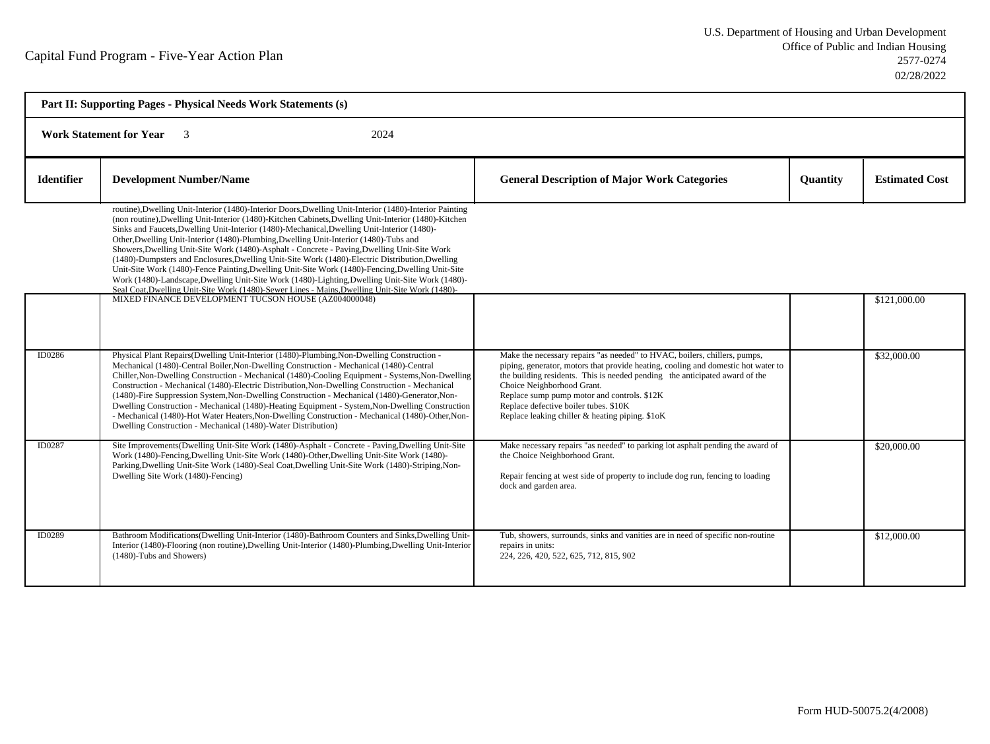| Part II: Supporting Pages - Physical Needs Work Statements (s) |                                                                                                                                                                                                                                                                                                                                                                                                                                                                                                                                                                                                                                                                                                                                                                                                                                                                                                                     |                                                                                                                                                                                                                                                                                                                                                                                                                        |                 |                       |  |  |
|----------------------------------------------------------------|---------------------------------------------------------------------------------------------------------------------------------------------------------------------------------------------------------------------------------------------------------------------------------------------------------------------------------------------------------------------------------------------------------------------------------------------------------------------------------------------------------------------------------------------------------------------------------------------------------------------------------------------------------------------------------------------------------------------------------------------------------------------------------------------------------------------------------------------------------------------------------------------------------------------|------------------------------------------------------------------------------------------------------------------------------------------------------------------------------------------------------------------------------------------------------------------------------------------------------------------------------------------------------------------------------------------------------------------------|-----------------|-----------------------|--|--|
|                                                                | <b>Work Statement for Year</b><br>2024<br>$\overline{\mathbf{3}}$                                                                                                                                                                                                                                                                                                                                                                                                                                                                                                                                                                                                                                                                                                                                                                                                                                                   |                                                                                                                                                                                                                                                                                                                                                                                                                        |                 |                       |  |  |
| <b>Identifier</b>                                              | <b>Development Number/Name</b>                                                                                                                                                                                                                                                                                                                                                                                                                                                                                                                                                                                                                                                                                                                                                                                                                                                                                      | <b>General Description of Major Work Categories</b>                                                                                                                                                                                                                                                                                                                                                                    | <b>Quantity</b> | <b>Estimated Cost</b> |  |  |
|                                                                | routine), Dwelling Unit-Interior (1480)-Interior Doors, Dwelling Unit-Interior (1480)-Interior Painting<br>(non routine), Dwelling Unit-Interior (1480)-Kitchen Cabinets, Dwelling Unit-Interior (1480)-Kitchen<br>Sinks and Faucets, Dwelling Unit-Interior (1480)-Mechanical, Dwelling Unit-Interior (1480)-<br>Other, Dwelling Unit-Interior (1480)-Plumbing, Dwelling Unit-Interior (1480)-Tubs and<br>Showers, Dwelling Unit-Site Work (1480)-Asphalt - Concrete - Paving, Dwelling Unit-Site Work<br>(1480)-Dumpsters and Enclosures, Dwelling Unit-Site Work (1480)-Electric Distribution, Dwelling<br>Unit-Site Work (1480)-Fence Painting, Dwelling Unit-Site Work (1480)-Fencing, Dwelling Unit-Site<br>Work (1480)-Landscape, Dwelling Unit-Site Work (1480)-Lighting, Dwelling Unit-Site Work (1480)-<br>Seal Coat, Dwelling Unit-Site Work (1480)-Sewer Lines - Mains, Dwelling Unit-Site Work (1480)- |                                                                                                                                                                                                                                                                                                                                                                                                                        |                 |                       |  |  |
|                                                                | MIXED FINANCE DEVELOPMENT TUCSON HOUSE (AZ004000048)                                                                                                                                                                                                                                                                                                                                                                                                                                                                                                                                                                                                                                                                                                                                                                                                                                                                |                                                                                                                                                                                                                                                                                                                                                                                                                        |                 | \$121,000.00          |  |  |
| ID0286                                                         | Physical Plant Repairs (Dwelling Unit-Interior (1480)-Plumbing, Non-Dwelling Construction -<br>Mechanical (1480)-Central Boiler, Non-Dwelling Construction - Mechanical (1480)-Central<br>Chiller, Non-Dwelling Construction - Mechanical (1480)-Cooling Equipment - Systems, Non-Dwelling<br>Construction - Mechanical (1480)-Electric Distribution, Non-Dwelling Construction - Mechanical<br>(1480)-Fire Suppression System, Non-Dwelling Construction - Mechanical (1480)-Generator, Non-<br>Dwelling Construction - Mechanical (1480)-Heating Equipment - System, Non-Dwelling Construction<br>- Mechanical (1480)-Hot Water Heaters, Non-Dwelling Construction - Mechanical (1480)-Other, Non-<br>Dwelling Construction - Mechanical (1480)-Water Distribution)                                                                                                                                               | Make the necessary repairs "as needed" to HVAC, boilers, chillers, pumps,<br>piping, generator, motors that provide heating, cooling and domestic hot water to<br>the building residents. This is needed pending the anticipated award of the<br>Choice Neighborhood Grant.<br>Replace sump pump motor and controls. \$12K<br>Replace defective boiler tubes. \$10K<br>Replace leaking chiller & heating piping. \$1oK |                 | \$32,000.00           |  |  |
| ID0287                                                         | Site Improvements (Dwelling Unit-Site Work (1480)-Asphalt - Concrete - Paving Dwelling Unit-Site<br>Work (1480)-Fencing Dwelling Unit-Site Work (1480)-Other Dwelling Unit-Site Work (1480)-<br>Parking, Dwelling Unit-Site Work (1480)-Seal Coat, Dwelling Unit-Site Work (1480)-Striping, Non-<br>Dwelling Site Work (1480)-Fencing)                                                                                                                                                                                                                                                                                                                                                                                                                                                                                                                                                                              | Make necessary repairs "as needed" to parking lot asphalt pending the award of<br>the Choice Neighborhood Grant.<br>Repair fencing at west side of property to include dog run, fencing to loading<br>dock and garden area.                                                                                                                                                                                            |                 | \$20,000.00           |  |  |
| <b>ID0289</b>                                                  | Bathroom Modifications (Dwelling Unit-Interior (1480)-Bathroom Counters and Sinks, Dwelling Unit-<br>Interior (1480)-Flooring (non routine), Dwelling Unit-Interior (1480)-Plumbing, Dwelling Unit-Interior<br>(1480)-Tubs and Showers)                                                                                                                                                                                                                                                                                                                                                                                                                                                                                                                                                                                                                                                                             | Tub, showers, surrounds, sinks and vanities are in need of specific non-routine<br>repairs in units:<br>224, 226, 420, 522, 625, 712, 815, 902                                                                                                                                                                                                                                                                         |                 | \$12,000.00           |  |  |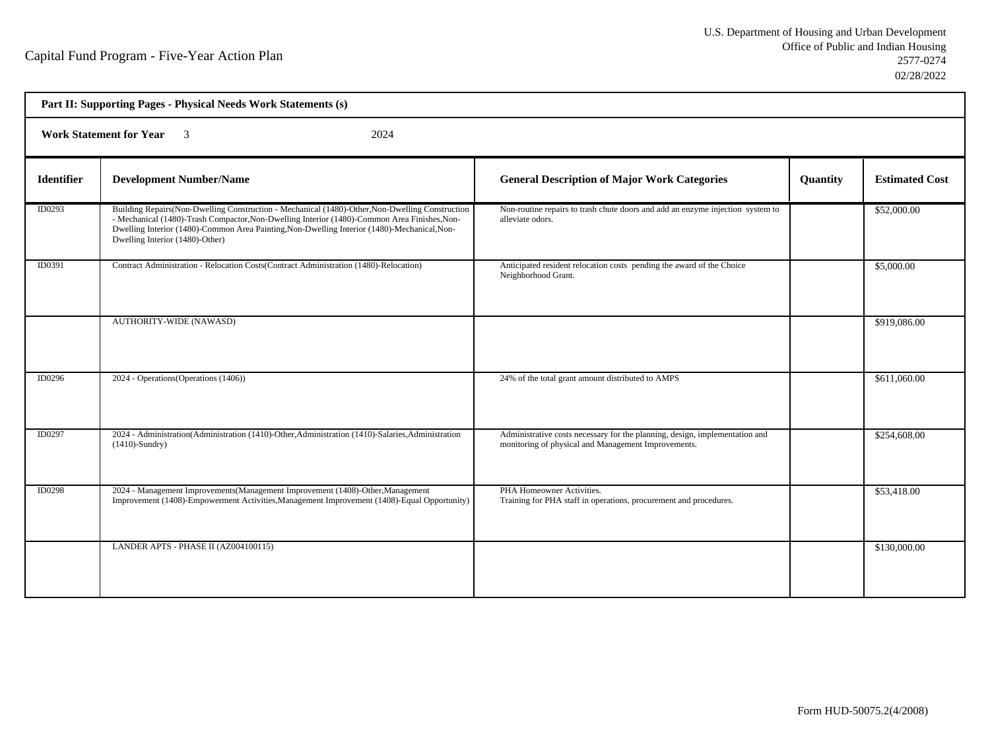| Part II: Supporting Pages - Physical Needs Work Statements (s) |                                                                                                                                                                                                                                                                                                                                     |                                                                                                                                    |          |                       |  |  |
|----------------------------------------------------------------|-------------------------------------------------------------------------------------------------------------------------------------------------------------------------------------------------------------------------------------------------------------------------------------------------------------------------------------|------------------------------------------------------------------------------------------------------------------------------------|----------|-----------------------|--|--|
|                                                                | <b>Work Statement for Year</b> 3<br>2024                                                                                                                                                                                                                                                                                            |                                                                                                                                    |          |                       |  |  |
| <b>Identifier</b>                                              | <b>Development Number/Name</b>                                                                                                                                                                                                                                                                                                      | <b>General Description of Major Work Categories</b>                                                                                | Quantity | <b>Estimated Cost</b> |  |  |
| ID0293                                                         | Building Repairs (Non-Dwelling Construction - Mechanical (1480)-Other, Non-Dwelling Construction<br>- Mechanical (1480)-Trash Compactor, Non-Dwelling Interior (1480)-Common Area Finishes, Non-<br>Dwelling Interior (1480)-Common Area Painting, Non-Dwelling Interior (1480)-Mechanical, Non-<br>Dwelling Interior (1480)-Other) | Non-routine repairs to trash chute doors and add an enzyme injection system to<br>alleviate odors.                                 |          | \$52,000.00           |  |  |
| ID0391                                                         | Contract Administration - Relocation Costs (Contract Administration (1480)-Relocation)                                                                                                                                                                                                                                              | Anticipated resident relocation costs pending the award of the Choice<br>Neighborhood Grant.                                       |          | \$5,000.00            |  |  |
|                                                                | <b>AUTHORITY-WIDE (NAWASD)</b>                                                                                                                                                                                                                                                                                                      |                                                                                                                                    |          | \$919,086.00          |  |  |
| ID0296                                                         | 2024 - Operations (Operations (1406))                                                                                                                                                                                                                                                                                               | 24% of the total grant amount distributed to AMPS                                                                                  |          | \$611,060.00          |  |  |
| ID0297                                                         | 2024 - Administration (Administration (1410)-Other, Administration (1410)-Salaries, Administration<br>$(1410)$ -Sundry)                                                                                                                                                                                                             | Administrative costs necessary for the planning, design, implementation and<br>monitoring of physical and Management Improvements. |          | \$254,608.00          |  |  |
| <b>ID0298</b>                                                  | 2024 - Management Improvements (Management Improvement (1408)-Other, Management<br>Improvement (1408)-Empowerment Activities, Management Improvement (1408)-Equal Opportunity)                                                                                                                                                      | PHA Homeowner Activities.<br>Training for PHA staff in operations, procurement and procedures.                                     |          | \$53,418.00           |  |  |
|                                                                | LANDER APTS - PHASE II (AZ004100115)                                                                                                                                                                                                                                                                                                |                                                                                                                                    |          | \$130,000.00          |  |  |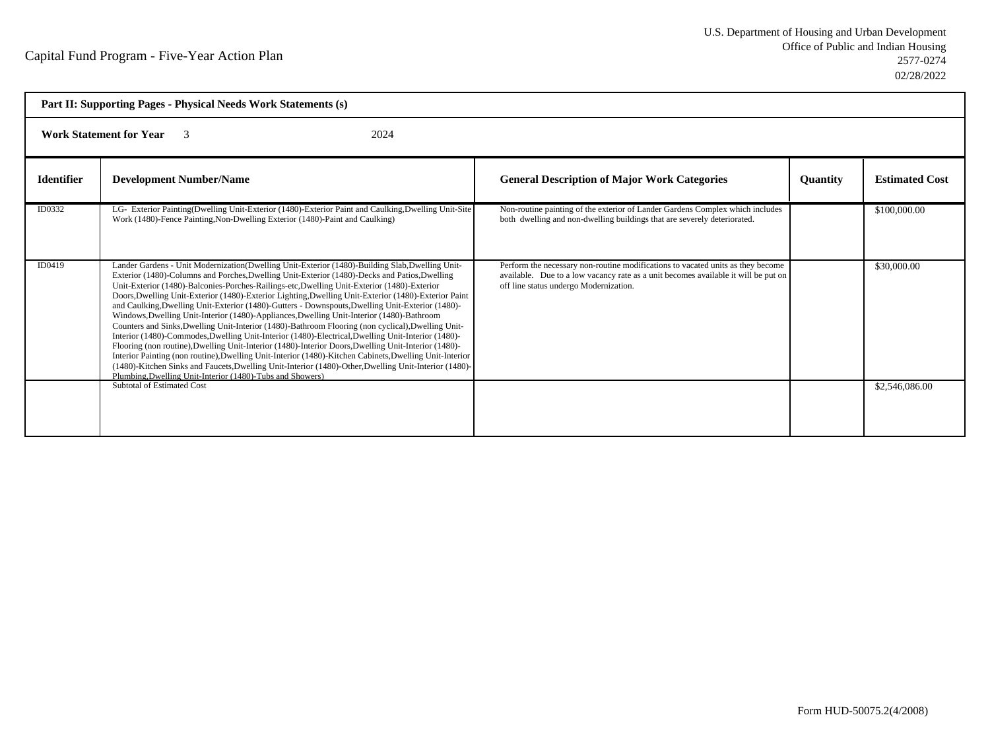|                   | Part II: Supporting Pages - Physical Needs Work Statements (s)                                                                                                                                                                                                                                                                                                                                                                                                                                                                                                                                                                                                                                                                                                                                                                                                                                                                                                                                                                                                                                                                                                                                               |                                                                                                                                                                                                                 |                 |                       |  |
|-------------------|--------------------------------------------------------------------------------------------------------------------------------------------------------------------------------------------------------------------------------------------------------------------------------------------------------------------------------------------------------------------------------------------------------------------------------------------------------------------------------------------------------------------------------------------------------------------------------------------------------------------------------------------------------------------------------------------------------------------------------------------------------------------------------------------------------------------------------------------------------------------------------------------------------------------------------------------------------------------------------------------------------------------------------------------------------------------------------------------------------------------------------------------------------------------------------------------------------------|-----------------------------------------------------------------------------------------------------------------------------------------------------------------------------------------------------------------|-----------------|-----------------------|--|
|                   | <b>Work Statement for Year</b><br>2024<br>$\mathbf{3}$                                                                                                                                                                                                                                                                                                                                                                                                                                                                                                                                                                                                                                                                                                                                                                                                                                                                                                                                                                                                                                                                                                                                                       |                                                                                                                                                                                                                 |                 |                       |  |
| <b>Identifier</b> | <b>Development Number/Name</b>                                                                                                                                                                                                                                                                                                                                                                                                                                                                                                                                                                                                                                                                                                                                                                                                                                                                                                                                                                                                                                                                                                                                                                               | <b>General Description of Major Work Categories</b>                                                                                                                                                             | <b>Quantity</b> | <b>Estimated Cost</b> |  |
| ID0332            | LG- Exterior Painting(Dwelling Unit-Exterior (1480)-Exterior Paint and Caulking, Dwelling Unit-Site<br>Work (1480)-Fence Painting, Non-Dwelling Exterior (1480)-Paint and Caulking)                                                                                                                                                                                                                                                                                                                                                                                                                                                                                                                                                                                                                                                                                                                                                                                                                                                                                                                                                                                                                          | Non-routine painting of the exterior of Lander Gardens Complex which includes<br>both dwelling and non-dwelling buildings that are severely deteriorated.                                                       |                 | \$100,000.00          |  |
| ID0419            | Lander Gardens - Unit Modernization(Dwelling Unit-Exterior (1480)-Building Slab, Dwelling Unit-<br>Exterior (1480)-Columns and Porches, Dwelling Unit-Exterior (1480)-Decks and Patios, Dwelling<br>Unit-Exterior (1480)-Balconies-Porches-Railings-etc, Dwelling Unit-Exterior (1480)-Exterior<br>Doors, Dwelling Unit-Exterior (1480)-Exterior Lighting, Dwelling Unit-Exterior (1480)-Exterior Paint<br>and Caulking, Dwelling Unit-Exterior (1480)-Gutters - Downspouts, Dwelling Unit-Exterior (1480)-<br>Windows, Dwelling Unit-Interior (1480)-Appliances, Dwelling Unit-Interior (1480)-Bathroom<br>Counters and Sinks, Dwelling Unit-Interior (1480)-Bathroom Flooring (non cyclical), Dwelling Unit-<br>Interior (1480)-Commodes, Dwelling Unit-Interior (1480)-Electrical, Dwelling Unit-Interior (1480)-<br>Flooring (non routine), Dwelling Unit-Interior (1480)-Interior Doors, Dwelling Unit-Interior (1480)-<br>Interior Painting (non routine), Dwelling Unit-Interior (1480)-Kitchen Cabinets, Dwelling Unit-Interior<br>(1480)-Kitchen Sinks and Faucets, Dwelling Unit-Interior (1480)-Other, Dwelling Unit-Interior (1480)-<br>Plumbing.Dwelling Unit-Interior (1480)-Tubs and Showers) | Perform the necessary non-routine modifications to vacated units as they become<br>available. Due to a low vacancy rate as a unit becomes available it will be put on<br>off line status undergo Modernization. |                 | \$30,000.00           |  |
|                   | <b>Subtotal of Estimated Cost</b>                                                                                                                                                                                                                                                                                                                                                                                                                                                                                                                                                                                                                                                                                                                                                                                                                                                                                                                                                                                                                                                                                                                                                                            |                                                                                                                                                                                                                 |                 | \$2,546,086.00        |  |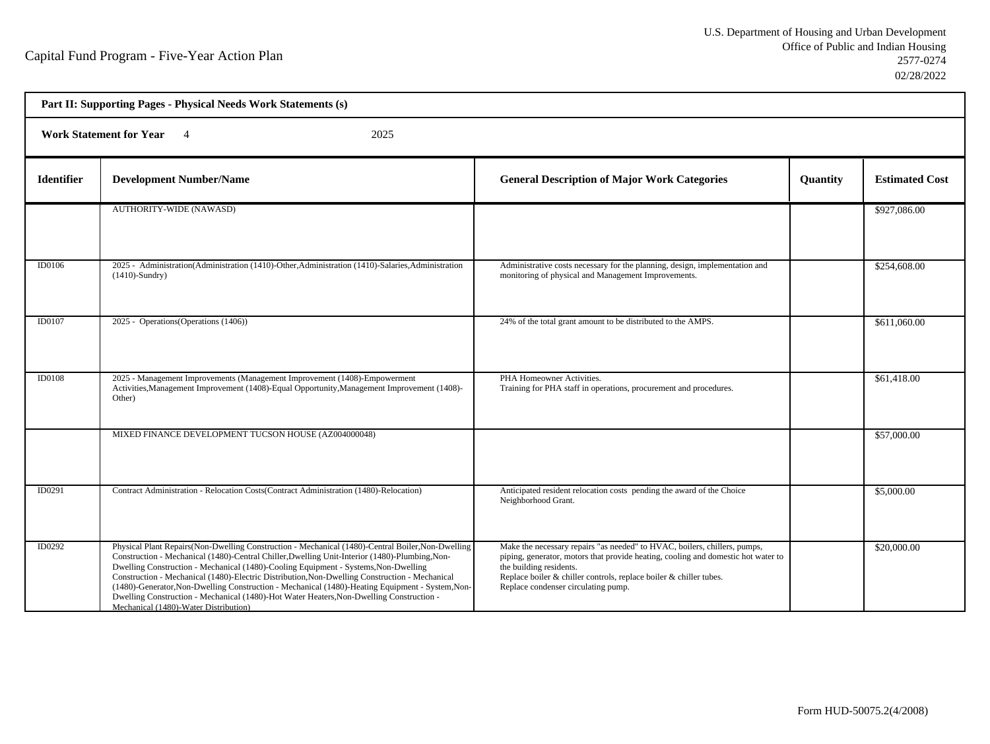h

| Part II: Supporting Pages - Physical Needs Work Statements (s) |                                                                                                                                                                                                                                                                                                                                                                                                                                                                                                                                                                                                                                        |                                                                                                                                                                                                                                                                                                        |          |                       |  |  |
|----------------------------------------------------------------|----------------------------------------------------------------------------------------------------------------------------------------------------------------------------------------------------------------------------------------------------------------------------------------------------------------------------------------------------------------------------------------------------------------------------------------------------------------------------------------------------------------------------------------------------------------------------------------------------------------------------------------|--------------------------------------------------------------------------------------------------------------------------------------------------------------------------------------------------------------------------------------------------------------------------------------------------------|----------|-----------------------|--|--|
|                                                                | <b>Work Statement for Year</b><br>2025<br>$\overline{4}$                                                                                                                                                                                                                                                                                                                                                                                                                                                                                                                                                                               |                                                                                                                                                                                                                                                                                                        |          |                       |  |  |
| <b>Identifier</b>                                              | <b>Development Number/Name</b>                                                                                                                                                                                                                                                                                                                                                                                                                                                                                                                                                                                                         | <b>General Description of Major Work Categories</b>                                                                                                                                                                                                                                                    | Quantity | <b>Estimated Cost</b> |  |  |
|                                                                | AUTHORITY-WIDE (NAWASD)                                                                                                                                                                                                                                                                                                                                                                                                                                                                                                                                                                                                                |                                                                                                                                                                                                                                                                                                        |          | \$927,086.00          |  |  |
| ID0106                                                         | 2025 - Administration(Administration (1410)-Other,Administration (1410)-Salaries,Administration<br>$(1410)$ -Sundry)                                                                                                                                                                                                                                                                                                                                                                                                                                                                                                                   | Administrative costs necessary for the planning, design, implementation and<br>monitoring of physical and Management Improvements.                                                                                                                                                                     |          | \$254,608.00          |  |  |
| ID0107                                                         | 2025 - Operations (Operations (1406))                                                                                                                                                                                                                                                                                                                                                                                                                                                                                                                                                                                                  | 24% of the total grant amount to be distributed to the AMPS.                                                                                                                                                                                                                                           |          | \$611,060.00          |  |  |
| <b>ID0108</b>                                                  | 2025 - Management Improvements (Management Improvement (1408)-Empowerment<br>Activities, Management Improvement (1408)-Equal Opportunity, Management Improvement (1408)-<br>Other)                                                                                                                                                                                                                                                                                                                                                                                                                                                     | PHA Homeowner Activities.<br>Training for PHA staff in operations, procurement and procedures.                                                                                                                                                                                                         |          | \$61,418.00           |  |  |
|                                                                | MIXED FINANCE DEVELOPMENT TUCSON HOUSE (AZ004000048)                                                                                                                                                                                                                                                                                                                                                                                                                                                                                                                                                                                   |                                                                                                                                                                                                                                                                                                        |          | \$57,000.00           |  |  |
| <b>ID0291</b>                                                  | Contract Administration - Relocation Costs (Contract Administration (1480)-Relocation)                                                                                                                                                                                                                                                                                                                                                                                                                                                                                                                                                 | Anticipated resident relocation costs pending the award of the Choice<br>Neighborhood Grant.                                                                                                                                                                                                           |          | \$5,000.00            |  |  |
| ID0292                                                         | Physical Plant Repairs (Non-Dwelling Construction - Mechanical (1480)-Central Boiler, Non-Dwelling<br>Construction - Mechanical (1480)-Central Chiller, Dwelling Unit-Interior (1480)-Plumbing, Non-<br>Dwelling Construction - Mechanical (1480)-Cooling Equipment - Systems, Non-Dwelling<br>Construction - Mechanical (1480)-Electric Distribution, Non-Dwelling Construction - Mechanical<br>(1480)-Generator, Non-Dwelling Construction - Mechanical (1480)-Heating Equipment - System, Non-<br>Dwelling Construction - Mechanical (1480)-Hot Water Heaters, Non-Dwelling Construction -<br>Mechanical (1480)-Water Distribution) | Make the necessary repairs "as needed" to HVAC, boilers, chillers, pumps,<br>piping, generator, motors that provide heating, cooling and domestic hot water to<br>the building residents.<br>Replace boiler & chiller controls, replace boiler & chiller tubes.<br>Replace condenser circulating pump. |          | \$20,000.00           |  |  |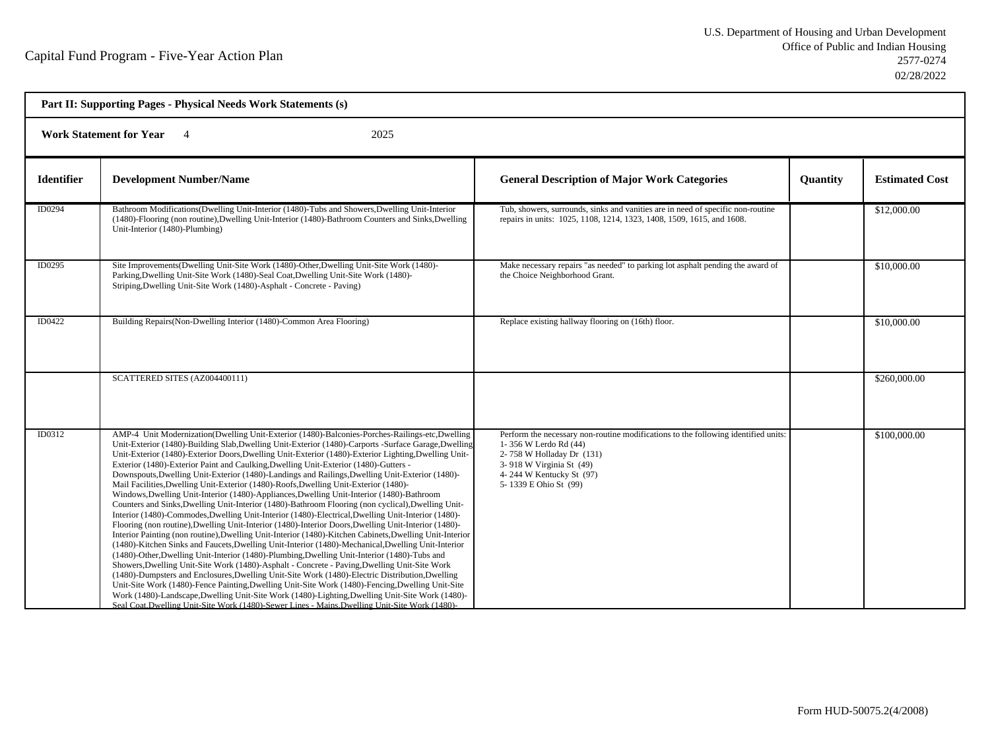| Part II: Supporting Pages - Physical Needs Work Statements (s) |                                                                                                                                                                                                                                                                                                                                                                                                                                                                                                                                                                                                                                                                                                                                                                                                                                                                                                                                                                                                                                                                                                                                                                                                                                                                                                                                                                                                                                                                                                                                                                                                                                                                                                                                                                                                                                                 |                                                                                                                                                                                                                           |                 |                       |  |  |
|----------------------------------------------------------------|-------------------------------------------------------------------------------------------------------------------------------------------------------------------------------------------------------------------------------------------------------------------------------------------------------------------------------------------------------------------------------------------------------------------------------------------------------------------------------------------------------------------------------------------------------------------------------------------------------------------------------------------------------------------------------------------------------------------------------------------------------------------------------------------------------------------------------------------------------------------------------------------------------------------------------------------------------------------------------------------------------------------------------------------------------------------------------------------------------------------------------------------------------------------------------------------------------------------------------------------------------------------------------------------------------------------------------------------------------------------------------------------------------------------------------------------------------------------------------------------------------------------------------------------------------------------------------------------------------------------------------------------------------------------------------------------------------------------------------------------------------------------------------------------------------------------------------------------------|---------------------------------------------------------------------------------------------------------------------------------------------------------------------------------------------------------------------------|-----------------|-----------------------|--|--|
|                                                                | <b>Work Statement for Year</b><br>2025                                                                                                                                                                                                                                                                                                                                                                                                                                                                                                                                                                                                                                                                                                                                                                                                                                                                                                                                                                                                                                                                                                                                                                                                                                                                                                                                                                                                                                                                                                                                                                                                                                                                                                                                                                                                          |                                                                                                                                                                                                                           |                 |                       |  |  |
| <b>Identifier</b>                                              | <b>Development Number/Name</b>                                                                                                                                                                                                                                                                                                                                                                                                                                                                                                                                                                                                                                                                                                                                                                                                                                                                                                                                                                                                                                                                                                                                                                                                                                                                                                                                                                                                                                                                                                                                                                                                                                                                                                                                                                                                                  | <b>General Description of Major Work Categories</b>                                                                                                                                                                       | <b>Quantity</b> | <b>Estimated Cost</b> |  |  |
| ID0294                                                         | Bathroom Modifications (Dwelling Unit-Interior (1480)-Tubs and Showers, Dwelling Unit-Interior<br>(1480)-Flooring (non routine), Dwelling Unit-Interior (1480)-Bathroom Counters and Sinks, Dwelling<br>Unit-Interior (1480)-Plumbing)                                                                                                                                                                                                                                                                                                                                                                                                                                                                                                                                                                                                                                                                                                                                                                                                                                                                                                                                                                                                                                                                                                                                                                                                                                                                                                                                                                                                                                                                                                                                                                                                          | Tub, showers, surrounds, sinks and vanities are in need of specific non-routine<br>repairs in units: 1025, 1108, 1214, 1323, 1408, 1509, 1615, and 1608.                                                                  |                 | \$12,000.00           |  |  |
| ID0295                                                         | Site Improvements(Dwelling Unit-Site Work (1480)-Other, Dwelling Unit-Site Work (1480)-<br>Parking, Dwelling Unit-Site Work (1480)-Seal Coat, Dwelling Unit-Site Work (1480)-<br>Striping, Dwelling Unit-Site Work (1480)-Asphalt - Concrete - Paving)                                                                                                                                                                                                                                                                                                                                                                                                                                                                                                                                                                                                                                                                                                                                                                                                                                                                                                                                                                                                                                                                                                                                                                                                                                                                                                                                                                                                                                                                                                                                                                                          | Make necessary repairs "as needed" to parking lot asphalt pending the award of<br>the Choice Neighborhood Grant.                                                                                                          |                 | \$10,000.00           |  |  |
| ID0422                                                         | Building Repairs (Non-Dwelling Interior (1480)-Common Area Flooring)                                                                                                                                                                                                                                                                                                                                                                                                                                                                                                                                                                                                                                                                                                                                                                                                                                                                                                                                                                                                                                                                                                                                                                                                                                                                                                                                                                                                                                                                                                                                                                                                                                                                                                                                                                            | Replace existing hallway flooring on (16th) floor.                                                                                                                                                                        |                 | \$10,000.00           |  |  |
|                                                                | SCATTERED SITES (AZ004400111)                                                                                                                                                                                                                                                                                                                                                                                                                                                                                                                                                                                                                                                                                                                                                                                                                                                                                                                                                                                                                                                                                                                                                                                                                                                                                                                                                                                                                                                                                                                                                                                                                                                                                                                                                                                                                   |                                                                                                                                                                                                                           |                 | \$260,000.00          |  |  |
| ID0312                                                         | AMP-4 Unit Modernization(Dwelling Unit-Exterior (1480)-Balconies-Porches-Railings-etc,Dwelling<br>Unit-Exterior (1480)-Building Slab, Dwelling Unit-Exterior (1480)-Carports -Surface Garage, Dwelling<br>Unit-Exterior (1480)-Exterior Doors, Dwelling Unit-Exterior (1480)-Exterior Lighting, Dwelling Unit-<br>Exterior (1480)-Exterior Paint and Caulking, Dwelling Unit-Exterior (1480)-Gutters -<br>Downspouts, Dwelling Unit-Exterior (1480)-Landings and Railings, Dwelling Unit-Exterior (1480)-<br>Mail Facilities, Dwelling Unit-Exterior (1480)-Roofs, Dwelling Unit-Exterior (1480)-<br>Windows, Dwelling Unit-Interior (1480)-Appliances, Dwelling Unit-Interior (1480)-Bathroom<br>Counters and Sinks, Dwelling Unit-Interior (1480)-Bathroom Flooring (non cyclical), Dwelling Unit-<br>Interior (1480)-Commodes, Dwelling Unit-Interior (1480)-Electrical, Dwelling Unit-Interior (1480)-<br>Flooring (non routine), Dwelling Unit-Interior (1480)-Interior Doors, Dwelling Unit-Interior (1480)-<br>Interior Painting (non routine), Dwelling Unit-Interior (1480)-Kitchen Cabinets, Dwelling Unit-Interior<br>(1480)-Kitchen Sinks and Faucets, Dwelling Unit-Interior (1480)-Mechanical, Dwelling Unit-Interior<br>(1480)-Other, Dwelling Unit-Interior (1480)-Plumbing, Dwelling Unit-Interior (1480)-Tubs and<br>Showers, Dwelling Unit-Site Work (1480)-Asphalt - Concrete - Paving, Dwelling Unit-Site Work<br>(1480)-Dumpsters and Enclosures, Dwelling Unit-Site Work (1480)-Electric Distribution, Dwelling<br>Unit-Site Work (1480)-Fence Painting, Dwelling Unit-Site Work (1480)-Fencing, Dwelling Unit-Site<br>Work (1480)-Landscape, Dwelling Unit-Site Work (1480)-Lighting, Dwelling Unit-Site Work (1480)-<br>Seal Coat, Dwelling Unit-Site Work (1480)-Sewer Lines - Mains, Dwelling Unit-Site Work (1480)- | Perform the necessary non-routine modifications to the following identified units:<br>1-356 W Lerdo Rd (44)<br>2-758 W Holladay Dr (131)<br>3-918 W Virginia St (49)<br>4-244 W Kentucky St (97)<br>5-1339 E Ohio St (99) |                 | \$100,000.00          |  |  |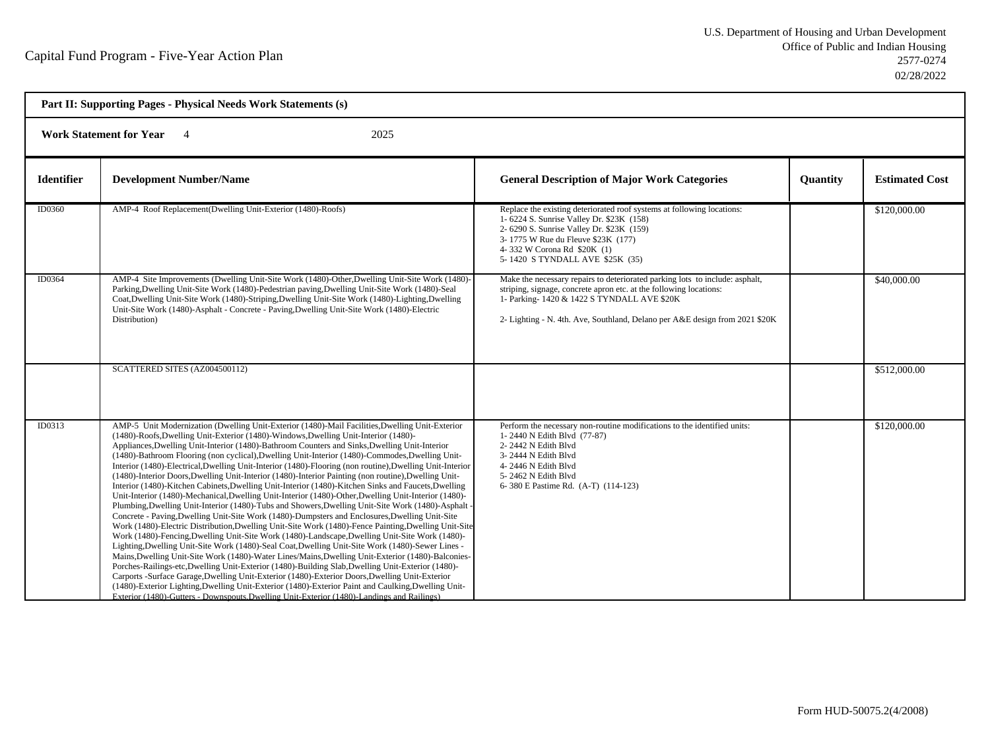| Part II: Supporting Pages - Physical Needs Work Statements (s) |                                                                                                                                                                                                                                                                                                                                                                                                                                                                                                                                                                                                                                                                                                                                                                                                                                                                                                                                                                                                                                                                                                                                                                                                                                                                                                                                                                                                                                                                                                                                                                                                                                                                                                                                                                                                                                                                     |                                                                                                                                                                                                                                                                                 |                 |                       |  |  |
|----------------------------------------------------------------|---------------------------------------------------------------------------------------------------------------------------------------------------------------------------------------------------------------------------------------------------------------------------------------------------------------------------------------------------------------------------------------------------------------------------------------------------------------------------------------------------------------------------------------------------------------------------------------------------------------------------------------------------------------------------------------------------------------------------------------------------------------------------------------------------------------------------------------------------------------------------------------------------------------------------------------------------------------------------------------------------------------------------------------------------------------------------------------------------------------------------------------------------------------------------------------------------------------------------------------------------------------------------------------------------------------------------------------------------------------------------------------------------------------------------------------------------------------------------------------------------------------------------------------------------------------------------------------------------------------------------------------------------------------------------------------------------------------------------------------------------------------------------------------------------------------------------------------------------------------------|---------------------------------------------------------------------------------------------------------------------------------------------------------------------------------------------------------------------------------------------------------------------------------|-----------------|-----------------------|--|--|
|                                                                | <b>Work Statement for Year</b><br>2025<br>$\overline{4}$                                                                                                                                                                                                                                                                                                                                                                                                                                                                                                                                                                                                                                                                                                                                                                                                                                                                                                                                                                                                                                                                                                                                                                                                                                                                                                                                                                                                                                                                                                                                                                                                                                                                                                                                                                                                            |                                                                                                                                                                                                                                                                                 |                 |                       |  |  |
| <b>Identifier</b>                                              | <b>Development Number/Name</b>                                                                                                                                                                                                                                                                                                                                                                                                                                                                                                                                                                                                                                                                                                                                                                                                                                                                                                                                                                                                                                                                                                                                                                                                                                                                                                                                                                                                                                                                                                                                                                                                                                                                                                                                                                                                                                      | <b>General Description of Major Work Categories</b>                                                                                                                                                                                                                             | <b>Ouantity</b> | <b>Estimated Cost</b> |  |  |
| ID0360                                                         | AMP-4 Roof Replacement (Dwelling Unit-Exterior (1480)-Roofs)                                                                                                                                                                                                                                                                                                                                                                                                                                                                                                                                                                                                                                                                                                                                                                                                                                                                                                                                                                                                                                                                                                                                                                                                                                                                                                                                                                                                                                                                                                                                                                                                                                                                                                                                                                                                        | Replace the existing deteriorated roof systems at following locations:<br>1-6224 S. Sunrise Valley Dr. \$23K (158)<br>2- 6290 S. Sunrise Valley Dr. \$23K (159)<br>3-1775 W Rue du Fleuve \$23K (177)<br>4-332 W Corona Rd \$20K (1)<br>5-1420 S TYNDALL AVE \$25K (35)         |                 | \$120,000.00          |  |  |
| ID0364                                                         | AMP-4 Site Improvements (Dwelling Unit-Site Work (1480)-Other, Dwelling Unit-Site Work (1480)-<br>Parking, Dwelling Unit-Site Work (1480)-Pedestrian paving, Dwelling Unit-Site Work (1480)-Seal<br>Coat, Dwelling Unit-Site Work (1480)-Striping, Dwelling Unit-Site Work (1480)-Lighting, Dwelling<br>Unit-Site Work (1480)-Asphalt - Concrete - Paving, Dwelling Unit-Site Work (1480)-Electric<br>Distribution)                                                                                                                                                                                                                                                                                                                                                                                                                                                                                                                                                                                                                                                                                                                                                                                                                                                                                                                                                                                                                                                                                                                                                                                                                                                                                                                                                                                                                                                 | Make the necessary repairs to deteriorated parking lots to include: asphalt,<br>striping, signage, concrete apron etc. at the following locations:<br>1- Parking-1420 & 1422 S TYNDALL AVE \$20K<br>2- Lighting - N. 4th. Ave, Southland, Delano per A&E design from 2021 \$20K |                 | \$40,000.00           |  |  |
|                                                                | SCATTERED SITES (AZ004500112)                                                                                                                                                                                                                                                                                                                                                                                                                                                                                                                                                                                                                                                                                                                                                                                                                                                                                                                                                                                                                                                                                                                                                                                                                                                                                                                                                                                                                                                                                                                                                                                                                                                                                                                                                                                                                                       |                                                                                                                                                                                                                                                                                 |                 | \$512,000.00          |  |  |
| ID0313                                                         | AMP-5 Unit Modernization (Dwelling Unit-Exterior (1480)-Mail Facilities, Dwelling Unit-Exterior<br>(1480)-Roofs, Dwelling Unit-Exterior (1480)-Windows, Dwelling Unit-Interior (1480)-<br>Appliances, Dwelling Unit-Interior (1480)-Bathroom Counters and Sinks, Dwelling Unit-Interior<br>(1480)-Bathroom Flooring (non cyclical), Dwelling Unit-Interior (1480)-Commodes, Dwelling Unit-<br>Interior (1480)-Electrical, Dwelling Unit-Interior (1480)-Flooring (non routine), Dwelling Unit-Interior<br>(1480)-Interior Doors, Dwelling Unit-Interior (1480)-Interior Painting (non routine), Dwelling Unit-<br>Interior (1480)-Kitchen Cabinets, Dwelling Unit-Interior (1480)-Kitchen Sinks and Faucets, Dwelling<br>Unit-Interior (1480)-Mechanical, Dwelling Unit-Interior (1480)-Other, Dwelling Unit-Interior (1480)-<br>Plumbing, Dwelling Unit-Interior (1480)-Tubs and Showers, Dwelling Unit-Site Work (1480)-Asphalt -<br>Concrete - Paving, Dwelling Unit-Site Work (1480)-Dumpsters and Enclosures, Dwelling Unit-Site<br>Work (1480)-Electric Distribution, Dwelling Unit-Site Work (1480)-Fence Painting, Dwelling Unit-Site<br>Work (1480)-Fencing, Dwelling Unit-Site Work (1480)-Landscape, Dwelling Unit-Site Work (1480)-<br>Lighting, Dwelling Unit-Site Work (1480)-Seal Coat, Dwelling Unit-Site Work (1480)-Sewer Lines -<br>Mains, Dwelling Unit-Site Work (1480)-Water Lines/Mains, Dwelling Unit-Exterior (1480)-Balconies-<br>Porches-Railings-etc, Dwelling Unit-Exterior (1480)-Building Slab, Dwelling Unit-Exterior (1480)-<br>Carports -Surface Garage, Dwelling Unit-Exterior (1480)-Exterior Doors, Dwelling Unit-Exterior<br>(1480)-Exterior Lighting, Dwelling Unit-Exterior (1480)-Exterior Paint and Caulking, Dwelling Unit-<br>Exterior (1480)-Gutters - Downspouts Dwelling Unit-Exterior (1480)-Landings and Railings) | Perform the necessary non-routine modifications to the identified units:<br>1-2440 N Edith Blvd (77-87)<br>2-2442 N Edith Blvd<br>3-2444 N Edith Blvd<br>4-2446 N Edith Blvd<br>5-2462 N Edith Blvd<br>6-380 E Pastime Rd. (A-T) (114-123)                                      |                 | \$120,000.00          |  |  |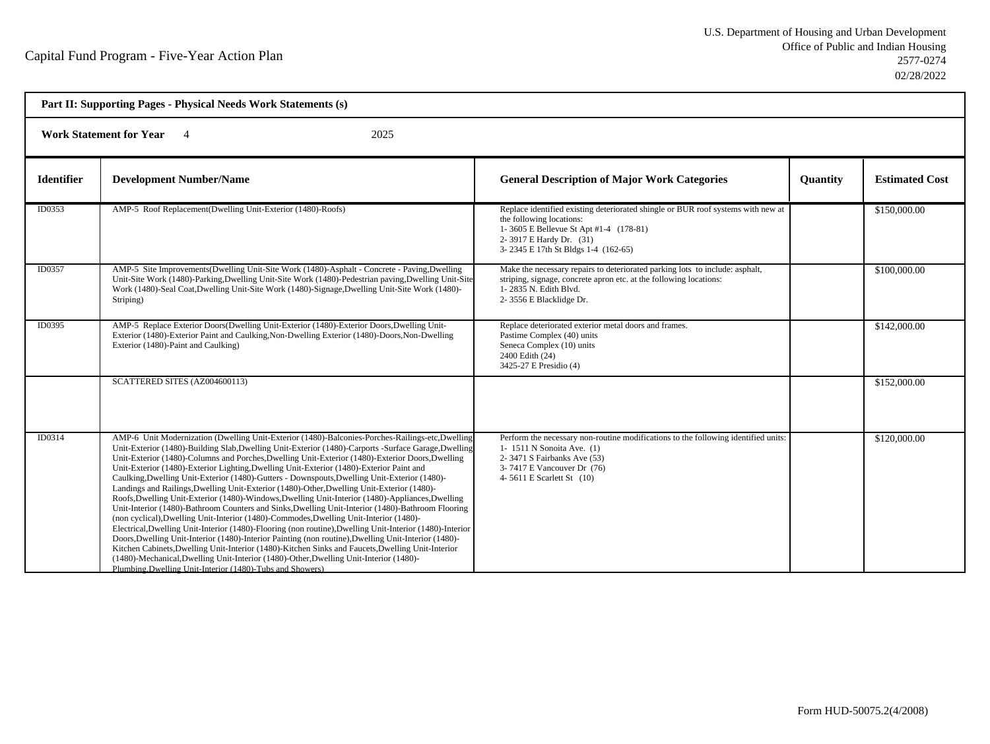h

| Part II: Supporting Pages - Physical Needs Work Statements (s) |                                                                                                                                                                                                                                                                                                                                                                                                                                                                                                                                                                                                                                                                                                                                                                                                                                                                                                                                                                                                                                                                                                                                                                                                                                                                                                                                                                                           |                                                                                                                                                                                                                          |                 |                       |  |
|----------------------------------------------------------------|-------------------------------------------------------------------------------------------------------------------------------------------------------------------------------------------------------------------------------------------------------------------------------------------------------------------------------------------------------------------------------------------------------------------------------------------------------------------------------------------------------------------------------------------------------------------------------------------------------------------------------------------------------------------------------------------------------------------------------------------------------------------------------------------------------------------------------------------------------------------------------------------------------------------------------------------------------------------------------------------------------------------------------------------------------------------------------------------------------------------------------------------------------------------------------------------------------------------------------------------------------------------------------------------------------------------------------------------------------------------------------------------|--------------------------------------------------------------------------------------------------------------------------------------------------------------------------------------------------------------------------|-----------------|-----------------------|--|
|                                                                | <b>Work Statement for Year</b><br>2025<br>$\overline{4}$                                                                                                                                                                                                                                                                                                                                                                                                                                                                                                                                                                                                                                                                                                                                                                                                                                                                                                                                                                                                                                                                                                                                                                                                                                                                                                                                  |                                                                                                                                                                                                                          |                 |                       |  |
| <b>Identifier</b>                                              | <b>Development Number/Name</b>                                                                                                                                                                                                                                                                                                                                                                                                                                                                                                                                                                                                                                                                                                                                                                                                                                                                                                                                                                                                                                                                                                                                                                                                                                                                                                                                                            | <b>General Description of Major Work Categories</b>                                                                                                                                                                      | <b>Quantity</b> | <b>Estimated Cost</b> |  |
| ID0353                                                         | AMP-5 Roof Replacement(Dwelling Unit-Exterior (1480)-Roofs)                                                                                                                                                                                                                                                                                                                                                                                                                                                                                                                                                                                                                                                                                                                                                                                                                                                                                                                                                                                                                                                                                                                                                                                                                                                                                                                               | Replace identified existing deteriorated shingle or BUR roof systems with new at<br>the following locations:<br>1-3605 E Bellevue St Apt #1-4 (178-81)<br>2-3917 E Hardy Dr. (31)<br>3-2345 E 17th St Bldgs 1-4 (162-65) |                 | \$150,000.00          |  |
| ID0357                                                         | AMP-5 Site Improvements(Dwelling Unit-Site Work (1480)-Asphalt - Concrete - Paving, Dwelling<br>Unit-Site Work (1480)-Parking, Dwelling Unit-Site Work (1480)-Pedestrian paving, Dwelling Unit-Site<br>Work (1480)-Seal Coat, Dwelling Unit-Site Work (1480)-Signage, Dwelling Unit-Site Work (1480)-<br>Striping)                                                                                                                                                                                                                                                                                                                                                                                                                                                                                                                                                                                                                                                                                                                                                                                                                                                                                                                                                                                                                                                                        | Make the necessary repairs to deteriorated parking lots to include: asphalt,<br>striping, signage, concrete apron etc. at the following locations:<br>1-2835 N. Edith Blvd.<br>2-3556 E Blacklidge Dr.                   |                 | \$100,000.00          |  |
| ID0395                                                         | AMP-5 Replace Exterior Doors(Dwelling Unit-Exterior (1480)-Exterior Doors, Dwelling Unit-<br>Exterior (1480)-Exterior Paint and Caulking, Non-Dwelling Exterior (1480)-Doors, Non-Dwelling<br>Exterior (1480)-Paint and Caulking)                                                                                                                                                                                                                                                                                                                                                                                                                                                                                                                                                                                                                                                                                                                                                                                                                                                                                                                                                                                                                                                                                                                                                         | Replace deteriorated exterior metal doors and frames.<br>Pastime Complex (40) units<br>Seneca Complex (10) units<br>2400 Edith (24)<br>3425-27 E Presidio (4)                                                            |                 | \$142,000.00          |  |
|                                                                | SCATTERED SITES (AZ004600113)                                                                                                                                                                                                                                                                                                                                                                                                                                                                                                                                                                                                                                                                                                                                                                                                                                                                                                                                                                                                                                                                                                                                                                                                                                                                                                                                                             |                                                                                                                                                                                                                          |                 | \$152,000.00          |  |
| ID0314                                                         | AMP-6 Unit Modernization (Dwelling Unit-Exterior (1480)-Balconies-Porches-Railings-etc, Dwelling<br>Unit-Exterior (1480)-Building Slab, Dwelling Unit-Exterior (1480)-Carports -Surface Garage, Dwelling<br>Unit-Exterior (1480)-Columns and Porches, Dwelling Unit-Exterior (1480)-Exterior Doors, Dwelling<br>Unit-Exterior (1480)-Exterior Lighting, Dwelling Unit-Exterior (1480)-Exterior Paint and<br>Caulking, Dwelling Unit-Exterior (1480)-Gutters - Downspouts, Dwelling Unit-Exterior (1480)-<br>Landings and Railings, Dwelling Unit-Exterior (1480)-Other, Dwelling Unit-Exterior (1480)-<br>Roofs, Dwelling Unit-Exterior (1480)-Windows, Dwelling Unit-Interior (1480)-Appliances, Dwelling<br>Unit-Interior (1480)-Bathroom Counters and Sinks, Dwelling Unit-Interior (1480)-Bathroom Flooring<br>(non cyclical), Dwelling Unit-Interior (1480)-Commodes, Dwelling Unit-Interior (1480)-<br>Electrical, Dwelling Unit-Interior (1480)-Flooring (non routine), Dwelling Unit-Interior (1480)-Interior<br>Doors, Dwelling Unit-Interior (1480)-Interior Painting (non routine), Dwelling Unit-Interior (1480)-<br>Kitchen Cabinets, Dwelling Unit-Interior (1480)-Kitchen Sinks and Faucets, Dwelling Unit-Interior<br>(1480)-Mechanical, Dwelling Unit-Interior (1480)-Other, Dwelling Unit-Interior (1480)-<br>Plumbing, Dwelling Unit-Interior (1480)-Tubs and Showers) | Perform the necessary non-routine modifications to the following identified units:<br>1-1511 N Sonoita Ave. (1)<br>2-3471 S Fairbanks Ave (53)<br>3-7417 E Vancouver Dr (76)<br>4-5611 E Scarlett St (10)                |                 | \$120,000.00          |  |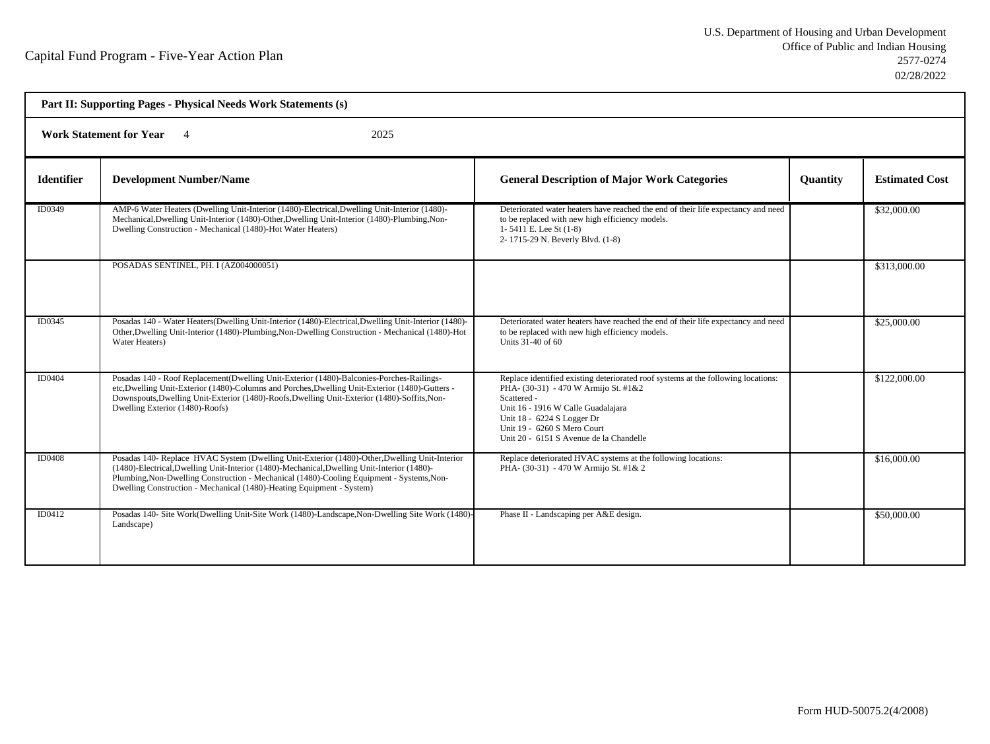| Part II: Supporting Pages - Physical Needs Work Statements (s) |                                                                                                                                                                                                                                                                                                                                                                    |                                                                                                                                                                                                                                                                                        |                 |                       |  |  |
|----------------------------------------------------------------|--------------------------------------------------------------------------------------------------------------------------------------------------------------------------------------------------------------------------------------------------------------------------------------------------------------------------------------------------------------------|----------------------------------------------------------------------------------------------------------------------------------------------------------------------------------------------------------------------------------------------------------------------------------------|-----------------|-----------------------|--|--|
|                                                                | <b>Work Statement for Year</b><br>2025                                                                                                                                                                                                                                                                                                                             |                                                                                                                                                                                                                                                                                        |                 |                       |  |  |
| <b>Identifier</b>                                              | <b>Development Number/Name</b>                                                                                                                                                                                                                                                                                                                                     | <b>General Description of Major Work Categories</b>                                                                                                                                                                                                                                    | <b>Quantity</b> | <b>Estimated Cost</b> |  |  |
| ID0349                                                         | AMP-6 Water Heaters (Dwelling Unit-Interior (1480)-Electrical, Dwelling Unit-Interior (1480)-<br>Mechanical, Dwelling Unit-Interior (1480)-Other, Dwelling Unit-Interior (1480)-Plumbing, Non-<br>Dwelling Construction - Mechanical (1480)-Hot Water Heaters)                                                                                                     | Deteriorated water heaters have reached the end of their life expectancy and need<br>to be replaced with new high efficiency models.<br>1-5411 E. Lee St $(1-8)$<br>2-1715-29 N. Beverly Blvd. (1-8)                                                                                   |                 | \$32,000.00           |  |  |
|                                                                | POSADAS SENTINEL, PH. I (AZ004000051)                                                                                                                                                                                                                                                                                                                              |                                                                                                                                                                                                                                                                                        |                 | \$313,000.00          |  |  |
| ID0345                                                         | Posadas 140 - Water Heaters(Dwelling Unit-Interior (1480)-Electrical, Dwelling Unit-Interior (1480)-<br>Other, Dwelling Unit-Interior (1480)-Plumbing, Non-Dwelling Construction - Mechanical (1480)-Hot<br>Water Heaters)                                                                                                                                         | Deteriorated water heaters have reached the end of their life expectancy and need<br>to be replaced with new high efficiency models.<br>Units 31-40 of 60                                                                                                                              |                 | \$25,000.00           |  |  |
| <b>ID0404</b>                                                  | Posadas 140 - Roof Replacement(Dwelling Unit-Exterior (1480)-Balconies-Porches-Railings-<br>etc, Dwelling Unit-Exterior (1480)-Columns and Porches, Dwelling Unit-Exterior (1480)-Gutters -<br>Downspouts, Dwelling Unit-Exterior (1480)-Roofs, Dwelling Unit-Exterior (1480)-Soffits, Non-<br>Dwelling Exterior (1480)-Roofs)                                     | Replace identified existing deteriorated roof systems at the following locations:<br>PHA- (30-31) - 470 W Armijo St. #1&2<br>Scattered -<br>Unit 16 - 1916 W Calle Guadalajara<br>Unit 18 - 6224 S Logger Dr<br>Unit 19 - 6260 S Mero Court<br>Unit 20 - 6151 S Avenue de la Chandelle |                 | \$122,000.00          |  |  |
| ID0408                                                         | Posadas 140- Replace HVAC System (Dwelling Unit-Exterior (1480)-Other, Dwelling Unit-Interior<br>(1480)-Electrical, Dwelling Unit-Interior (1480)-Mechanical, Dwelling Unit-Interior (1480)-<br>Plumbing, Non-Dwelling Construction - Mechanical (1480)-Cooling Equipment - Systems, Non-<br>Dwelling Construction - Mechanical (1480)-Heating Equipment - System) | Replace deteriorated HVAC systems at the following locations:<br>PHA- (30-31) - 470 W Armijo St. #1& 2                                                                                                                                                                                 |                 | \$16,000.00           |  |  |
| ID0412                                                         | Posadas 140- Site Work(Dwelling Unit-Site Work (1480)-Landscape, Non-Dwelling Site Work (1480)-<br>Landscape)                                                                                                                                                                                                                                                      | Phase II - Landscaping per A&E design.                                                                                                                                                                                                                                                 |                 | \$50,000.00           |  |  |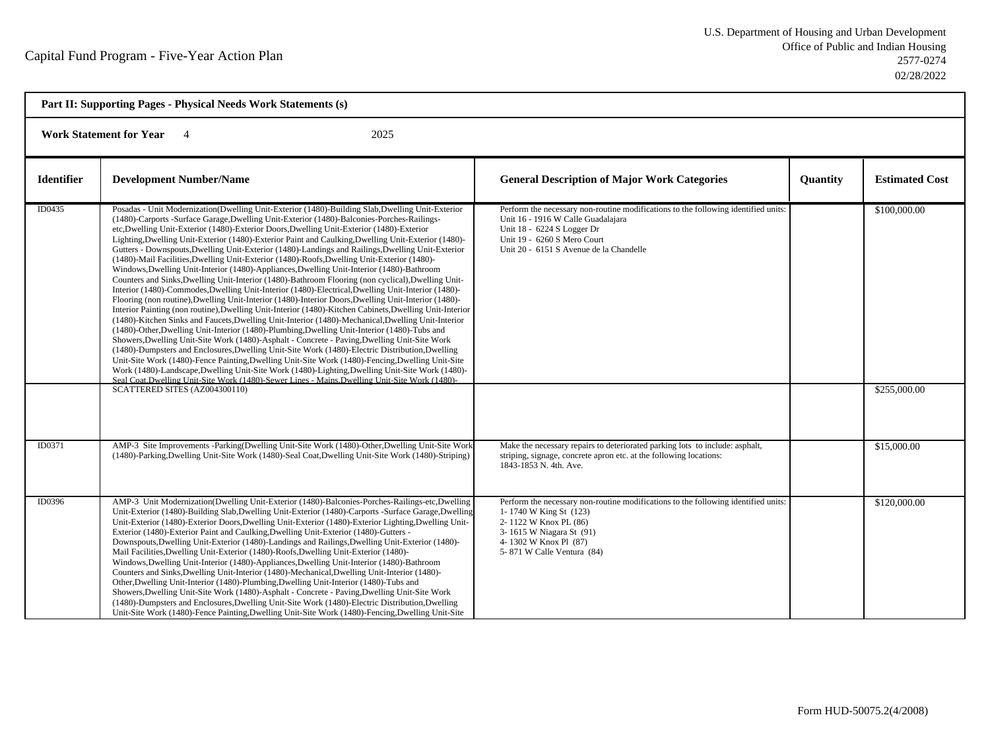| Part II: Supporting Pages - Physical Needs Work Statements (s) |                                                                                                                                                                                                                                                                                                                                                                                                                                                                                                                                                                                                                                                                                                                                                                                                                                                                                                                                                                                                                                                                                                                                                                                                                                                                                                                                                                                                                                                                                                                                                                                                                                                                                                                                                                                                                                                                                     |                                                                                                                                                                                                                                  |          |                              |  |  |
|----------------------------------------------------------------|-------------------------------------------------------------------------------------------------------------------------------------------------------------------------------------------------------------------------------------------------------------------------------------------------------------------------------------------------------------------------------------------------------------------------------------------------------------------------------------------------------------------------------------------------------------------------------------------------------------------------------------------------------------------------------------------------------------------------------------------------------------------------------------------------------------------------------------------------------------------------------------------------------------------------------------------------------------------------------------------------------------------------------------------------------------------------------------------------------------------------------------------------------------------------------------------------------------------------------------------------------------------------------------------------------------------------------------------------------------------------------------------------------------------------------------------------------------------------------------------------------------------------------------------------------------------------------------------------------------------------------------------------------------------------------------------------------------------------------------------------------------------------------------------------------------------------------------------------------------------------------------|----------------------------------------------------------------------------------------------------------------------------------------------------------------------------------------------------------------------------------|----------|------------------------------|--|--|
|                                                                | <b>Work Statement for Year</b><br>2025<br>$\overline{4}$                                                                                                                                                                                                                                                                                                                                                                                                                                                                                                                                                                                                                                                                                                                                                                                                                                                                                                                                                                                                                                                                                                                                                                                                                                                                                                                                                                                                                                                                                                                                                                                                                                                                                                                                                                                                                            |                                                                                                                                                                                                                                  |          |                              |  |  |
| <b>Identifier</b>                                              | <b>Development Number/Name</b>                                                                                                                                                                                                                                                                                                                                                                                                                                                                                                                                                                                                                                                                                                                                                                                                                                                                                                                                                                                                                                                                                                                                                                                                                                                                                                                                                                                                                                                                                                                                                                                                                                                                                                                                                                                                                                                      | <b>General Description of Major Work Categories</b>                                                                                                                                                                              | Quantity | <b>Estimated Cost</b>        |  |  |
| ID0435                                                         | Posadas - Unit Modernization(Dwelling Unit-Exterior (1480)-Building Slab, Dwelling Unit-Exterior<br>(1480)-Carports -Surface Garage, Dwelling Unit-Exterior (1480)-Balconies-Porches-Railings-<br>etc, Dwelling Unit-Exterior (1480)-Exterior Doors, Dwelling Unit-Exterior (1480)-Exterior<br>Lighting, Dwelling Unit-Exterior (1480)-Exterior Paint and Caulking, Dwelling Unit-Exterior (1480)-<br>Gutters - Downspouts, Dwelling Unit-Exterior (1480)-Landings and Railings, Dwelling Unit-Exterior<br>(1480)-Mail Facilities, Dwelling Unit-Exterior (1480)-Roofs, Dwelling Unit-Exterior (1480)-<br>Windows, Dwelling Unit-Interior (1480)-Appliances, Dwelling Unit-Interior (1480)-Bathroom<br>Counters and Sinks, Dwelling Unit-Interior (1480)-Bathroom Flooring (non cyclical), Dwelling Unit-<br>Interior (1480)-Commodes, Dwelling Unit-Interior (1480)-Electrical, Dwelling Unit-Interior (1480)-<br>Flooring (non routine), Dwelling Unit-Interior (1480)-Interior Doors, Dwelling Unit-Interior (1480)-<br>Interior Painting (non routine), Dwelling Unit-Interior (1480)-Kitchen Cabinets, Dwelling Unit-Interior<br>(1480)-Kitchen Sinks and Faucets, Dwelling Unit-Interior (1480)-Mechanical, Dwelling Unit-Interior<br>(1480)-Other, Dwelling Unit-Interior (1480)-Plumbing, Dwelling Unit-Interior (1480)-Tubs and<br>Showers, Dwelling Unit-Site Work (1480)-Asphalt - Concrete - Paving, Dwelling Unit-Site Work<br>(1480)-Dumpsters and Enclosures, Dwelling Unit-Site Work (1480)-Electric Distribution, Dwelling<br>Unit-Site Work (1480)-Fence Painting, Dwelling Unit-Site Work (1480)-Fencing, Dwelling Unit-Site<br>Work (1480)-Landscape, Dwelling Unit-Site Work (1480)-Lighting, Dwelling Unit-Site Work (1480)-<br>Seal Coat Dwelling Unit-Site Work (1480)-Sewer Lines - Mains Dwelling Unit-Site Work (1480)-<br>SCATTERED SITES (AZ004300110) | Perform the necessary non-routine modifications to the following identified units:<br>Unit 16 - 1916 W Calle Guadalajara<br>Unit 18 - 6224 S Logger Dr<br>Unit 19 - 6260 S Mero Court<br>Unit 20 - 6151 S Avenue de la Chandelle |          | \$100,000.00<br>\$255,000.00 |  |  |
| ID0371                                                         | AMP-3 Site Improvements -Parking(Dwelling Unit-Site Work (1480)-Other, Dwelling Unit-Site Work<br>(1480)-Parking, Dwelling Unit-Site Work (1480)-Seal Coat, Dwelling Unit-Site Work (1480)-Striping)                                                                                                                                                                                                                                                                                                                                                                                                                                                                                                                                                                                                                                                                                                                                                                                                                                                                                                                                                                                                                                                                                                                                                                                                                                                                                                                                                                                                                                                                                                                                                                                                                                                                                | Make the necessary repairs to deteriorated parking lots to include: asphalt,<br>striping, signage, concrete apron etc. at the following locations:<br>1843-1853 N. 4th. Ave.                                                     |          | \$15,000.00                  |  |  |
| ID0396                                                         | AMP-3 Unit Modernization(Dwelling Unit-Exterior (1480)-Balconies-Porches-Railings-etc,Dwelling<br>Unit-Exterior (1480)-Building Slab, Dwelling Unit-Exterior (1480)-Carports -Surface Garage, Dwelling<br>Unit-Exterior (1480)-Exterior Doors, Dwelling Unit-Exterior (1480)-Exterior Lighting, Dwelling Unit-<br>Exterior (1480)-Exterior Paint and Caulking, Dwelling Unit-Exterior (1480)-Gutters -<br>Downspouts, Dwelling Unit-Exterior (1480)-Landings and Railings, Dwelling Unit-Exterior (1480)-<br>Mail Facilities, Dwelling Unit-Exterior (1480)-Roofs, Dwelling Unit-Exterior (1480)-<br>Windows, Dwelling Unit-Interior (1480)-Appliances, Dwelling Unit-Interior (1480)-Bathroom<br>Counters and Sinks, Dwelling Unit-Interior (1480)-Mechanical, Dwelling Unit-Interior (1480)-<br>Other, Dwelling Unit-Interior (1480)-Plumbing, Dwelling Unit-Interior (1480)-Tubs and<br>Showers, Dwelling Unit-Site Work (1480)-Asphalt - Concrete - Paving, Dwelling Unit-Site Work<br>(1480)-Dumpsters and Enclosures, Dwelling Unit-Site Work (1480)-Electric Distribution, Dwelling<br>Unit-Site Work (1480)-Fence Painting, Dwelling Unit-Site Work (1480)-Fencing, Dwelling Unit-Site                                                                                                                                                                                                                                                                                                                                                                                                                                                                                                                                                                                                                                                                                      | Perform the necessary non-routine modifications to the following identified units:<br>1-1740 W King St (123)<br>2-1122 W Knox PL (86)<br>3-1615 W Niagara St (91)<br>4-1302 W Knox Pl (87)<br>5-871 W Calle Ventura (84)         |          | \$120,000.00                 |  |  |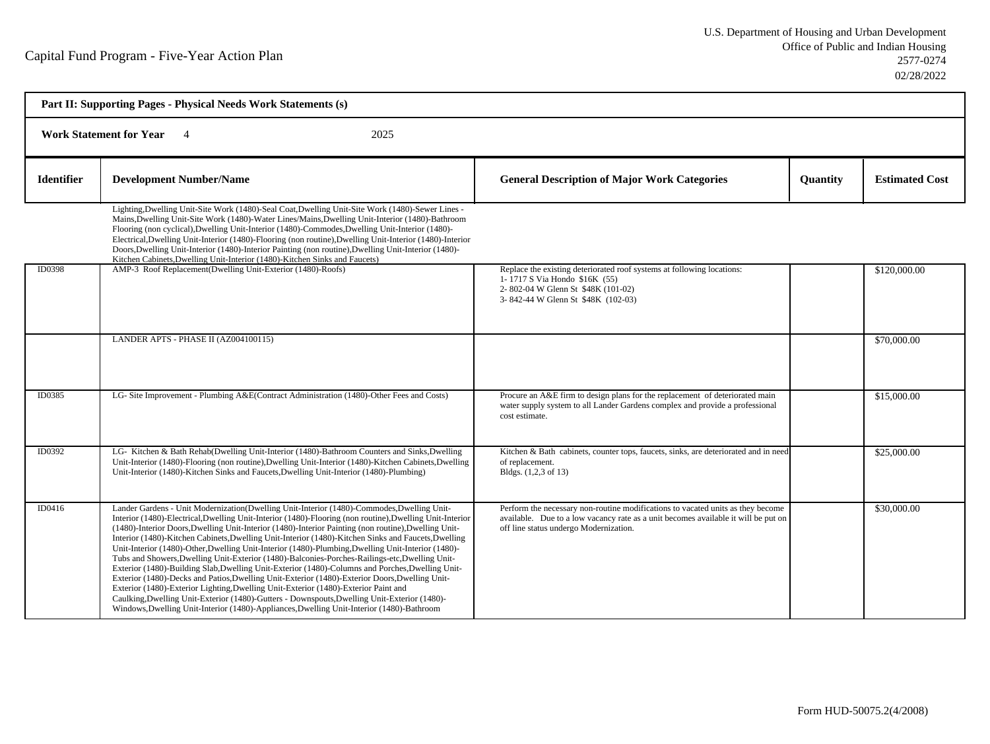|                   | Part II: Supporting Pages - Physical Needs Work Statements (s)                                                                                                                                                                                                                                                                                                                                                                                                                                                                                                                                                                                                                                                                                                                                                                                                                                                                                                                                                                                                                                                          |                                                                                                                                                                                                                 |          |                       |  |  |
|-------------------|-------------------------------------------------------------------------------------------------------------------------------------------------------------------------------------------------------------------------------------------------------------------------------------------------------------------------------------------------------------------------------------------------------------------------------------------------------------------------------------------------------------------------------------------------------------------------------------------------------------------------------------------------------------------------------------------------------------------------------------------------------------------------------------------------------------------------------------------------------------------------------------------------------------------------------------------------------------------------------------------------------------------------------------------------------------------------------------------------------------------------|-----------------------------------------------------------------------------------------------------------------------------------------------------------------------------------------------------------------|----------|-----------------------|--|--|
|                   | <b>Work Statement for Year</b><br>2025                                                                                                                                                                                                                                                                                                                                                                                                                                                                                                                                                                                                                                                                                                                                                                                                                                                                                                                                                                                                                                                                                  |                                                                                                                                                                                                                 |          |                       |  |  |
| <b>Identifier</b> | <b>Development Number/Name</b>                                                                                                                                                                                                                                                                                                                                                                                                                                                                                                                                                                                                                                                                                                                                                                                                                                                                                                                                                                                                                                                                                          | <b>General Description of Major Work Categories</b>                                                                                                                                                             | Quantity | <b>Estimated Cost</b> |  |  |
|                   | Lighting, Dwelling Unit-Site Work (1480)-Seal Coat, Dwelling Unit-Site Work (1480)-Sewer Lines -<br>Mains, Dwelling Unit-Site Work (1480)-Water Lines/Mains, Dwelling Unit-Interior (1480)-Bathroom<br>Flooring (non cyclical), Dwelling Unit-Interior (1480)-Commodes, Dwelling Unit-Interior (1480)-<br>Electrical, Dwelling Unit-Interior (1480)-Flooring (non routine), Dwelling Unit-Interior (1480)-Interior<br>Doors, Dwelling Unit-Interior (1480)-Interior Painting (non routine), Dwelling Unit-Interior (1480)-<br>Kitchen Cabinets, Dwelling Unit-Interior (1480)-Kitchen Sinks and Faucets)                                                                                                                                                                                                                                                                                                                                                                                                                                                                                                                |                                                                                                                                                                                                                 |          |                       |  |  |
| ID0398            | AMP-3 Roof Replacement(Dwelling Unit-Exterior (1480)-Roofs)                                                                                                                                                                                                                                                                                                                                                                                                                                                                                                                                                                                                                                                                                                                                                                                                                                                                                                                                                                                                                                                             | Replace the existing deteriorated roof systems at following locations:<br>1-1717 S Via Hondo \$16K (55)<br>2-802-04 W Glenn St \$48K (101-02)<br>3-842-44 W Glenn St \$48K (102-03)                             |          | \$120,000.00          |  |  |
|                   | LANDER APTS - PHASE II (AZ004100115)                                                                                                                                                                                                                                                                                                                                                                                                                                                                                                                                                                                                                                                                                                                                                                                                                                                                                                                                                                                                                                                                                    |                                                                                                                                                                                                                 |          | \$70,000.00           |  |  |
| ID0385            | LG- Site Improvement - Plumbing A&E(Contract Administration (1480)-Other Fees and Costs)                                                                                                                                                                                                                                                                                                                                                                                                                                                                                                                                                                                                                                                                                                                                                                                                                                                                                                                                                                                                                                | Procure an A&E firm to design plans for the replacement of deteriorated main<br>water supply system to all Lander Gardens complex and provide a professional<br>cost estimate.                                  |          | \$15,000.00           |  |  |
| ID0392            | LG- Kitchen & Bath Rehab(Dwelling Unit-Interior (1480)-Bathroom Counters and Sinks, Dwelling<br>Unit-Interior (1480)-Flooring (non routine), Dwelling Unit-Interior (1480)-Kitchen Cabinets, Dwelling<br>Unit-Interior (1480)-Kitchen Sinks and Faucets, Dwelling Unit-Interior (1480)-Plumbing)                                                                                                                                                                                                                                                                                                                                                                                                                                                                                                                                                                                                                                                                                                                                                                                                                        | Kitchen & Bath cabinets, counter tops, faucets, sinks, are deteriorated and in need<br>of replacement.<br>Bldgs. (1,2,3 of 13)                                                                                  |          | \$25,000.00           |  |  |
| ID0416            | Lander Gardens - Unit Modernization(Dwelling Unit-Interior (1480)-Commodes, Dwelling Unit-<br>Interior (1480)-Electrical, Dwelling Unit-Interior (1480)-Flooring (non routine), Dwelling Unit-Interior<br>(1480)-Interior Doors, Dwelling Unit-Interior (1480)-Interior Painting (non routine), Dwelling Unit-<br>Interior (1480)-Kitchen Cabinets, Dwelling Unit-Interior (1480)-Kitchen Sinks and Faucets, Dwelling<br>Unit-Interior (1480)-Other, Dwelling Unit-Interior (1480)-Plumbing, Dwelling Unit-Interior (1480)-<br>Tubs and Showers, Dwelling Unit-Exterior (1480)-Balconies-Porches-Railings-etc, Dwelling Unit-<br>Exterior (1480)-Building Slab, Dwelling Unit-Exterior (1480)-Columns and Porches, Dwelling Unit-<br>Exterior (1480)-Decks and Patios, Dwelling Unit-Exterior (1480)-Exterior Doors, Dwelling Unit-<br>Exterior (1480)-Exterior Lighting, Dwelling Unit-Exterior (1480)-Exterior Paint and<br>Caulking, Dwelling Unit-Exterior (1480)-Gutters - Downspouts, Dwelling Unit-Exterior (1480)-<br>Windows, Dwelling Unit-Interior (1480)-Appliances, Dwelling Unit-Interior (1480)-Bathroom | Perform the necessary non-routine modifications to vacated units as they become<br>available. Due to a low vacancy rate as a unit becomes available it will be put on<br>off line status undergo Modernization. |          | \$30,000.00           |  |  |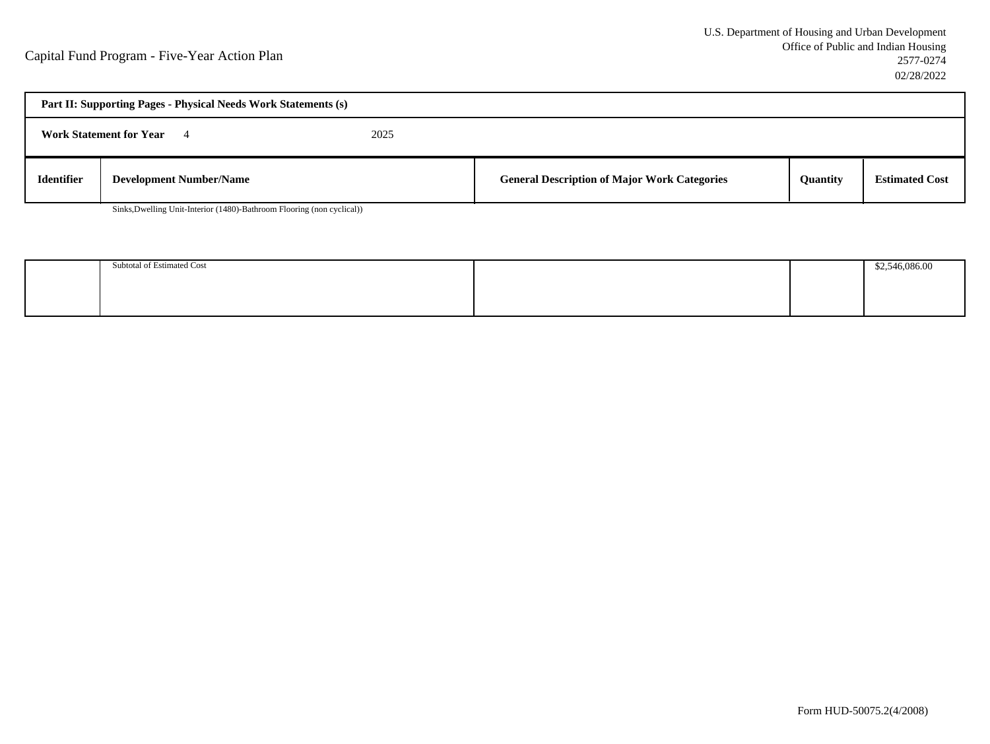| Part II: Supporting Pages - Physical Needs Work Statements (s) |                                |  |                                                     |                 |                       |  |
|----------------------------------------------------------------|--------------------------------|--|-----------------------------------------------------|-----------------|-----------------------|--|
| 2025<br><b>Work Statement for Year</b>                         |                                |  |                                                     |                 |                       |  |
| <b>Identifier</b>                                              | <b>Development Number/Name</b> |  | <b>General Description of Major Work Categories</b> | <b>Ouantity</b> | <b>Estimated Cost</b> |  |

Sinks,Dwelling Unit-Interior (1480)-Bathroom Flooring (non cyclical))

| Subtotal of Estimated Cost |  | \$2.546.086.00 |
|----------------------------|--|----------------|
|                            |  |                |
|                            |  |                |
|                            |  |                |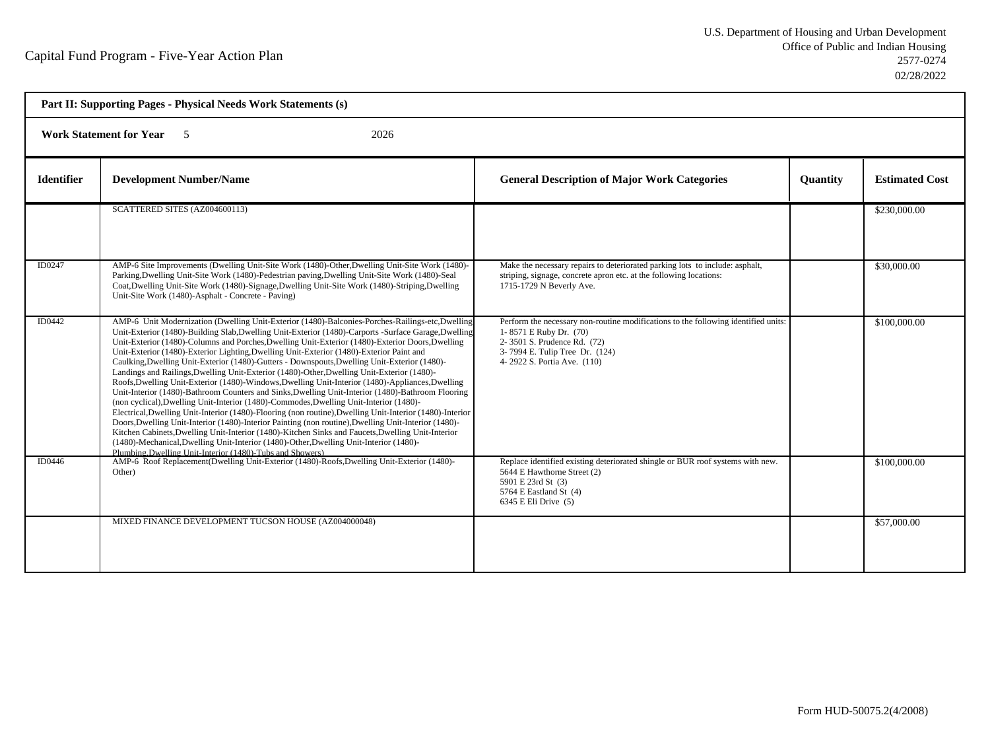| Part II: Supporting Pages - Physical Needs Work Statements (s) |                                                                                                                                                                                                                                                                                                                                                                                                                                                                                                                                                                                                                                                                                                                                                                                                                                                                                                                                                                                                                                                                                                                                                                                                                                                                                                                                                                                           |                                                                                                                                                                                                              |                 |                       |
|----------------------------------------------------------------|-------------------------------------------------------------------------------------------------------------------------------------------------------------------------------------------------------------------------------------------------------------------------------------------------------------------------------------------------------------------------------------------------------------------------------------------------------------------------------------------------------------------------------------------------------------------------------------------------------------------------------------------------------------------------------------------------------------------------------------------------------------------------------------------------------------------------------------------------------------------------------------------------------------------------------------------------------------------------------------------------------------------------------------------------------------------------------------------------------------------------------------------------------------------------------------------------------------------------------------------------------------------------------------------------------------------------------------------------------------------------------------------|--------------------------------------------------------------------------------------------------------------------------------------------------------------------------------------------------------------|-----------------|-----------------------|
|                                                                | <b>Work Statement for Year</b> 5<br>2026                                                                                                                                                                                                                                                                                                                                                                                                                                                                                                                                                                                                                                                                                                                                                                                                                                                                                                                                                                                                                                                                                                                                                                                                                                                                                                                                                  |                                                                                                                                                                                                              |                 |                       |
| <b>Identifier</b>                                              | <b>Development Number/Name</b>                                                                                                                                                                                                                                                                                                                                                                                                                                                                                                                                                                                                                                                                                                                                                                                                                                                                                                                                                                                                                                                                                                                                                                                                                                                                                                                                                            | <b>General Description of Major Work Categories</b>                                                                                                                                                          | <b>Quantity</b> | <b>Estimated Cost</b> |
|                                                                | SCATTERED SITES (AZ004600113)                                                                                                                                                                                                                                                                                                                                                                                                                                                                                                                                                                                                                                                                                                                                                                                                                                                                                                                                                                                                                                                                                                                                                                                                                                                                                                                                                             |                                                                                                                                                                                                              |                 | \$230,000.00          |
| ID0247                                                         | AMP-6 Site Improvements (Dwelling Unit-Site Work (1480)-Other, Dwelling Unit-Site Work (1480)-<br>Parking, Dwelling Unit-Site Work (1480)-Pedestrian paving, Dwelling Unit-Site Work (1480)-Seal<br>Coat, Dwelling Unit-Site Work (1480)-Signage, Dwelling Unit-Site Work (1480)-Striping, Dwelling<br>Unit-Site Work (1480)-Asphalt - Concrete - Paving)                                                                                                                                                                                                                                                                                                                                                                                                                                                                                                                                                                                                                                                                                                                                                                                                                                                                                                                                                                                                                                 | Make the necessary repairs to deteriorated parking lots to include: asphalt,<br>striping, signage, concrete apron etc. at the following locations:<br>1715-1729 N Beverly Ave.                               |                 | \$30,000.00           |
| <b>ID0442</b>                                                  | AMP-6 Unit Modernization (Dwelling Unit-Exterior (1480)-Balconies-Porches-Railings-etc, Dwelling<br>Unit-Exterior (1480)-Building Slab, Dwelling Unit-Exterior (1480)-Carports -Surface Garage, Dwelling<br>Unit-Exterior (1480)-Columns and Porches, Dwelling Unit-Exterior (1480)-Exterior Doors, Dwelling<br>Unit-Exterior (1480)-Exterior Lighting, Dwelling Unit-Exterior (1480)-Exterior Paint and<br>Caulking, Dwelling Unit-Exterior (1480)-Gutters - Downspouts, Dwelling Unit-Exterior (1480)-<br>Landings and Railings, Dwelling Unit-Exterior (1480)-Other, Dwelling Unit-Exterior (1480)-<br>Roofs, Dwelling Unit-Exterior (1480)-Windows, Dwelling Unit-Interior (1480)-Appliances, Dwelling<br>Unit-Interior (1480)-Bathroom Counters and Sinks, Dwelling Unit-Interior (1480)-Bathroom Flooring<br>(non cyclical), Dwelling Unit-Interior (1480)-Commodes, Dwelling Unit-Interior (1480)-<br>Electrical, Dwelling Unit-Interior (1480)-Flooring (non routine), Dwelling Unit-Interior (1480)-Interior<br>Doors, Dwelling Unit-Interior (1480)-Interior Painting (non routine), Dwelling Unit-Interior (1480)-<br>Kitchen Cabinets, Dwelling Unit-Interior (1480)-Kitchen Sinks and Faucets, Dwelling Unit-Interior<br>(1480)-Mechanical, Dwelling Unit-Interior (1480)-Other, Dwelling Unit-Interior (1480)-<br>Plumbing, Dwelling Unit-Interior (1480)-Tubs and Showers) | Perform the necessary non-routine modifications to the following identified units:<br>1-8571 E Ruby Dr. (70)<br>2-3501 S. Prudence Rd. (72)<br>3-7994 E. Tulip Tree Dr. (124)<br>4-2922 S. Portia Ave. (110) |                 | \$100,000.00          |
| ID0446                                                         | AMP-6 Roof Replacement(Dwelling Unit-Exterior (1480)-Roofs, Dwelling Unit-Exterior (1480)-<br>Other)                                                                                                                                                                                                                                                                                                                                                                                                                                                                                                                                                                                                                                                                                                                                                                                                                                                                                                                                                                                                                                                                                                                                                                                                                                                                                      | Replace identified existing deteriorated shingle or BUR roof systems with new.<br>5644 E Hawthorne Street (2)<br>5901 E 23rd St (3)<br>5764 E Eastland St (4)<br>6345 E Eli Drive (5)                        |                 | \$100,000.00          |
|                                                                | MIXED FINANCE DEVELOPMENT TUCSON HOUSE (AZ004000048)                                                                                                                                                                                                                                                                                                                                                                                                                                                                                                                                                                                                                                                                                                                                                                                                                                                                                                                                                                                                                                                                                                                                                                                                                                                                                                                                      |                                                                                                                                                                                                              |                 | \$57,000.00           |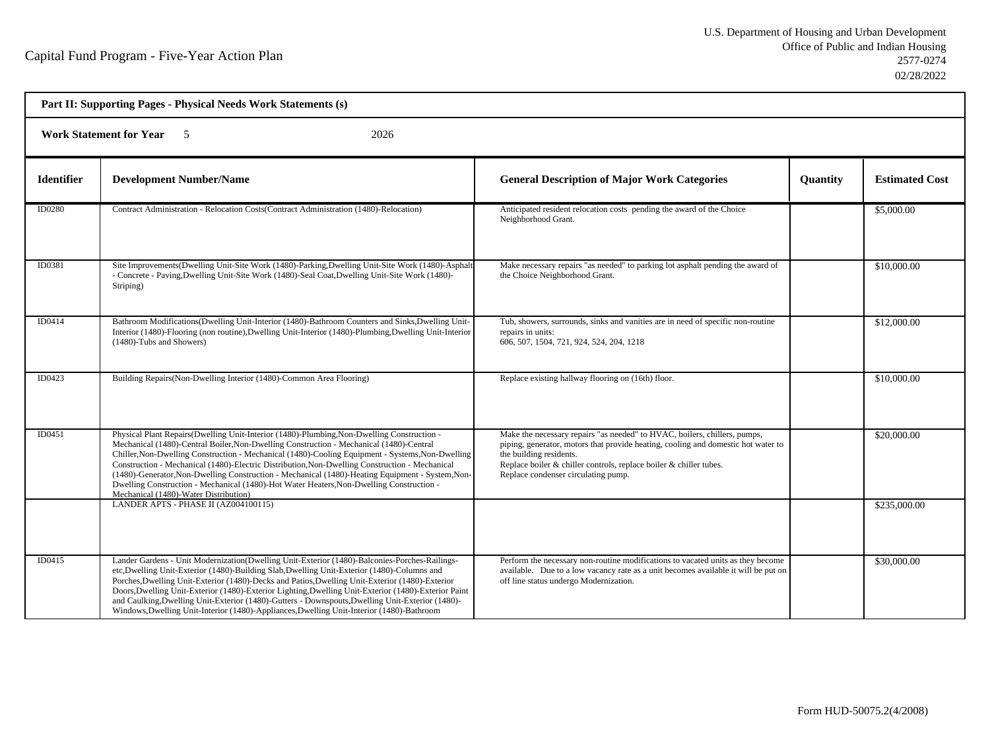| Part II: Supporting Pages - Physical Needs Work Statements (s) |                                                                                                                                                                                                                                                                                                                                                                                                                                                                                                                                                                                                                                       |                                                                                                                                                                                                                                                                                                              |          |                       |
|----------------------------------------------------------------|---------------------------------------------------------------------------------------------------------------------------------------------------------------------------------------------------------------------------------------------------------------------------------------------------------------------------------------------------------------------------------------------------------------------------------------------------------------------------------------------------------------------------------------------------------------------------------------------------------------------------------------|--------------------------------------------------------------------------------------------------------------------------------------------------------------------------------------------------------------------------------------------------------------------------------------------------------------|----------|-----------------------|
|                                                                | Work Statement for Year 5<br>2026                                                                                                                                                                                                                                                                                                                                                                                                                                                                                                                                                                                                     |                                                                                                                                                                                                                                                                                                              |          |                       |
| <b>Identifier</b>                                              | <b>Development Number/Name</b>                                                                                                                                                                                                                                                                                                                                                                                                                                                                                                                                                                                                        | <b>General Description of Major Work Categories</b>                                                                                                                                                                                                                                                          | Quantity | <b>Estimated Cost</b> |
| <b>ID0280</b>                                                  | Contract Administration - Relocation Costs (Contract Administration (1480)-Relocation)                                                                                                                                                                                                                                                                                                                                                                                                                                                                                                                                                | Anticipated resident relocation costs pending the award of the Choice<br>Neighborhood Grant.                                                                                                                                                                                                                 |          | \$5,000.00            |
| ID0381                                                         | Site Improvements (Dwelling Unit-Site Work (1480)-Parking, Dwelling Unit-Site Work (1480)-Asphalt<br>- Concrete - Paving, Dwelling Unit-Site Work (1480)-Seal Coat, Dwelling Unit-Site Work (1480)-<br>Striping)                                                                                                                                                                                                                                                                                                                                                                                                                      | Make necessary repairs "as needed" to parking lot asphalt pending the award of<br>the Choice Neighborhood Grant.                                                                                                                                                                                             |          | \$10,000.00           |
| ID0414                                                         | Bathroom Modifications (Dwelling Unit-Interior (1480)-Bathroom Counters and Sinks, Dwelling Unit-<br>Interior (1480)-Flooring (non routine), Dwelling Unit-Interior (1480)-Plumbing, Dwelling Unit-Interior<br>(1480)-Tubs and Showers)                                                                                                                                                                                                                                                                                                                                                                                               | Tub, showers, surrounds, sinks and vanities are in need of specific non-routine<br>repairs in units:<br>606, 507, 1504, 721, 924, 524, 204, 1218                                                                                                                                                             |          | \$12,000.00           |
| ID0423                                                         | Building Repairs (Non-Dwelling Interior (1480)-Common Area Flooring)                                                                                                                                                                                                                                                                                                                                                                                                                                                                                                                                                                  | Replace existing hallway flooring on (16th) floor.                                                                                                                                                                                                                                                           |          | \$10,000.00           |
| ID0451                                                         | Physical Plant Repairs (Dwelling Unit-Interior (1480)-Plumbing, Non-Dwelling Construction -<br>Mechanical (1480)-Central Boiler, Non-Dwelling Construction - Mechanical (1480)-Central<br>Chiller, Non-Dwelling Construction - Mechanical (1480)-Cooling Equipment - Systems, Non-Dwelling<br>Construction - Mechanical (1480)-Electric Distribution, Non-Dwelling Construction - Mechanical<br>(1480)-Generator, Non-Dwelling Construction - Mechanical (1480)-Heating Equipment - System, Non-<br>Dwelling Construction - Mechanical (1480)-Hot Water Heaters, Non-Dwelling Construction -<br>Mechanical (1480)-Water Distribution) | Make the necessary repairs "as needed" to HVAC, boilers, chillers, pumps,<br>piping, generator, motors that provide heating, cooling and domestic hot water to<br>the building residents.<br>Replace boiler $\&$ chiller controls, replace boiler $\&$ chiller tubes.<br>Replace condenser circulating pump. |          | \$20,000.00           |
|                                                                | LANDER APTS - PHASE II (AZ004100115)                                                                                                                                                                                                                                                                                                                                                                                                                                                                                                                                                                                                  |                                                                                                                                                                                                                                                                                                              |          | \$235,000.00          |
| ID0415                                                         | Lander Gardens - Unit Modernization (Dwelling Unit-Exterior (1480)-Balconies-Porches-Railings-<br>etc, Dwelling Unit-Exterior (1480)-Building Slab, Dwelling Unit-Exterior (1480)-Columns and<br>Porches, Dwelling Unit-Exterior (1480)-Decks and Patios, Dwelling Unit-Exterior (1480)-Exterior<br>Doors, Dwelling Unit-Exterior (1480)-Exterior Lighting, Dwelling Unit-Exterior (1480)-Exterior Paint<br>and Caulking, Dwelling Unit-Exterior (1480)-Gutters - Downspouts, Dwelling Unit-Exterior (1480)-<br>Windows, Dwelling Unit-Interior (1480)-Appliances, Dwelling Unit-Interior (1480)-Bathroom                             | Perform the necessary non-routine modifications to vacated units as they become<br>available. Due to a low vacancy rate as a unit becomes available it will be put on<br>off line status undergo Modernization.                                                                                              |          | \$30,000.00           |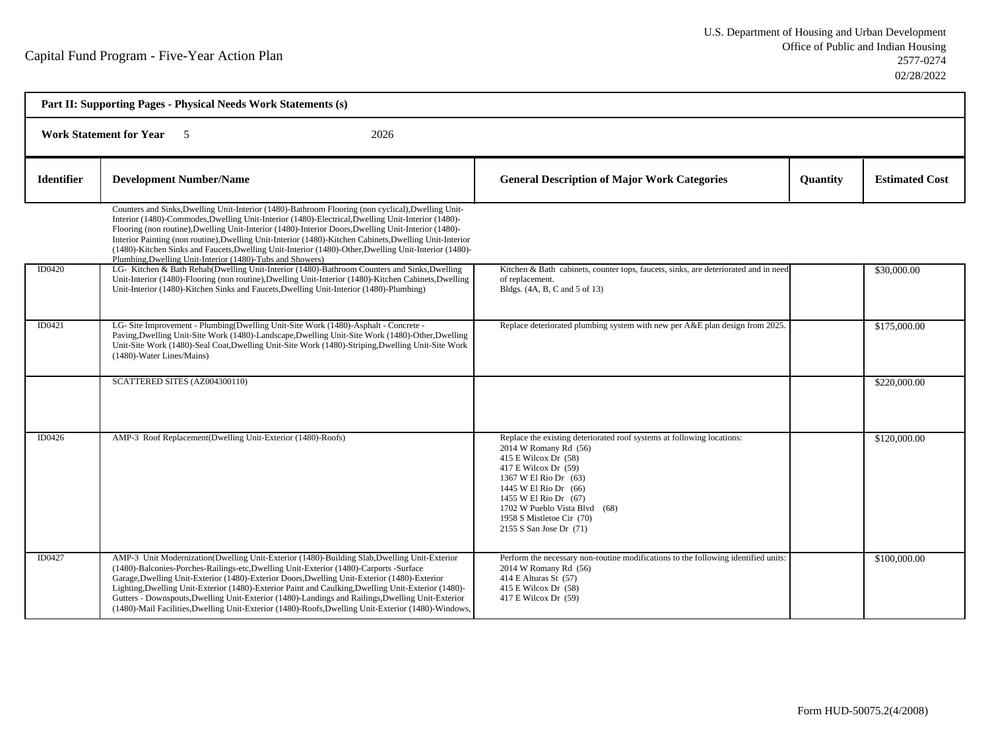| Part II: Supporting Pages - Physical Needs Work Statements (s) |                                                                                                                                                                                                                                                                                                                                                                                                                                                                                                                                                                                                           |                                                                                                                                                                                                                                                                                                                     |          |                       |  |
|----------------------------------------------------------------|-----------------------------------------------------------------------------------------------------------------------------------------------------------------------------------------------------------------------------------------------------------------------------------------------------------------------------------------------------------------------------------------------------------------------------------------------------------------------------------------------------------------------------------------------------------------------------------------------------------|---------------------------------------------------------------------------------------------------------------------------------------------------------------------------------------------------------------------------------------------------------------------------------------------------------------------|----------|-----------------------|--|
|                                                                | <b>Work Statement for Year</b><br>2026<br>$\sim$ 5                                                                                                                                                                                                                                                                                                                                                                                                                                                                                                                                                        |                                                                                                                                                                                                                                                                                                                     |          |                       |  |
| <b>Identifier</b>                                              | <b>Development Number/Name</b>                                                                                                                                                                                                                                                                                                                                                                                                                                                                                                                                                                            | <b>General Description of Major Work Categories</b>                                                                                                                                                                                                                                                                 | Quantity | <b>Estimated Cost</b> |  |
|                                                                | Counters and Sinks, Dwelling Unit-Interior (1480)-Bathroom Flooring (non cyclical), Dwelling Unit-<br>Interior (1480)-Commodes, Dwelling Unit-Interior (1480)-Electrical, Dwelling Unit-Interior (1480)-<br>Flooring (non routine), Dwelling Unit-Interior (1480)-Interior Doors, Dwelling Unit-Interior (1480)-<br>Interior Painting (non routine), Dwelling Unit-Interior (1480)-Kitchen Cabinets, Dwelling Unit-Interior<br>(1480)-Kitchen Sinks and Faucets, Dwelling Unit-Interior (1480)-Other, Dwelling Unit-Interior (1480)-<br>Plumbing, Dwelling Unit-Interior (1480)-Tubs and Showers)         |                                                                                                                                                                                                                                                                                                                     |          |                       |  |
| ID0420                                                         | LG-Kitchen & Bath Rehab(Dwelling Unit-Interior (1480)-Bathroom Counters and Sinks, Dwelling<br>Unit-Interior (1480)-Flooring (non routine), Dwelling Unit-Interior (1480)-Kitchen Cabinets, Dwelling<br>Unit-Interior (1480)-Kitchen Sinks and Faucets, Dwelling Unit-Interior (1480)-Plumbing)                                                                                                                                                                                                                                                                                                           | Kitchen & Bath cabinets, counter tops, faucets, sinks, are deteriorated and in need<br>of replacement.<br>Bldgs. (4A, B, C and 5 of 13)                                                                                                                                                                             |          | \$30,000.00           |  |
| ID0421                                                         | LG- Site Improvement - Plumbing(Dwelling Unit-Site Work (1480)-Asphalt - Concrete -<br>Paving, Dwelling Unit-Site Work (1480)-Landscape, Dwelling Unit-Site Work (1480)-Other, Dwelling<br>Unit-Site Work (1480)-Seal Coat, Dwelling Unit-Site Work (1480)-Striping, Dwelling Unit-Site Work<br>(1480)-Water Lines/Mains)                                                                                                                                                                                                                                                                                 | Replace deteriorated plumbing system with new per A&E plan design from 2025.                                                                                                                                                                                                                                        |          | \$175,000.00          |  |
|                                                                | SCATTERED SITES (AZ004300110)                                                                                                                                                                                                                                                                                                                                                                                                                                                                                                                                                                             |                                                                                                                                                                                                                                                                                                                     |          | \$220,000.00          |  |
| ID0426                                                         | AMP-3 Roof Replacement(Dwelling Unit-Exterior (1480)-Roofs)                                                                                                                                                                                                                                                                                                                                                                                                                                                                                                                                               | Replace the existing deteriorated roof systems at following locations:<br>2014 W Romany Rd (56)<br>415 E Wilcox Dr (58)<br>417 E Wilcox Dr (59)<br>1367 W El Rio Dr (63)<br>1445 W El Rio Dr (66)<br>1455 W El Rio Dr (67)<br>1702 W Pueblo Vista Blvd (68)<br>1958 S Mistletoe Cir (70)<br>2155 S San Jose Dr (71) |          | \$120,000.00          |  |
| ID0427                                                         | AMP-3 Unit Modernization(Dwelling Unit-Exterior (1480)-Building Slab, Dwelling Unit-Exterior<br>(1480)-Balconies-Porches-Railings-etc, Dwelling Unit-Exterior (1480)-Carports -Surface<br>Garage, Dwelling Unit-Exterior (1480)-Exterior Doors, Dwelling Unit-Exterior (1480)-Exterior<br>Lighting, Dwelling Unit-Exterior (1480)-Exterior Paint and Caulking, Dwelling Unit-Exterior (1480)-<br>Gutters - Downspouts, Dwelling Unit-Exterior (1480)-Landings and Railings, Dwelling Unit-Exterior<br>(1480)-Mail Facilities, Dwelling Unit-Exterior (1480)-Roofs, Dwelling Unit-Exterior (1480)-Windows, | Perform the necessary non-routine modifications to the following identified units:<br>2014 W Romany Rd (56)<br>414 E Alturas St (57)<br>$415$ E Wilcox Dr $(58)$<br>417 E Wilcox Dr (59)                                                                                                                            |          | \$100,000.00          |  |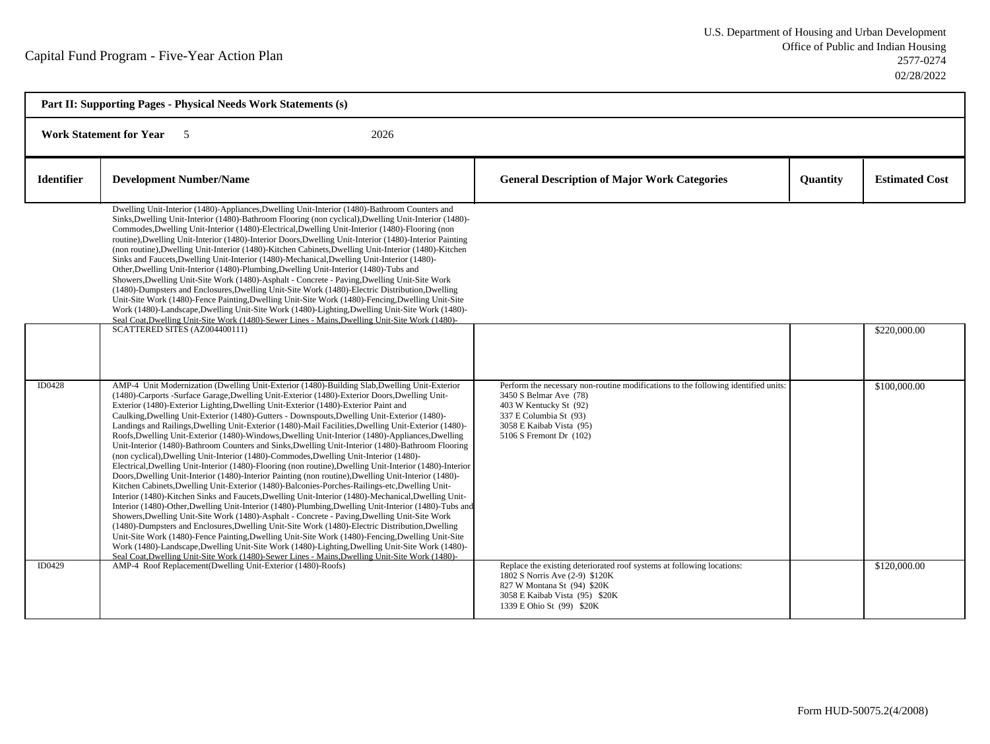| Part II: Supporting Pages - Physical Needs Work Statements (s) |                                                                                                                                                                                                                                                                                                                                                                                                                                                                                                                                                                                                                                                                                                                                                                                                                                                                                                                                                                                                                                                                                                                                                                                                                                                                                                                                                                                                                                                                                                                                                                                                                                                                                                                                                                                                                                                  |                                                                                                                                                                                                                         |                 |                       |  |  |
|----------------------------------------------------------------|--------------------------------------------------------------------------------------------------------------------------------------------------------------------------------------------------------------------------------------------------------------------------------------------------------------------------------------------------------------------------------------------------------------------------------------------------------------------------------------------------------------------------------------------------------------------------------------------------------------------------------------------------------------------------------------------------------------------------------------------------------------------------------------------------------------------------------------------------------------------------------------------------------------------------------------------------------------------------------------------------------------------------------------------------------------------------------------------------------------------------------------------------------------------------------------------------------------------------------------------------------------------------------------------------------------------------------------------------------------------------------------------------------------------------------------------------------------------------------------------------------------------------------------------------------------------------------------------------------------------------------------------------------------------------------------------------------------------------------------------------------------------------------------------------------------------------------------------------|-------------------------------------------------------------------------------------------------------------------------------------------------------------------------------------------------------------------------|-----------------|-----------------------|--|--|
|                                                                | 2026<br><b>Work Statement for Year</b><br>5                                                                                                                                                                                                                                                                                                                                                                                                                                                                                                                                                                                                                                                                                                                                                                                                                                                                                                                                                                                                                                                                                                                                                                                                                                                                                                                                                                                                                                                                                                                                                                                                                                                                                                                                                                                                      |                                                                                                                                                                                                                         |                 |                       |  |  |
| <b>Identifier</b>                                              | <b>Development Number/Name</b>                                                                                                                                                                                                                                                                                                                                                                                                                                                                                                                                                                                                                                                                                                                                                                                                                                                                                                                                                                                                                                                                                                                                                                                                                                                                                                                                                                                                                                                                                                                                                                                                                                                                                                                                                                                                                   | <b>General Description of Major Work Categories</b>                                                                                                                                                                     | <b>Quantity</b> | <b>Estimated Cost</b> |  |  |
|                                                                | Dwelling Unit-Interior (1480)-Appliances, Dwelling Unit-Interior (1480)-Bathroom Counters and<br>Sinks, Dwelling Unit-Interior (1480)-Bathroom Flooring (non cyclical), Dwelling Unit-Interior (1480)-<br>Commodes, Dwelling Unit-Interior (1480)-Electrical, Dwelling Unit-Interior (1480)-Flooring (non<br>routine), Dwelling Unit-Interior (1480)-Interior Doors, Dwelling Unit-Interior (1480)-Interior Painting<br>(non routine), Dwelling Unit-Interior (1480)-Kitchen Cabinets, Dwelling Unit-Interior (1480)-Kitchen<br>Sinks and Faucets, Dwelling Unit-Interior (1480)-Mechanical, Dwelling Unit-Interior (1480)-<br>Other, Dwelling Unit-Interior (1480)-Plumbing, Dwelling Unit-Interior (1480)-Tubs and<br>Showers, Dwelling Unit-Site Work (1480)-Asphalt - Concrete - Paving, Dwelling Unit-Site Work<br>(1480)-Dumpsters and Enclosures, Dwelling Unit-Site Work (1480)-Electric Distribution, Dwelling<br>Unit-Site Work (1480)-Fence Painting, Dwelling Unit-Site Work (1480)-Fencing, Dwelling Unit-Site<br>Work (1480)-Landscape, Dwelling Unit-Site Work (1480)-Lighting, Dwelling Unit-Site Work (1480)-<br>Seal Coat, Dwelling Unit-Site Work (1480)-Sewer Lines - Mains, Dwelling Unit-Site Work (1480)-<br>SCATTERED SITES (AZ004400111)                                                                                                                                                                                                                                                                                                                                                                                                                                                                                                                                                                                |                                                                                                                                                                                                                         |                 | \$220,000.00          |  |  |
| <b>ID0428</b>                                                  | AMP-4 Unit Modernization (Dwelling Unit-Exterior (1480)-Building Slab, Dwelling Unit-Exterior<br>(1480)-Carports -Surface Garage, Dwelling Unit-Exterior (1480)-Exterior Doors, Dwelling Unit-<br>Exterior (1480)-Exterior Lighting, Dwelling Unit-Exterior (1480)-Exterior Paint and<br>Caulking, Dwelling Unit-Exterior (1480)-Gutters - Downspouts, Dwelling Unit-Exterior (1480)-<br>Landings and Railings, Dwelling Unit-Exterior (1480)-Mail Facilities, Dwelling Unit-Exterior (1480)-<br>Roofs, Dwelling Unit-Exterior (1480)-Windows, Dwelling Unit-Interior (1480)-Appliances, Dwelling<br>Unit-Interior (1480)-Bathroom Counters and Sinks, Dwelling Unit-Interior (1480)-Bathroom Flooring<br>(non cyclical), Dwelling Unit-Interior (1480)-Commodes, Dwelling Unit-Interior (1480)-<br>Electrical, Dwelling Unit-Interior (1480)-Flooring (non routine), Dwelling Unit-Interior (1480)-Interior<br>Doors, Dwelling Unit-Interior (1480)-Interior Painting (non routine), Dwelling Unit-Interior (1480)-<br>Kitchen Cabinets, Dwelling Unit-Exterior (1480)-Balconies-Porches-Railings-etc, Dwelling Unit-<br>Interior (1480)-Kitchen Sinks and Faucets, Dwelling Unit-Interior (1480)-Mechanical, Dwelling Unit-<br>Interior (1480)-Other, Dwelling Unit-Interior (1480)-Plumbing, Dwelling Unit-Interior (1480)-Tubs and<br>Showers, Dwelling Unit-Site Work (1480)-Asphalt - Concrete - Paving, Dwelling Unit-Site Work<br>(1480)-Dumpsters and Enclosures, Dwelling Unit-Site Work (1480)-Electric Distribution, Dwelling<br>Unit-Site Work (1480)-Fence Painting, Dwelling Unit-Site Work (1480)-Fencing, Dwelling Unit-Site<br>Work (1480)-Landscape, Dwelling Unit-Site Work (1480)-Lighting, Dwelling Unit-Site Work (1480)-<br>Seal Coat Dwelling Unit-Site Work (1480)-Sewer Lines - Mains Dwelling Unit-Site Work (1480)- | Perform the necessary non-routine modifications to the following identified units:<br>3450 S Belmar Ave (78)<br>403 W Kentucky St (92)<br>337 E Columbia St (93)<br>3058 E Kaibab Vista (95)<br>5106 S Fremont Dr (102) |                 | \$100,000.00          |  |  |
| ID0429                                                         | AMP-4 Roof Replacement(Dwelling Unit-Exterior (1480)-Roofs)                                                                                                                                                                                                                                                                                                                                                                                                                                                                                                                                                                                                                                                                                                                                                                                                                                                                                                                                                                                                                                                                                                                                                                                                                                                                                                                                                                                                                                                                                                                                                                                                                                                                                                                                                                                      | Replace the existing deteriorated roof systems at following locations:<br>1802 S Norris Ave (2-9) \$120K<br>827 W Montana St (94) \$20K<br>3058 E Kaibab Vista (95) \$20K<br>1339 E Ohio St (99) \$20K                  |                 | \$120,000.00          |  |  |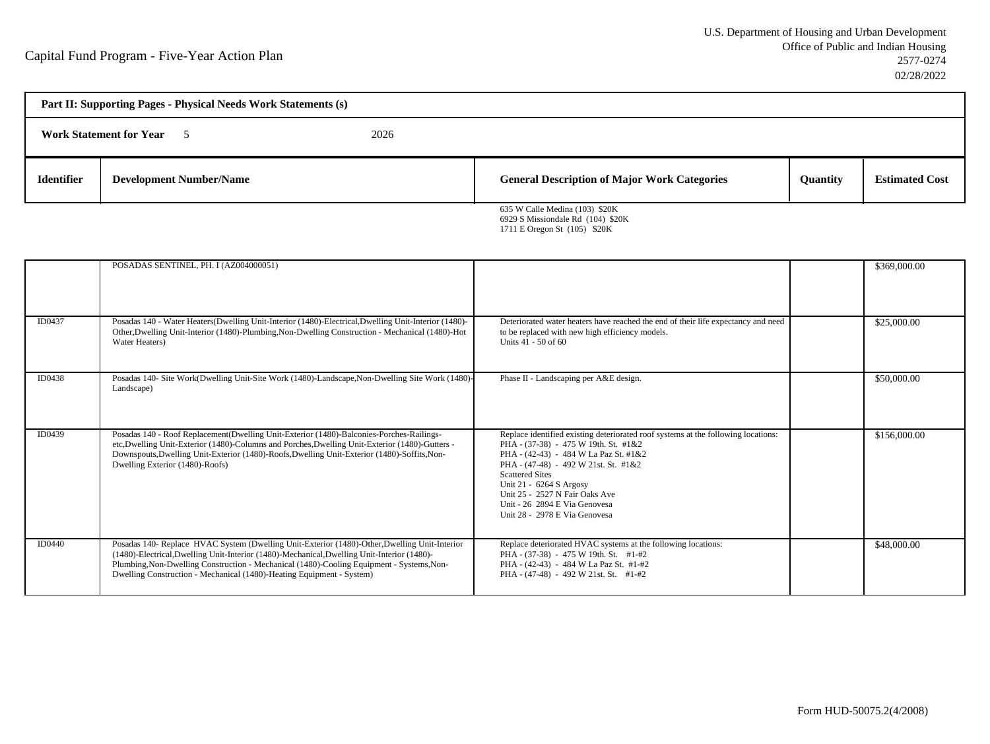| Part II: Supporting Pages - Physical Needs Work Statements (s) |                                |  |                                                                     |                 |                       |
|----------------------------------------------------------------|--------------------------------|--|---------------------------------------------------------------------|-----------------|-----------------------|
| <b>Work Statement for Year</b><br>2026                         |                                |  |                                                                     |                 |                       |
| <b>Identifier</b>                                              | <b>Development Number/Name</b> |  | <b>General Description of Major Work Categories</b>                 | <b>Quantity</b> | <b>Estimated Cost</b> |
|                                                                |                                |  | 635 W Calle Medina (103) \$20K<br>6929 S Missiondale Rd (104) \$20K |                 |                       |

1711 E Oregon St (105) \$20K

|        | POSADAS SENTINEL, PH. I (AZ004000051)                                                                                                                                                                                                                                                                                                                              |                                                                                                                                                                                                                                                                                                                                                                     | \$369,000.00 |
|--------|--------------------------------------------------------------------------------------------------------------------------------------------------------------------------------------------------------------------------------------------------------------------------------------------------------------------------------------------------------------------|---------------------------------------------------------------------------------------------------------------------------------------------------------------------------------------------------------------------------------------------------------------------------------------------------------------------------------------------------------------------|--------------|
| ID0437 | Posadas 140 - Water Heaters(Dwelling Unit-Interior (1480)-Electrical, Dwelling Unit-Interior (1480)-<br>Other, Dwelling Unit-Interior (1480)-Plumbing, Non-Dwelling Construction - Mechanical (1480)-Hot<br>Water Heaters)                                                                                                                                         | Deteriorated water heaters have reached the end of their life expectancy and need<br>to be replaced with new high efficiency models.<br>Units 41 - 50 of 60                                                                                                                                                                                                         | \$25,000.00  |
| ID0438 | Posadas 140- Site Work(Dwelling Unit-Site Work (1480)-Landscape, Non-Dwelling Site Work (1480)-<br>Landscape)                                                                                                                                                                                                                                                      | Phase II - Landscaping per A&E design.                                                                                                                                                                                                                                                                                                                              | \$50,000.00  |
| ID0439 | Posadas 140 - Roof Replacement(Dwelling Unit-Exterior (1480)-Balconies-Porches-Railings-<br>etc, Dwelling Unit-Exterior (1480)-Columns and Porches, Dwelling Unit-Exterior (1480)-Gutters -<br>Downspouts, Dwelling Unit-Exterior (1480)-Roofs, Dwelling Unit-Exterior (1480)-Soffits, Non-<br>Dwelling Exterior (1480)-Roofs)                                     | Replace identified existing deteriorated roof systems at the following locations:<br>PHA - (37-38) - 475 W 19th. St. #1&2<br>PHA - (42-43) - 484 W La Paz St. #1&2<br>PHA - (47-48) - 492 W 21st. St. #1&2<br><b>Scattered Sites</b><br>Unit 21 - 6264 S Argosy<br>Unit 25 - 2527 N Fair Oaks Ave<br>Unit - 26 2894 E Via Genovesa<br>Unit 28 - 2978 E Via Genovesa | \$156,000.00 |
| ID0440 | Posadas 140- Replace HVAC System (Dwelling Unit-Exterior (1480)-Other, Dwelling Unit-Interior<br>(1480)-Electrical, Dwelling Unit-Interior (1480)-Mechanical, Dwelling Unit-Interior (1480)-<br>Plumbing, Non-Dwelling Construction - Mechanical (1480)-Cooling Equipment - Systems, Non-<br>Dwelling Construction - Mechanical (1480)-Heating Equipment - System) | Replace deteriorated HVAC systems at the following locations:<br>PHA - (37-38) - 475 W 19th. St. #1-#2<br>PHA - (42-43) - 484 W La Paz St. #1-#2<br>PHA - (47-48) - 492 W 21st. St. #1-#2                                                                                                                                                                           | \$48,000.00  |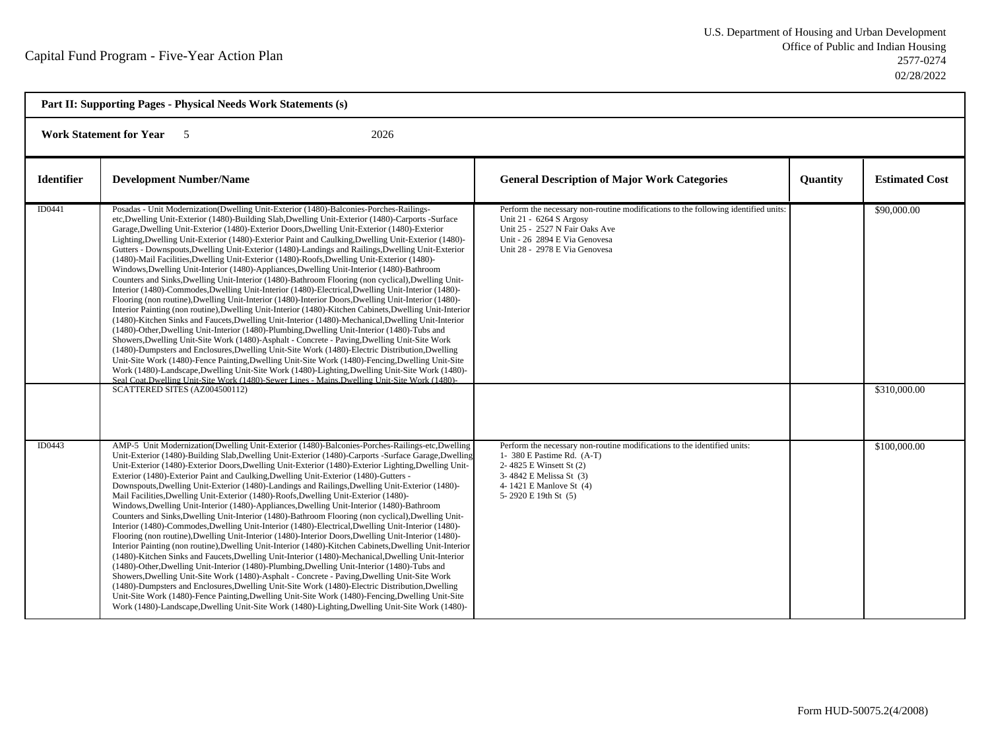| Part II: Supporting Pages - Physical Needs Work Statements (s) |                                                                                                                                                                                                                                                                                                                                                                                                                                                                                                                                                                                                                                                                                                                                                                                                                                                                                                                                                                                                                                                                                                                                                                                                                                                                                                                                                                                                                                                                                                                                                                                                                                                                                                                                                                                                                                                                                     |                                                                                                                                                                                                                   |          |                             |  |
|----------------------------------------------------------------|-------------------------------------------------------------------------------------------------------------------------------------------------------------------------------------------------------------------------------------------------------------------------------------------------------------------------------------------------------------------------------------------------------------------------------------------------------------------------------------------------------------------------------------------------------------------------------------------------------------------------------------------------------------------------------------------------------------------------------------------------------------------------------------------------------------------------------------------------------------------------------------------------------------------------------------------------------------------------------------------------------------------------------------------------------------------------------------------------------------------------------------------------------------------------------------------------------------------------------------------------------------------------------------------------------------------------------------------------------------------------------------------------------------------------------------------------------------------------------------------------------------------------------------------------------------------------------------------------------------------------------------------------------------------------------------------------------------------------------------------------------------------------------------------------------------------------------------------------------------------------------------|-------------------------------------------------------------------------------------------------------------------------------------------------------------------------------------------------------------------|----------|-----------------------------|--|
|                                                                | <b>Work Statement for Year 5</b><br>2026                                                                                                                                                                                                                                                                                                                                                                                                                                                                                                                                                                                                                                                                                                                                                                                                                                                                                                                                                                                                                                                                                                                                                                                                                                                                                                                                                                                                                                                                                                                                                                                                                                                                                                                                                                                                                                            |                                                                                                                                                                                                                   |          |                             |  |
| Identifier                                                     | <b>Development Number/Name</b>                                                                                                                                                                                                                                                                                                                                                                                                                                                                                                                                                                                                                                                                                                                                                                                                                                                                                                                                                                                                                                                                                                                                                                                                                                                                                                                                                                                                                                                                                                                                                                                                                                                                                                                                                                                                                                                      | <b>General Description of Major Work Categories</b>                                                                                                                                                               | Quantity | <b>Estimated Cost</b>       |  |
| ID0441                                                         | Posadas - Unit Modernization(Dwelling Unit-Exterior (1480)-Balconies-Porches-Railings-<br>etc, Dwelling Unit-Exterior (1480)-Building Slab, Dwelling Unit-Exterior (1480)-Carports -Surface<br>Garage, Dwelling Unit-Exterior (1480)-Exterior Doors, Dwelling Unit-Exterior (1480)-Exterior<br>Lighting, Dwelling Unit-Exterior (1480)-Exterior Paint and Caulking, Dwelling Unit-Exterior (1480)-<br>Gutters - Downspouts, Dwelling Unit-Exterior (1480)-Landings and Railings, Dwelling Unit-Exterior<br>(1480)-Mail Facilities, Dwelling Unit-Exterior (1480)-Roofs, Dwelling Unit-Exterior (1480)-<br>Windows, Dwelling Unit-Interior (1480)-Appliances, Dwelling Unit-Interior (1480)-Bathroom<br>Counters and Sinks, Dwelling Unit-Interior (1480)-Bathroom Flooring (non cyclical), Dwelling Unit-<br>Interior (1480)-Commodes, Dwelling Unit-Interior (1480)-Electrical, Dwelling Unit-Interior (1480)-<br>Flooring (non routine), Dwelling Unit-Interior (1480)-Interior Doors, Dwelling Unit-Interior (1480)-<br>Interior Painting (non routine), Dwelling Unit-Interior (1480)-Kitchen Cabinets, Dwelling Unit-Interior<br>(1480)-Kitchen Sinks and Faucets, Dwelling Unit-Interior (1480)-Mechanical, Dwelling Unit-Interior<br>(1480)-Other, Dwelling Unit-Interior (1480)-Plumbing, Dwelling Unit-Interior (1480)-Tubs and<br>Showers, Dwelling Unit-Site Work (1480)-Asphalt - Concrete - Paving, Dwelling Unit-Site Work<br>(1480)-Dumpsters and Enclosures, Dwelling Unit-Site Work (1480)-Electric Distribution, Dwelling<br>Unit-Site Work (1480)-Fence Painting, Dwelling Unit-Site Work (1480)-Fencing, Dwelling Unit-Site<br>Work (1480)-Landscape, Dwelling Unit-Site Work (1480)-Lighting, Dwelling Unit-Site Work (1480)-<br>Seal Coat Dwelling Unit-Site Work (1480)-Sewer Lines - Mains Dwelling Unit-Site Work (1480)-<br>SCATTERED SITES (AZ004500112) | Perform the necessary non-routine modifications to the following identified units:<br>Unit 21 - 6264 S Argosy<br>Unit 25 - 2527 N Fair Oaks Ave<br>Unit - 26 2894 E Via Genovesa<br>Unit 28 - 2978 E Via Genovesa |          | \$90,000.00<br>\$310,000.00 |  |
| ID0443                                                         | AMP-5 Unit Modernization(Dwelling Unit-Exterior (1480)-Balconies-Porches-Railings-etc,Dwelling<br>Unit-Exterior (1480)-Building Slab, Dwelling Unit-Exterior (1480)-Carports -Surface Garage, Dwelling<br>Unit-Exterior (1480)-Exterior Doors, Dwelling Unit-Exterior (1480)-Exterior Lighting, Dwelling Unit-<br>Exterior (1480)-Exterior Paint and Caulking, Dwelling Unit-Exterior (1480)-Gutters -<br>Downspouts, Dwelling Unit-Exterior (1480)-Landings and Railings, Dwelling Unit-Exterior (1480)-<br>Mail Facilities, Dwelling Unit-Exterior (1480)-Roofs, Dwelling Unit-Exterior (1480)-<br>Windows, Dwelling Unit-Interior (1480)-Appliances, Dwelling Unit-Interior (1480)-Bathroom<br>Counters and Sinks, Dwelling Unit-Interior (1480)-Bathroom Flooring (non cyclical), Dwelling Unit-<br>Interior (1480)-Commodes, Dwelling Unit-Interior (1480)-Electrical, Dwelling Unit-Interior (1480)-<br>Flooring (non routine), Dwelling Unit-Interior (1480)-Interior Doors, Dwelling Unit-Interior (1480)-<br>Interior Painting (non routine), Dwelling Unit-Interior (1480)-Kitchen Cabinets, Dwelling Unit-Interior<br>(1480)-Kitchen Sinks and Faucets, Dwelling Unit-Interior (1480)-Mechanical, Dwelling Unit-Interior<br>(1480)-Other, Dwelling Unit-Interior (1480)-Plumbing, Dwelling Unit-Interior (1480)-Tubs and<br>Showers, Dwelling Unit-Site Work (1480)-Asphalt - Concrete - Paving, Dwelling Unit-Site Work<br>(1480)-Dumpsters and Enclosures, Dwelling Unit-Site Work (1480)-Electric Distribution, Dwelling<br>Unit-Site Work (1480)-Fence Painting, Dwelling Unit-Site Work (1480)-Fencing, Dwelling Unit-Site<br>Work (1480)-Landscape, Dwelling Unit-Site Work (1480)-Lighting, Dwelling Unit-Site Work (1480)-                                                                                                                                       | Perform the necessary non-routine modifications to the identified units:<br>1- 380 E Pastime Rd. $(A-T)$<br>2-4825 E Winsett St (2)<br>3-4842 E Melissa St (3)<br>4-1421 E Manlove St (4)<br>5-2920 E 19th St (5) |          | \$100,000.00                |  |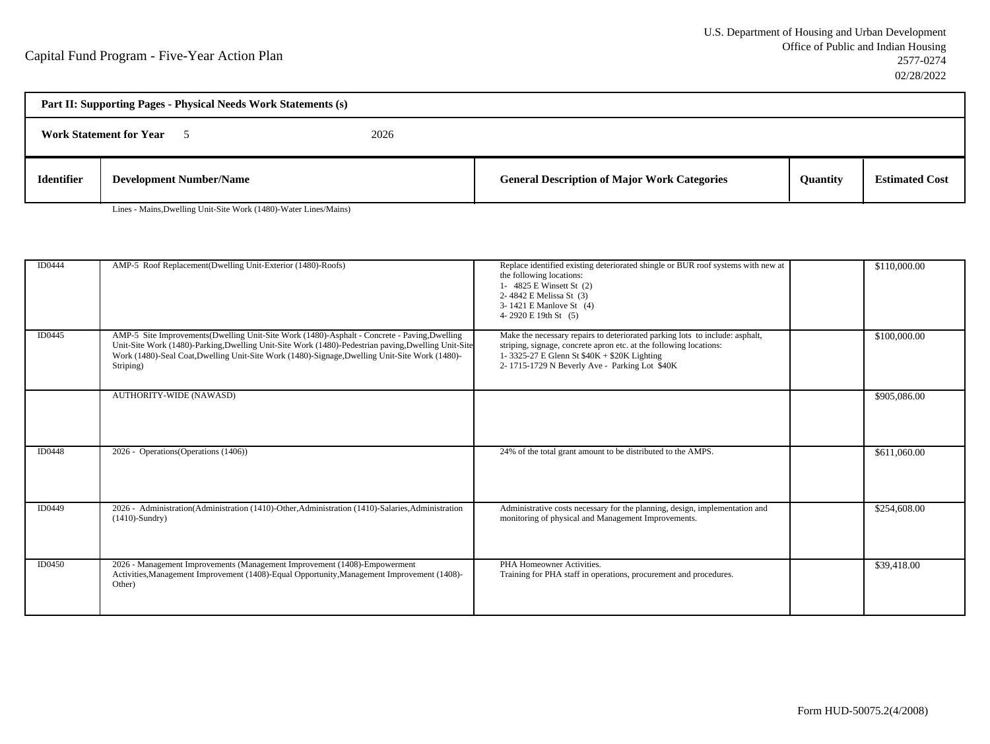| Part II: Supporting Pages - Physical Needs Work Statements (s) |                                        |  |                                                     |                 |                       |
|----------------------------------------------------------------|----------------------------------------|--|-----------------------------------------------------|-----------------|-----------------------|
|                                                                | 2026<br><b>Work Statement for Year</b> |  |                                                     |                 |                       |
| <b>Identifier</b>                                              | <b>Development Number/Name</b>         |  | <b>General Description of Major Work Categories</b> | <b>Quantity</b> | <b>Estimated Cost</b> |

Lines - Mains,Dwelling Unit-Site Work (1480)-Water Lines/Mains)

| ID0444        | AMP-5 Roof Replacement(Dwelling Unit-Exterior (1480)-Roofs)                                                                                                                                                                                                                                                       | Replace identified existing deteriorated shingle or BUR roof systems with new at<br>the following locations:<br>1- 4825 E Winsett St (2)<br>2-4842 E Melissa St (3)<br>3-1421 E Manlove St (4)<br>4-2920 E 19th St (5)                             | \$110,000.00 |
|---------------|-------------------------------------------------------------------------------------------------------------------------------------------------------------------------------------------------------------------------------------------------------------------------------------------------------------------|----------------------------------------------------------------------------------------------------------------------------------------------------------------------------------------------------------------------------------------------------|--------------|
| ID0445        | AMP-5 Site Improvements(Dwelling Unit-Site Work (1480)-Asphalt - Concrete - Paving,Dwelling<br>Unit-Site Work (1480)-Parking, Dwelling Unit-Site Work (1480)-Pedestrian paving, Dwelling Unit-Site<br>Work (1480)-Seal Coat, Dwelling Unit-Site Work (1480)-Signage, Dwelling Unit-Site Work (1480)-<br>Striping) | Make the necessary repairs to deteriorated parking lots to include: asphalt,<br>striping, signage, concrete apron etc. at the following locations:<br>1-3325-27 E Glenn St $$40K + $20K$ Lighting<br>2-1715-1729 N Beverly Ave - Parking Lot \$40K | \$100,000.00 |
|               | <b>AUTHORITY-WIDE (NAWASD)</b>                                                                                                                                                                                                                                                                                    |                                                                                                                                                                                                                                                    | \$905,086.00 |
| <b>ID0448</b> | 2026 - Operations (Operations (1406))                                                                                                                                                                                                                                                                             | 24% of the total grant amount to be distributed to the AMPS.                                                                                                                                                                                       | \$611,060.00 |
| ID0449        | 2026 - Administration (Administration (1410)-Other, Administration (1410)-Salaries, Administration<br>$(1410)$ -Sundry)                                                                                                                                                                                           | Administrative costs necessary for the planning, design, implementation and<br>monitoring of physical and Management Improvements.                                                                                                                 | \$254,608.00 |
| ID0450        | 2026 - Management Improvements (Management Improvement (1408)-Empowerment<br>Activities, Management Improvement (1408)-Equal Opportunity, Management Improvement (1408)-<br>Other)                                                                                                                                | PHA Homeowner Activities.<br>Training for PHA staff in operations, procurement and procedures.                                                                                                                                                     | \$39,418.00  |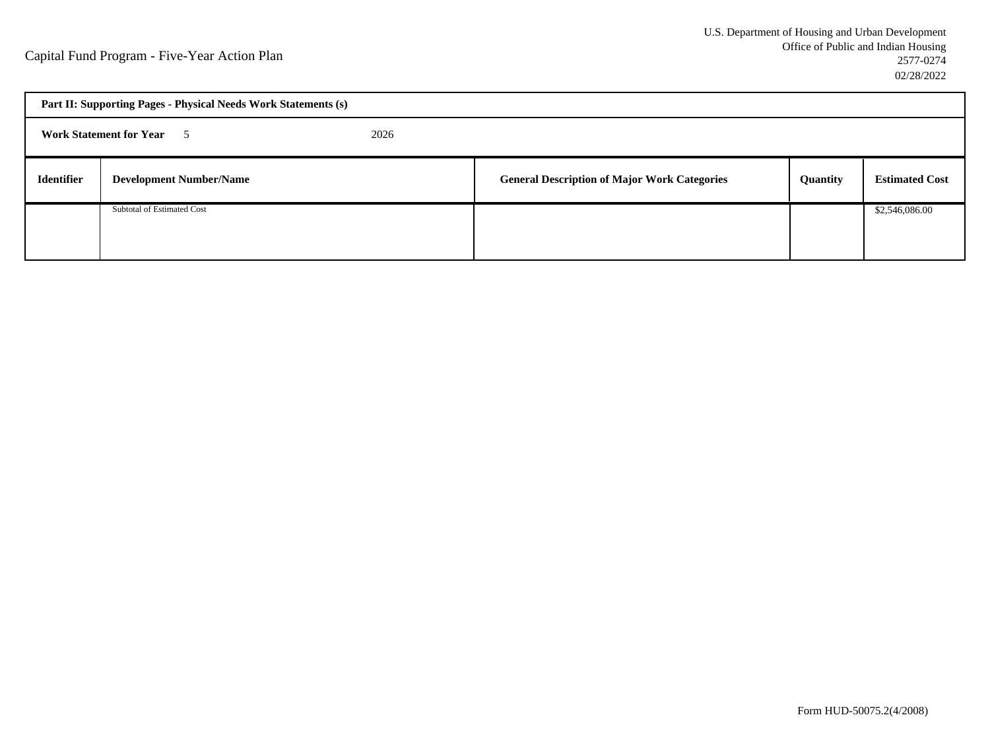| Part II: Supporting Pages - Physical Needs Work Statements (s) |                                |  |                                                     |          |                       |
|----------------------------------------------------------------|--------------------------------|--|-----------------------------------------------------|----------|-----------------------|
| <b>Work Statement for Year</b> 5<br>2026                       |                                |  |                                                     |          |                       |
| <b>Identifier</b>                                              | <b>Development Number/Name</b> |  | <b>General Description of Major Work Categories</b> | Quantity | <b>Estimated Cost</b> |
|                                                                | Subtotal of Estimated Cost     |  |                                                     |          | \$2,546,086.00        |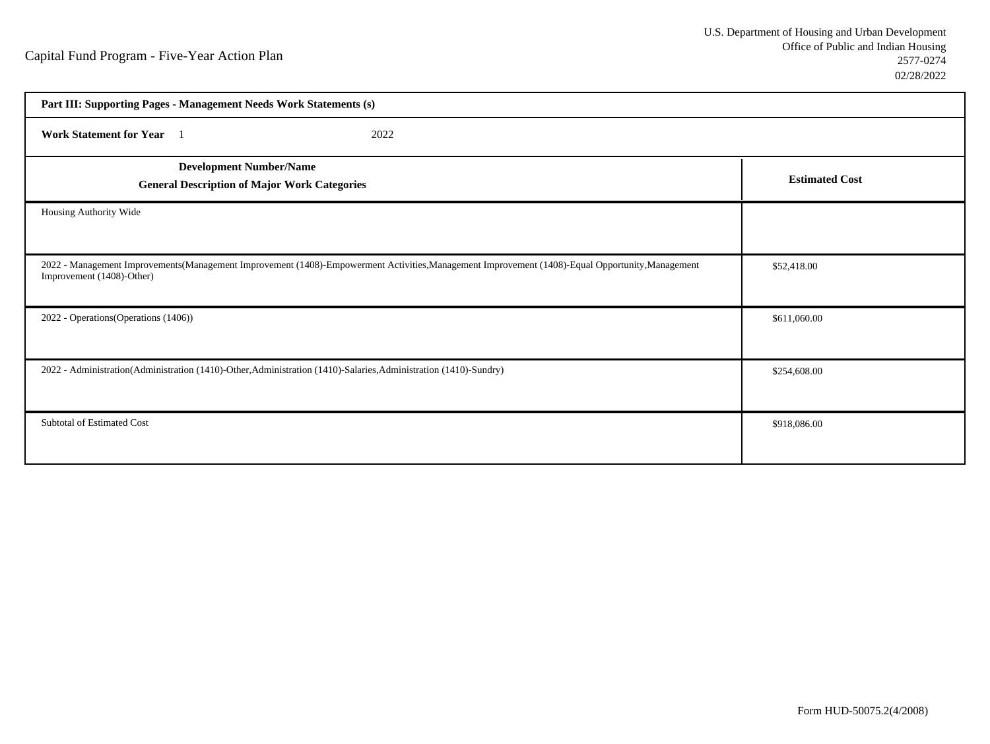| Part III: Supporting Pages - Management Needs Work Statements (s)                                                                                                             |                       |
|-------------------------------------------------------------------------------------------------------------------------------------------------------------------------------|-----------------------|
| Work Statement for Year 1<br>2022                                                                                                                                             |                       |
| <b>Development Number/Name</b><br><b>General Description of Major Work Categories</b>                                                                                         | <b>Estimated Cost</b> |
| Housing Authority Wide                                                                                                                                                        |                       |
| 2022 - Management Improvements(Management Improvement (1408)-Empowerment Activities, Management Improvement (1408)-Equal Opportunity, Management<br>Improvement (1408)-Other) | \$52,418.00           |
| 2022 - Operations (Operations (1406))                                                                                                                                         | \$611,060.00          |
| 2022 - Administration(Administration (1410)-Other, Administration (1410)-Salaries, Administration (1410)-Sundry)                                                              | \$254,608.00          |
| Subtotal of Estimated Cost                                                                                                                                                    | \$918,086.00          |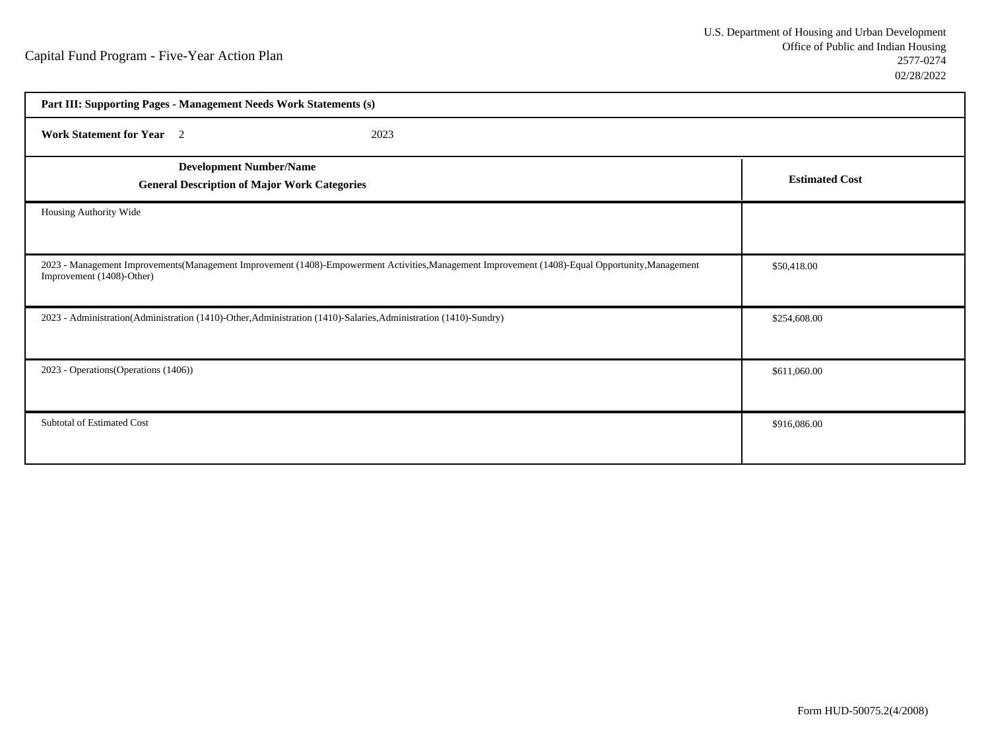| Part III: Supporting Pages - Management Needs Work Statements (s)                                                                                                             |                       |  |
|-------------------------------------------------------------------------------------------------------------------------------------------------------------------------------|-----------------------|--|
| <b>Work Statement for Year</b> 2<br>2023                                                                                                                                      |                       |  |
| <b>Development Number/Name</b><br><b>General Description of Major Work Categories</b>                                                                                         | <b>Estimated Cost</b> |  |
| Housing Authority Wide                                                                                                                                                        |                       |  |
| 2023 - Management Improvements(Management Improvement (1408)-Empowerment Activities, Management Improvement (1408)-Equal Opportunity, Management<br>Improvement (1408)-Other) | \$50,418.00           |  |
| 2023 - Administration(Administration (1410)-Other, Administration (1410)-Salaries, Administration (1410)-Sundry)                                                              | \$254,608.00          |  |
| 2023 - Operations (Operations (1406))                                                                                                                                         | \$611,060.00          |  |
| Subtotal of Estimated Cost                                                                                                                                                    | \$916,086.00          |  |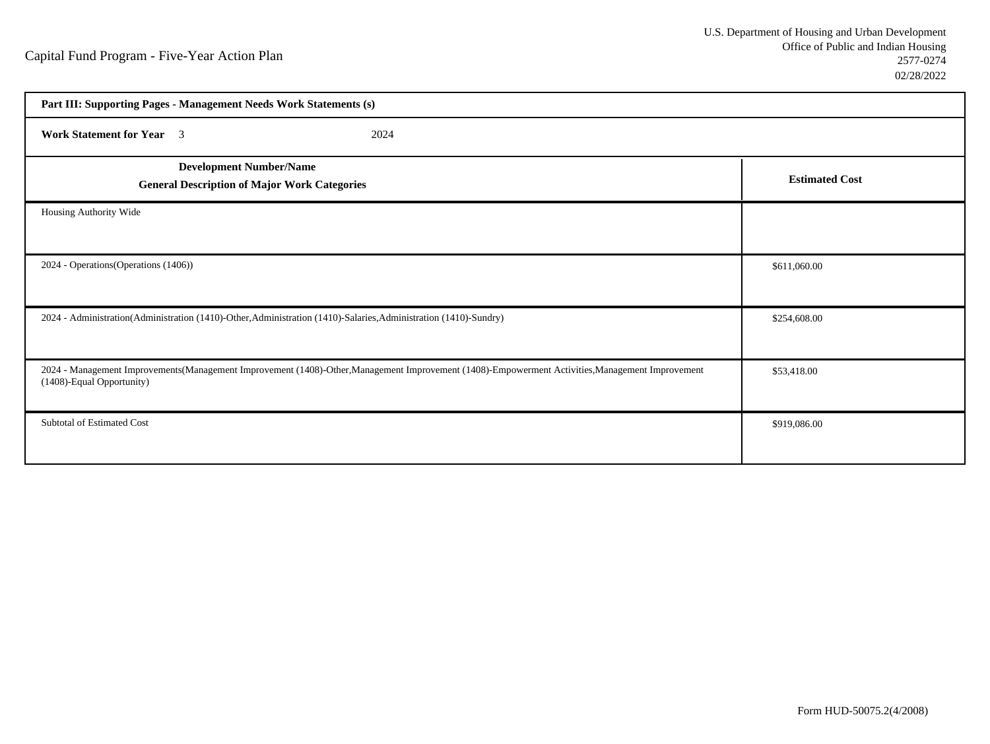| Part III: Supporting Pages - Management Needs Work Statements (s)                                                                                                             |                       |
|-------------------------------------------------------------------------------------------------------------------------------------------------------------------------------|-----------------------|
| <b>Work Statement for Year</b> 3<br>2024                                                                                                                                      |                       |
| <b>Development Number/Name</b><br><b>General Description of Major Work Categories</b>                                                                                         | <b>Estimated Cost</b> |
| Housing Authority Wide                                                                                                                                                        |                       |
| 2024 - Operations (Operations (1406))                                                                                                                                         | \$611,060.00          |
| 2024 - Administration(Administration (1410)-Other, Administration (1410)-Salaries, Administration (1410)-Sundry)                                                              | \$254,608.00          |
| 2024 - Management Improvements(Management Improvement (1408)-Other, Management Improvement (1408)-Empowerment Activities, Management Improvement<br>(1408)-Equal Opportunity) | \$53,418.00           |
| Subtotal of Estimated Cost                                                                                                                                                    | \$919,086.00          |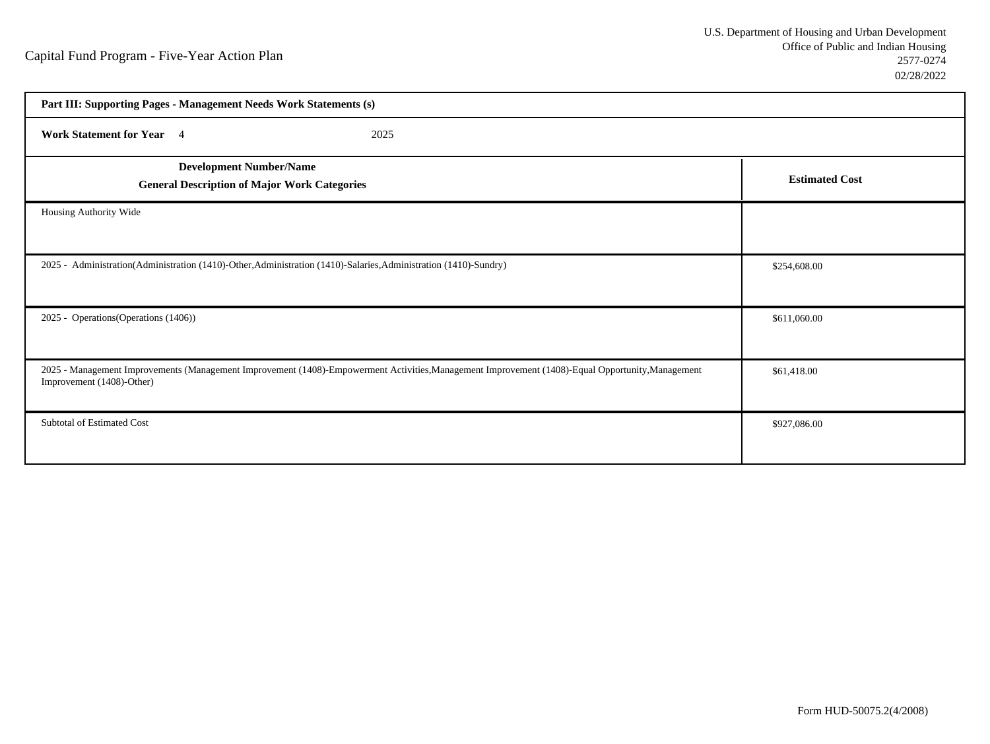| Part III: Supporting Pages - Management Needs Work Statements (s)                                                                                                              |                       |
|--------------------------------------------------------------------------------------------------------------------------------------------------------------------------------|-----------------------|
| <b>Work Statement for Year</b> 4<br>2025                                                                                                                                       |                       |
| <b>Development Number/Name</b><br><b>General Description of Major Work Categories</b>                                                                                          | <b>Estimated Cost</b> |
| Housing Authority Wide                                                                                                                                                         |                       |
| 2025 - Administration(Administration (1410)-Other, Administration (1410)-Salaries, Administration (1410)-Sundry)                                                               | \$254,608.00          |
| 2025 - Operations (Operations (1406))                                                                                                                                          | \$611,060.00          |
| 2025 - Management Improvements (Management Improvement (1408)-Empowerment Activities, Management Improvement (1408)-Equal Opportunity, Management<br>Improvement (1408)-Other) | \$61,418.00           |
| Subtotal of Estimated Cost                                                                                                                                                     | \$927,086.00          |